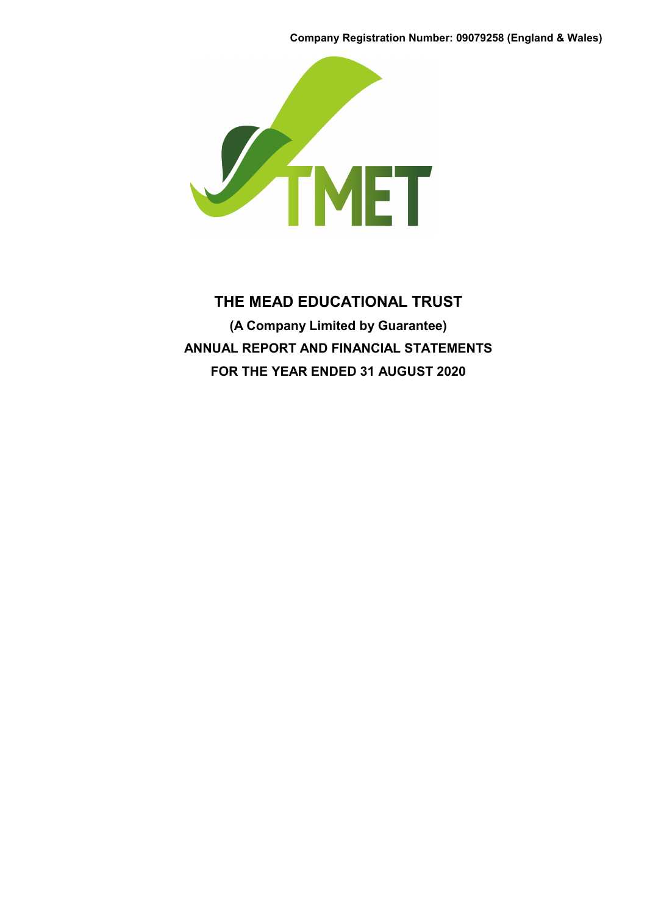**Company Registration Number: 09079258 (England & Wales)**



# **THE MEAD EDUCATIONAL TRUST (A Company Limited by Guarantee) ANNUAL REPORT AND FINANCIAL STATEMENTS FOR THE YEAR ENDED 31 AUGUST 2020**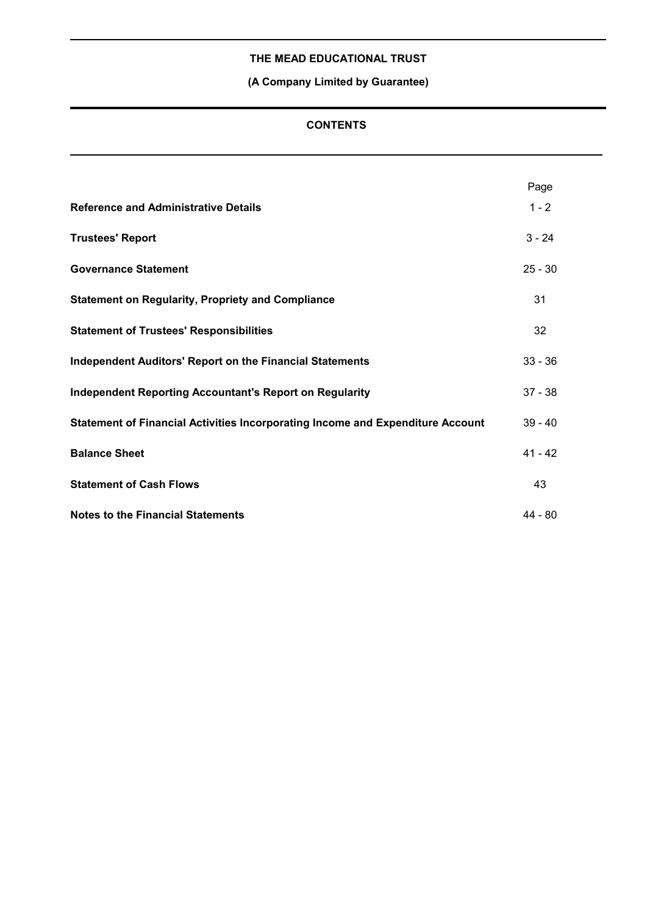# **(A Company Limited by Guarantee)**

# **CONTENTS**

|                                                                                | Page      |
|--------------------------------------------------------------------------------|-----------|
| <b>Reference and Administrative Details</b>                                    | $1 - 2$   |
| <b>Trustees' Report</b>                                                        | $3 - 24$  |
| <b>Governance Statement</b>                                                    | $25 - 30$ |
| <b>Statement on Regularity, Propriety and Compliance</b>                       | 31        |
| <b>Statement of Trustees' Responsibilities</b>                                 | 32        |
| <b>Independent Auditors' Report on the Financial Statements</b>                | $33 - 36$ |
| <b>Independent Reporting Accountant's Report on Regularity</b>                 | $37 - 38$ |
| Statement of Financial Activities Incorporating Income and Expenditure Account | $39 - 40$ |
| <b>Balance Sheet</b>                                                           | $41 - 42$ |
| <b>Statement of Cash Flows</b>                                                 | 43        |
| <b>Notes to the Financial Statements</b>                                       | 44 - 80   |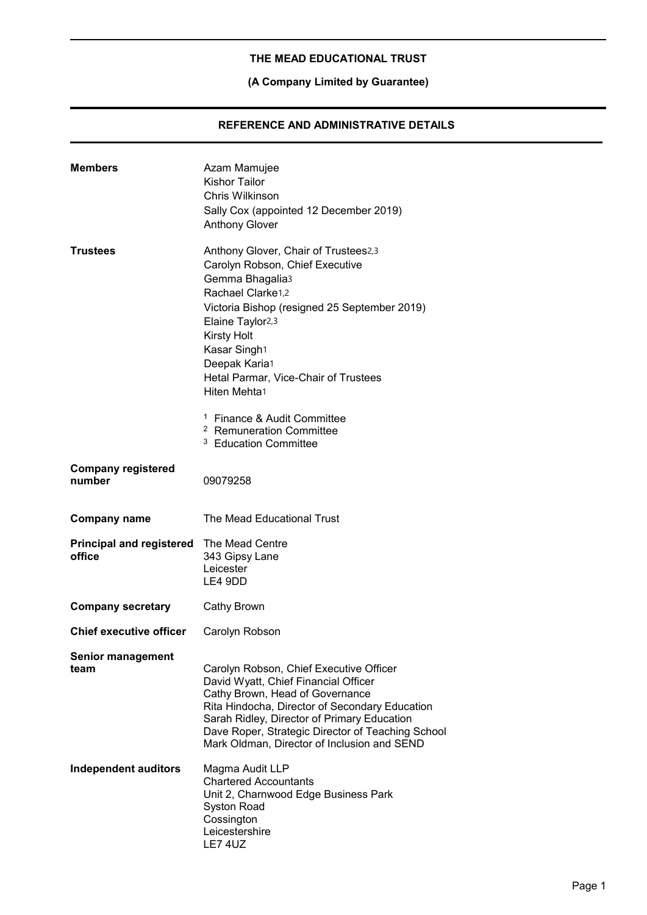# **(A Company Limited by Guarantee)**

# **REFERENCE AND ADMINISTRATIVE DETAILS**

| <b>Members</b>                            | Azam Mamujee<br><b>Kishor Tailor</b><br>Chris Wilkinson<br>Sally Cox (appointed 12 December 2019)<br><b>Anthony Glover</b>                                                                                                                                                                                                                                                                                                          |
|-------------------------------------------|-------------------------------------------------------------------------------------------------------------------------------------------------------------------------------------------------------------------------------------------------------------------------------------------------------------------------------------------------------------------------------------------------------------------------------------|
| <b>Trustees</b>                           | Anthony Glover, Chair of Trustees2,3<br>Carolyn Robson, Chief Executive<br>Gemma Bhagalia3<br>Rachael Clarke1,2<br>Victoria Bishop (resigned 25 September 2019)<br>Elaine Taylor <sub>2,3</sub><br><b>Kirsty Holt</b><br>Kasar Singh1<br>Deepak Karia1<br>Hetal Parmar, Vice-Chair of Trustees<br>Hiten Mehta1<br><sup>1</sup> Finance & Audit Committee<br><sup>2</sup> Remuneration Committee<br><sup>3</sup> Education Committee |
| <b>Company registered</b><br>number       | 09079258                                                                                                                                                                                                                                                                                                                                                                                                                            |
| <b>Company name</b>                       | The Mead Educational Trust                                                                                                                                                                                                                                                                                                                                                                                                          |
| <b>Principal and registered</b><br>office | The Mead Centre<br>343 Gipsy Lane<br>Leicester<br>LE4 9DD                                                                                                                                                                                                                                                                                                                                                                           |
| <b>Company secretary</b>                  | Cathy Brown                                                                                                                                                                                                                                                                                                                                                                                                                         |
| <b>Chief executive officer</b>            | Carolyn Robson                                                                                                                                                                                                                                                                                                                                                                                                                      |
| <b>Senior management</b><br>team          | Carolyn Robson, Chief Executive Officer<br>David Wyatt, Chief Financial Officer<br>Cathy Brown, Head of Governance<br>Rita Hindocha, Director of Secondary Education<br>Sarah Ridley, Director of Primary Education<br>Dave Roper, Strategic Director of Teaching School<br>Mark Oldman, Director of Inclusion and SEND                                                                                                             |
| Independent auditors                      | Magma Audit LLP<br><b>Chartered Accountants</b><br>Unit 2, Charnwood Edge Business Park<br><b>Syston Road</b><br>Cossington<br>Leicestershire<br><b>LE7 4UZ</b>                                                                                                                                                                                                                                                                     |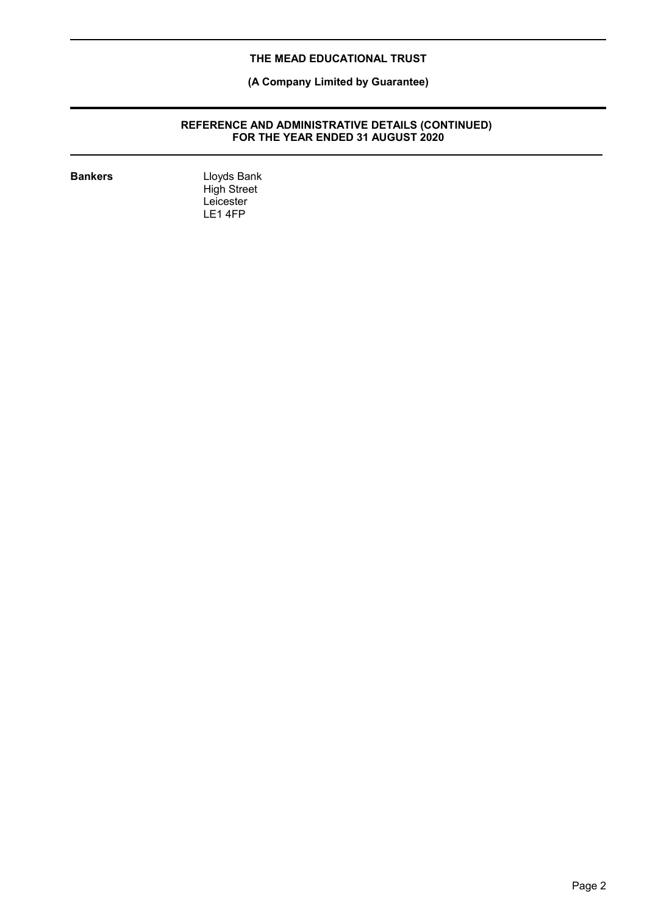# **(A Company Limited by Guarantee)**

#### **REFERENCE AND ADMINISTRATIVE DETAILS (CONTINUED) FOR THE YEAR ENDED 31 AUGUST 2020**

**Bankers** Lloyds Bank High Street Leicester LE1 4FP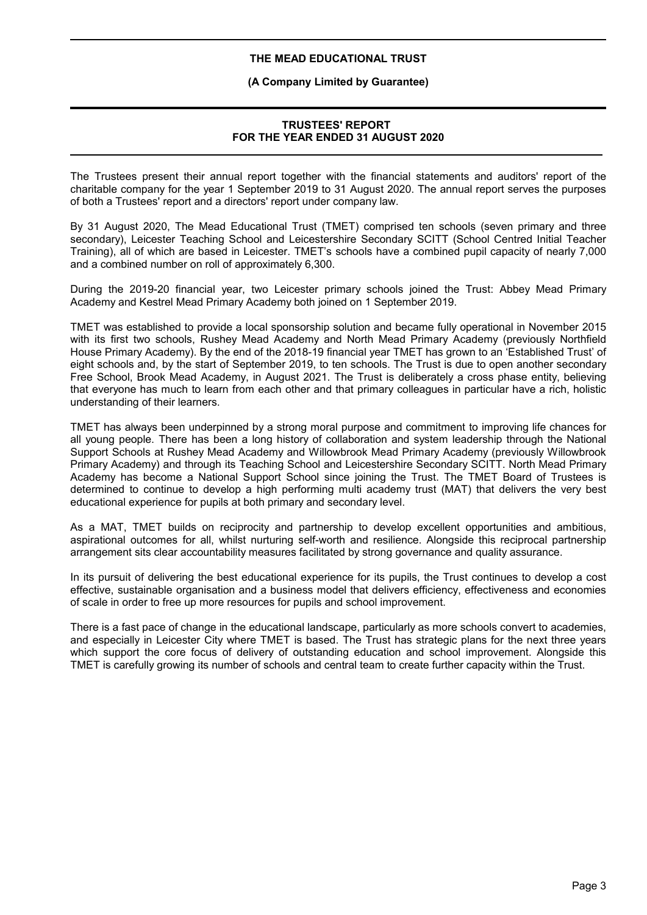#### **(A Company Limited by Guarantee)**

# **TRUSTEES' REPORT FOR THE YEAR ENDED 31 AUGUST 2020**

The Trustees present their annual report together with the financial statements and auditors' report of the charitable company for the year 1 September 2019 to 31 August 2020. The annual report serves the purposes of both a Trustees' report and a directors' report under company law.

By 31 August 2020, The Mead Educational Trust (TMET) comprised ten schools (seven primary and three secondary), Leicester Teaching School and Leicestershire Secondary SCITT (School Centred Initial Teacher Training), all of which are based in Leicester. TMET's schools have a combined pupil capacity of nearly 7,000 and a combined number on roll of approximately 6,300.

During the 2019-20 financial year, two Leicester primary schools joined the Trust: Abbey Mead Primary Academy and Kestrel Mead Primary Academy both joined on 1 September 2019.

TMET was established to provide a local sponsorship solution and became fully operational in November 2015 with its first two schools, Rushey Mead Academy and North Mead Primary Academy (previously Northfield House Primary Academy). By the end of the 2018-19 financial year TMET has grown to an 'Established Trust' of eight schools and, by the start of September 2019, to ten schools. The Trust is due to open another secondary Free School, Brook Mead Academy, in August 2021. The Trust is deliberately a cross phase entity, believing that everyone has much to learn from each other and that primary colleagues in particular have a rich, holistic understanding of their learners.

TMET has always been underpinned by a strong moral purpose and commitment to improving life chances for all young people. There has been a long history of collaboration and system leadership through the National Support Schools at Rushey Mead Academy and Willowbrook Mead Primary Academy (previously Willowbrook Primary Academy) and through its Teaching School and Leicestershire Secondary SCITT. North Mead Primary Academy has become a National Support School since joining the Trust. The TMET Board of Trustees is determined to continue to develop a high performing multi academy trust (MAT) that delivers the very best educational experience for pupils at both primary and secondary level.

As a MAT, TMET builds on reciprocity and partnership to develop excellent opportunities and ambitious, aspirational outcomes for all, whilst nurturing self-worth and resilience. Alongside this reciprocal partnership arrangement sits clear accountability measures facilitated by strong governance and quality assurance.

In its pursuit of delivering the best educational experience for its pupils, the Trust continues to develop a cost effective, sustainable organisation and a business model that delivers efficiency, effectiveness and economies of scale in order to free up more resources for pupils and school improvement.

There is a fast pace of change in the educational landscape, particularly as more schools convert to academies, and especially in Leicester City where TMET is based. The Trust has strategic plans for the next three years which support the core focus of delivery of outstanding education and school improvement. Alongside this TMET is carefully growing its number of schools and central team to create further capacity within the Trust.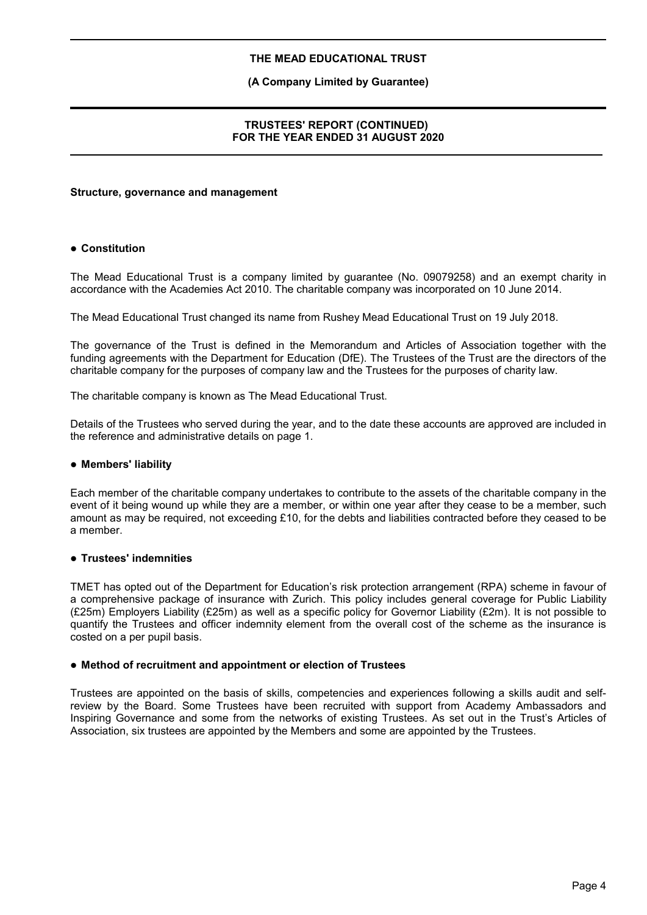# **(A Company Limited by Guarantee)**

#### **TRUSTEES' REPORT (CONTINUED) FOR THE YEAR ENDED 31 AUGUST 2020**

#### **Structure, governance and management**

# **Constitution**

The Mead Educational Trust is a company limited by guarantee (No. 09079258) and an exempt charity in accordance with the Academies Act 2010. The charitable company was incorporated on 10 June 2014.

The Mead Educational Trust changed its name from Rushey Mead Educational Trust on 19 July 2018.

The governance of the Trust is defined in the Memorandum and Articles of Association together with the funding agreements with the Department for Education (DfE). The Trustees of the Trust are the directors of the charitable company for the purposes of company law and the Trustees for the purposes of charity law.

The charitable company is known as The Mead Educational Trust.

Details of the Trustees who served during the year, and to the date these accounts are approved are included in the reference and administrative details on page 1.

#### **Members' liability**

Each member of the charitable company undertakes to contribute to the assets of the charitable company in the event of it being wound up while they are a member, or within one year after they cease to be a member, such amount as may be required, not exceeding £10, for the debts and liabilities contracted before they ceased to be a member.

#### **Trustees' indemnities**

TMET has opted out of the Department for Education's risk protection arrangement (RPA) scheme in favour of a comprehensive package of insurance with Zurich. This policy includes general coverage for Public Liability (£25m) Employers Liability (£25m) as well as a specific policy for Governor Liability (£2m). It is not possible to quantify the Trustees and officer indemnity element from the overall cost of the scheme as the insurance is costed on a per pupil basis.

#### **Method of recruitment and appointment or election of Trustees**

Trustees are appointed on the basis of skills, competencies and experiences following a skills audit and selfreview by the Board. Some Trustees have been recruited with support from Academy Ambassadors and Inspiring Governance and some from the networks of existing Trustees. As set out in the Trust's Articles of Association, six trustees are appointed by the Members and some are appointed by the Trustees.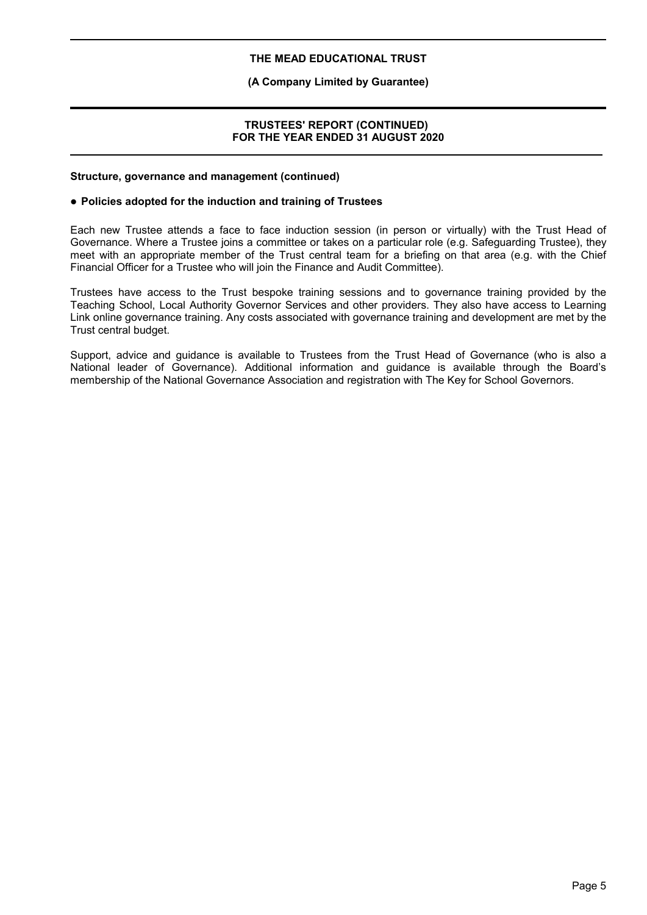# **(A Company Limited by Guarantee)**

#### **TRUSTEES' REPORT (CONTINUED) FOR THE YEAR ENDED 31 AUGUST 2020**

#### **Structure, governance and management (continued)**

#### **Policies adopted for the induction and training of Trustees**

Each new Trustee attends a face to face induction session (in person or virtually) with the Trust Head of Governance. Where a Trustee joins a committee or takes on a particular role (e.g. Safeguarding Trustee), they meet with an appropriate member of the Trust central team for a briefing on that area (e.g. with the Chief Financial Officer for a Trustee who will join the Finance and Audit Committee).

Trustees have access to the Trust bespoke training sessions and to governance training provided by the Teaching School, Local Authority Governor Services and other providers. They also have access to Learning Link online governance training. Any costs associated with governance training and development are met by the Trust central budget.

Support, advice and guidance is available to Trustees from the Trust Head of Governance (who is also a National leader of Governance). Additional information and guidance is available through the Board's membership of the National Governance Association and registration with The Key for School Governors.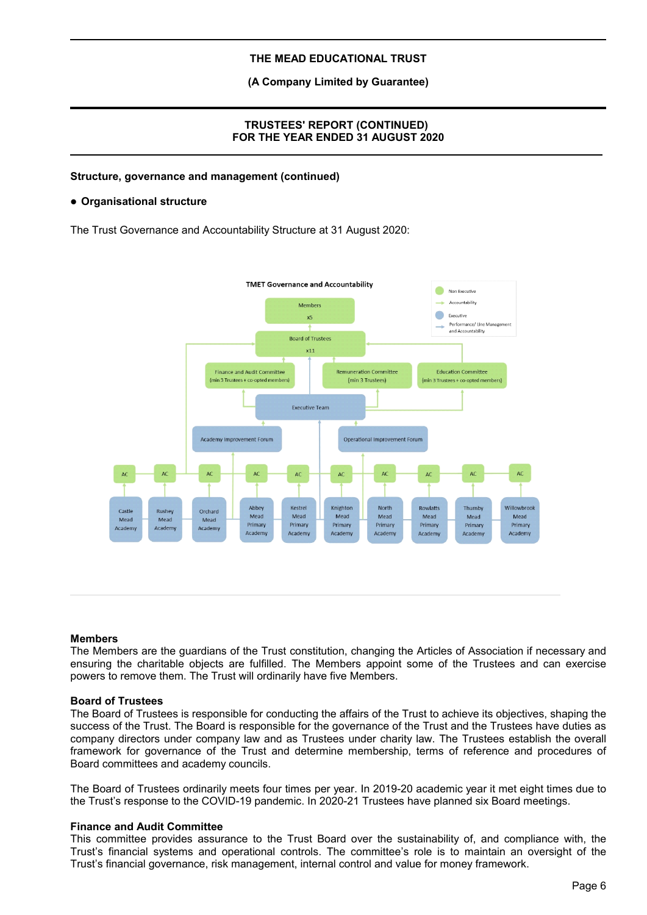**(A Company Limited by Guarantee)**

# **TRUSTEES' REPORT (CONTINUED) FOR THE YEAR ENDED 31 AUGUST 2020**

#### **Structure, governance and management (continued)**

#### **Organisational structure**

The Trust Governance and Accountability Structure at 31 August 2020:



#### **Members**

The Members are the guardians of the Trust constitution, changing the Articles of Association if necessary and ensuring the charitable objects are fulfilled. The Members appoint some of the Trustees and can exercise powers to remove them. The Trust will ordinarily have five Members.

#### **Board of Trustees**

The Board of Trustees is responsible for conducting the affairs of the Trust to achieve its objectives, shaping the success of the Trust. The Board is responsible for the governance of the Trust and the Trustees have duties as company directors under company law and as Trustees under charity law. The Trustees establish the overall framework for governance of the Trust and determine membership, terms of reference and procedures of Board committees and academy councils.

The Board of Trustees ordinarily meets four times per year. In 2019-20 academic year it met eight times due to the Trust's response to the COVID-19 pandemic. In 2020-21 Trustees have planned six Board meetings.

#### **Finance and Audit Committee**

This committee provides assurance to the Trust Board over the sustainability of, and compliance with, the Trust's financial systems and operational controls. The committee's role is to maintain an oversight of the Trust's financial governance, risk management, internal control and value for money framework.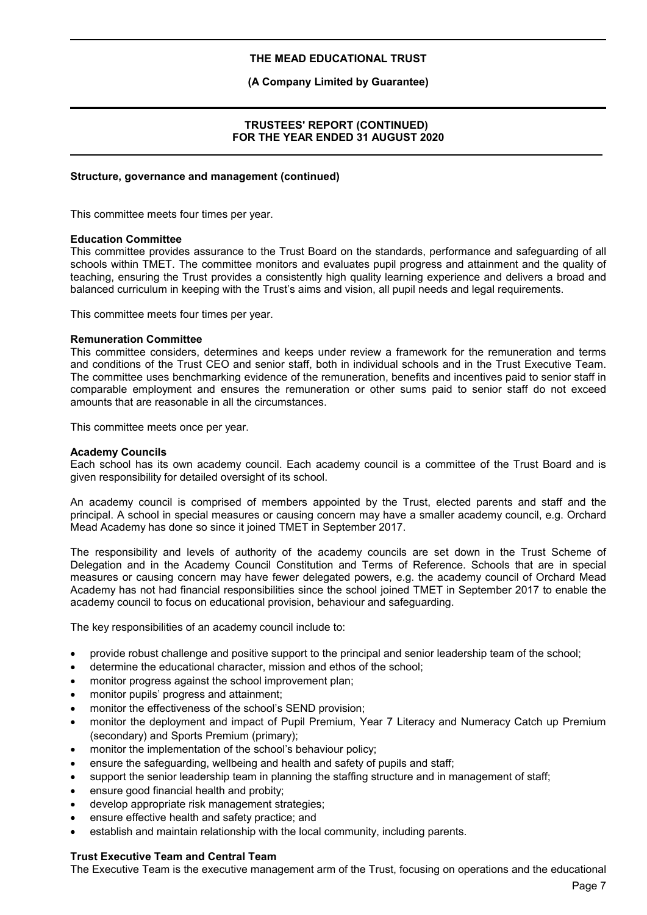#### **(A Company Limited by Guarantee)**

#### **TRUSTEES' REPORT (CONTINUED) FOR THE YEAR ENDED 31 AUGUST 2020**

#### **Structure, governance and management (continued)**

This committee meets four times per year.

#### **Education Committee**

This committee provides assurance to the Trust Board on the standards, performance and safeguarding of all schools within TMET. The committee monitors and evaluates pupil progress and attainment and the quality of teaching, ensuring the Trust provides a consistently high quality learning experience and delivers a broad and balanced curriculum in keeping with the Trust's aims and vision, all pupil needs and legal requirements.

This committee meets four times per year.

#### **Remuneration Committee**

This committee considers, determines and keeps under review a framework for the remuneration and terms and conditions of the Trust CEO and senior staff, both in individual schools and in the Trust Executive Team. The committee uses benchmarking evidence of the remuneration, benefits and incentives paid to senior staff in comparable employment and ensures the remuneration or other sums paid to senior staff do not exceed amounts that are reasonable in all the circumstances.

This committee meets once per year.

#### **Academy Councils**

Each school has its own academy council. Each academy council is a committee of the Trust Board and is given responsibility for detailed oversight of its school.

An academy council is comprised of members appointed by the Trust, elected parents and staff and the principal. A school in special measures or causing concern may have a smaller academy council, e.g. Orchard Mead Academy has done so since it joined TMET in September 2017.

The responsibility and levels of authority of the academy councils are set down in the Trust Scheme of Delegation and in the Academy Council Constitution and Terms of Reference. Schools that are in special measures or causing concern may have fewer delegated powers, e.g. the academy council of Orchard Mead Academy has not had financial responsibilities since the school joined TMET in September 2017 to enable the academy council to focus on educational provision, behaviour and safeguarding.

The key responsibilities of an academy council include to:

- provide robust challenge and positive support to the principal and senior leadership team of the school;
- determine the educational character, mission and ethos of the school;
- monitor progress against the school improvement plan;
- monitor pupils' progress and attainment;
- monitor the effectiveness of the school's SEND provision;
- monitor the deployment and impact of Pupil Premium, Year 7 Literacy and Numeracy Catch up Premium (secondary) and Sports Premium (primary);
- monitor the implementation of the school's behaviour policy;
- ensure the safeguarding, wellbeing and health and safety of pupils and staff;
- support the senior leadership team in planning the staffing structure and in management of staff;
- ensure good financial health and probity;
- develop appropriate risk management strategies;
- ensure effective health and safety practice; and
- establish and maintain relationship with the local community, including parents.

# **Trust Executive Team and Central Team**

The Executive Team is the executive management arm of the Trust, focusing on operations and the educational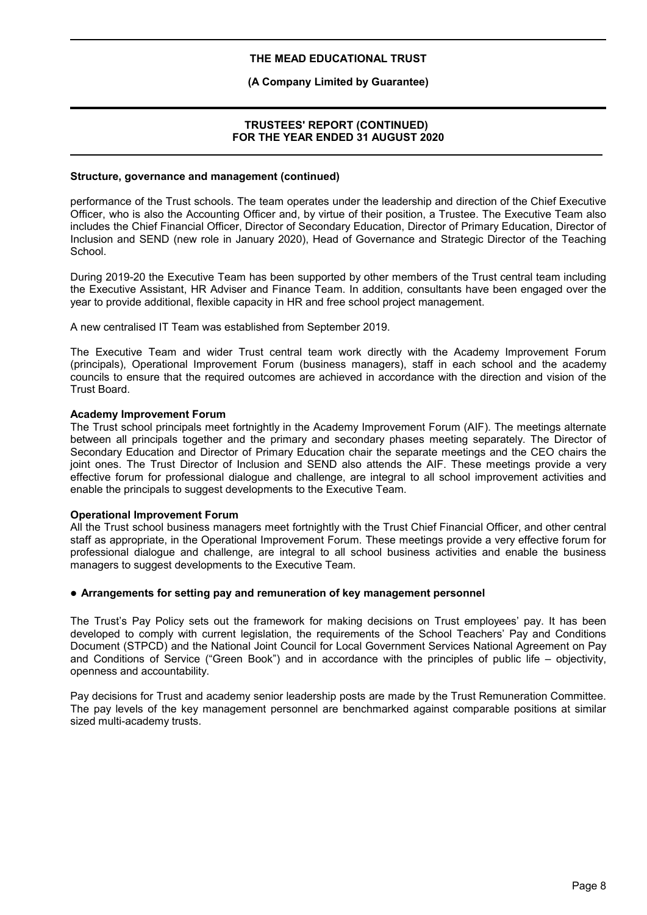# **(A Company Limited by Guarantee)**

# **TRUSTEES' REPORT (CONTINUED) FOR THE YEAR ENDED 31 AUGUST 2020**

#### **Structure, governance and management (continued)**

performance of the Trust schools. The team operates under the leadership and direction of the Chief Executive Officer, who is also the Accounting Officer and, by virtue of their position, a Trustee. The Executive Team also includes the Chief Financial Officer, Director of Secondary Education, Director of Primary Education, Director of Inclusion and SEND (new role in January 2020), Head of Governance and Strategic Director of the Teaching School.

During 2019-20 the Executive Team has been supported by other members of the Trust central team including the Executive Assistant, HR Adviser and Finance Team. In addition, consultants have been engaged over the year to provide additional, flexible capacity in HR and free school project management.

A new centralised IT Team was established from September 2019.

The Executive Team and wider Trust central team work directly with the Academy Improvement Forum (principals), Operational Improvement Forum (business managers), staff in each school and the academy councils to ensure that the required outcomes are achieved in accordance with the direction and vision of the Trust Board.

#### **Academy Improvement Forum**

The Trust school principals meet fortnightly in the Academy Improvement Forum (AIF). The meetings alternate between all principals together and the primary and secondary phases meeting separately. The Director of Secondary Education and Director of Primary Education chair the separate meetings and the CEO chairs the joint ones. The Trust Director of Inclusion and SEND also attends the AIF. These meetings provide a very effective forum for professional dialogue and challenge, are integral to all school improvement activities and enable the principals to suggest developments to the Executive Team.

#### **Operational Improvement Forum**

All the Trust school business managers meet fortnightly with the Trust Chief Financial Officer, and other central staff as appropriate, in the Operational Improvement Forum. These meetings provide a very effective forum for professional dialogue and challenge, are integral to all school business activities and enable the business managers to suggest developments to the Executive Team.

#### **Arrangements for setting pay and remuneration of key management personnel**

The Trust's Pay Policy sets out the framework for making decisions on Trust employees' pay. It has been developed to comply with current legislation, the requirements of the School Teachers' Pay and Conditions Document (STPCD) and the National Joint Council for Local Government Services National Agreement on Pay and Conditions of Service ("Green Book") and in accordance with the principles of public life – objectivity, openness and accountability.

Pay decisions for Trust and academy senior leadership posts are made by the Trust Remuneration Committee. The pay levels of the key management personnel are benchmarked against comparable positions at similar sized multi-academy trusts.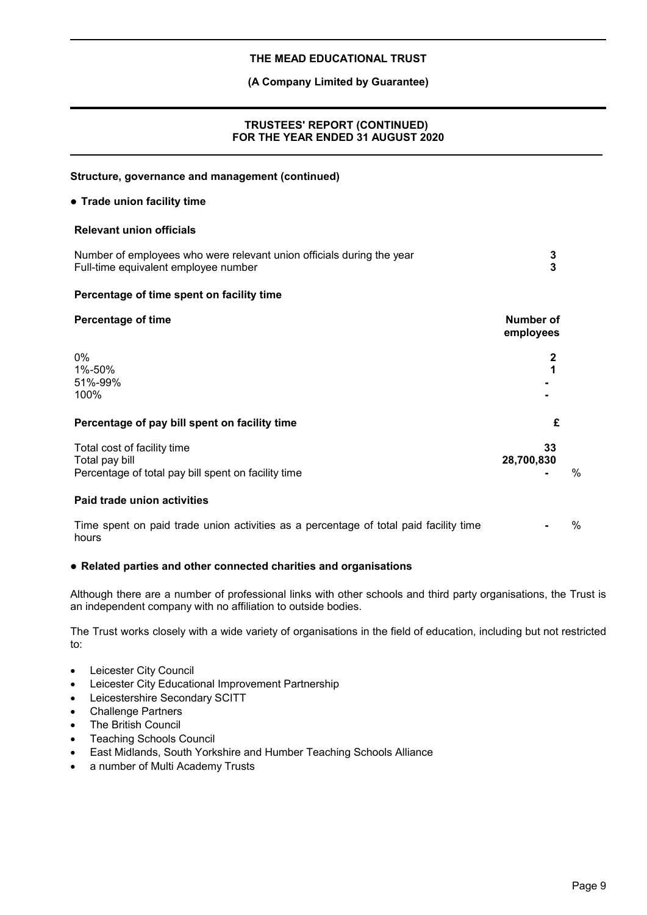# **(A Company Limited by Guarantee)**

# **TRUSTEES' REPORT (CONTINUED) FOR THE YEAR ENDED 31 AUGUST 2020**

| Structure, governance and management (continued)                                                              |                        |      |
|---------------------------------------------------------------------------------------------------------------|------------------------|------|
| • Trade union facility time                                                                                   |                        |      |
| <b>Relevant union officials</b>                                                                               |                        |      |
| Number of employees who were relevant union officials during the year<br>Full-time equivalent employee number | 3<br>3                 |      |
| Percentage of time spent on facility time                                                                     |                        |      |
| <b>Percentage of time</b>                                                                                     | Number of<br>employees |      |
| 0%<br>1%-50%<br>51%-99%<br>100%                                                                               | $\mathbf{2}$           |      |
| Percentage of pay bill spent on facility time                                                                 | £                      |      |
| Total cost of facility time<br>Total pay bill<br>Percentage of total pay bill spent on facility time          | 33<br>28,700,830       | $\%$ |
| Paid trade union activities                                                                                   |                        |      |
| Time spent on paid trade union activities as a percentage of total paid facility time<br>hours                |                        | %    |

# **Related parties and other connected charities and organisations**

Although there are a number of professional links with other schools and third party organisations, the Trust is an independent company with no affiliation to outside bodies.

The Trust works closely with a wide variety of organisations in the field of education, including but not restricted to:

- Leicester City Council
- Leicester City Educational Improvement Partnership
- Leicestershire Secondary SCITT
- Challenge Partners
- The British Council
- Teaching Schools Council
- East Midlands, South Yorkshire and Humber Teaching Schools Alliance
- a number of Multi Academy Trusts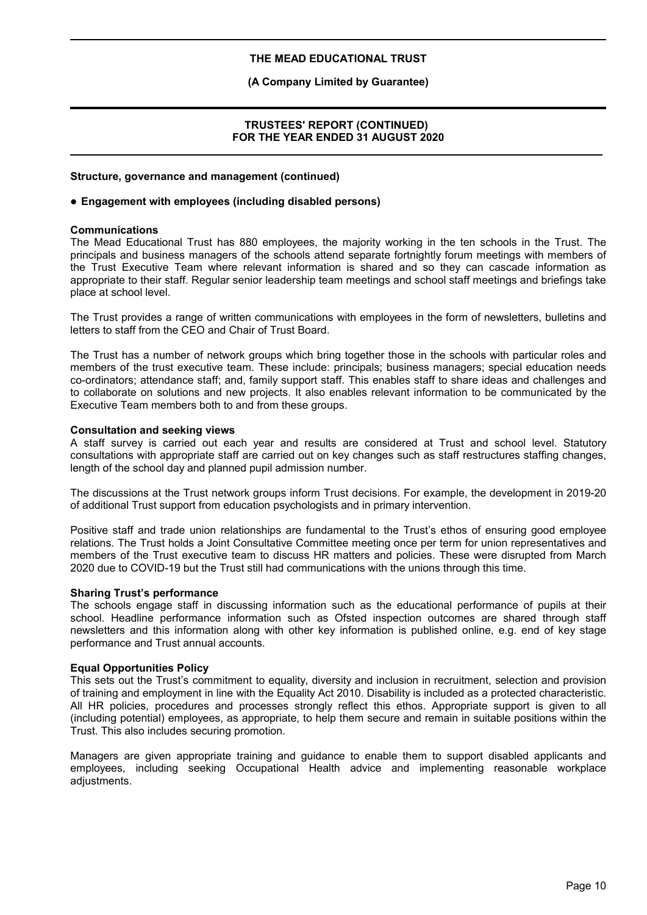# **(A Company Limited by Guarantee)**

#### **TRUSTEES' REPORT (CONTINUED) FOR THE YEAR ENDED 31 AUGUST 2020**

#### **Structure, governance and management (continued)**

#### **Engagement with employees (including disabled persons)**

#### **Communications**

The Mead Educational Trust has 880 employees, the majority working in the ten schools in the Trust. The principals and business managers of the schools attend separate fortnightly forum meetings with members of the Trust Executive Team where relevant information is shared and so they can cascade information as appropriate to their staff. Regular senior leadership team meetings and school staff meetings and briefings take place at school level.

The Trust provides a range of written communications with employees in the form of newsletters, bulletins and letters to staff from the CEO and Chair of Trust Board.

The Trust has a number of network groups which bring together those in the schools with particular roles and members of the trust executive team. These include: principals; business managers; special education needs co-ordinators; attendance staff; and, family support staff. This enables staff to share ideas and challenges and to collaborate on solutions and new projects. It also enables relevant information to be communicated by the Executive Team members both to and from these groups.

#### **Consultation and seeking views**

A staff survey is carried out each year and results are considered at Trust and school level. Statutory consultations with appropriate staff are carried out on key changes such as staff restructures staffing changes, length of the school day and planned pupil admission number.

The discussions at the Trust network groups inform Trust decisions. For example, the development in 2019-20 of additional Trust support from education psychologists and in primary intervention.

Positive staff and trade union relationships are fundamental to the Trust's ethos of ensuring good employee relations. The Trust holds a Joint Consultative Committee meeting once per term for union representatives and members of the Trust executive team to discuss HR matters and policies. These were disrupted from March 2020 due to COVID-19 but the Trust still had communications with the unions through this time.

#### **Sharing Trust's performance**

The schools engage staff in discussing information such as the educational performance of pupils at their school. Headline performance information such as Ofsted inspection outcomes are shared through staff newsletters and this information along with other key information is published online, e.g. end of key stage performance and Trust annual accounts.

#### **Equal Opportunities Policy**

This sets out the Trust's commitment to equality, diversity and inclusion in recruitment, selection and provision of training and employment in line with the Equality Act 2010. Disability is included as a protected characteristic. All HR policies, procedures and processes strongly reflect this ethos. Appropriate support is given to all (including potential) employees, as appropriate, to help them secure and remain in suitable positions within the Trust. This also includes securing promotion.

Managers are given appropriate training and guidance to enable them to support disabled applicants and employees, including seeking Occupational Health advice and implementing reasonable workplace adiustments.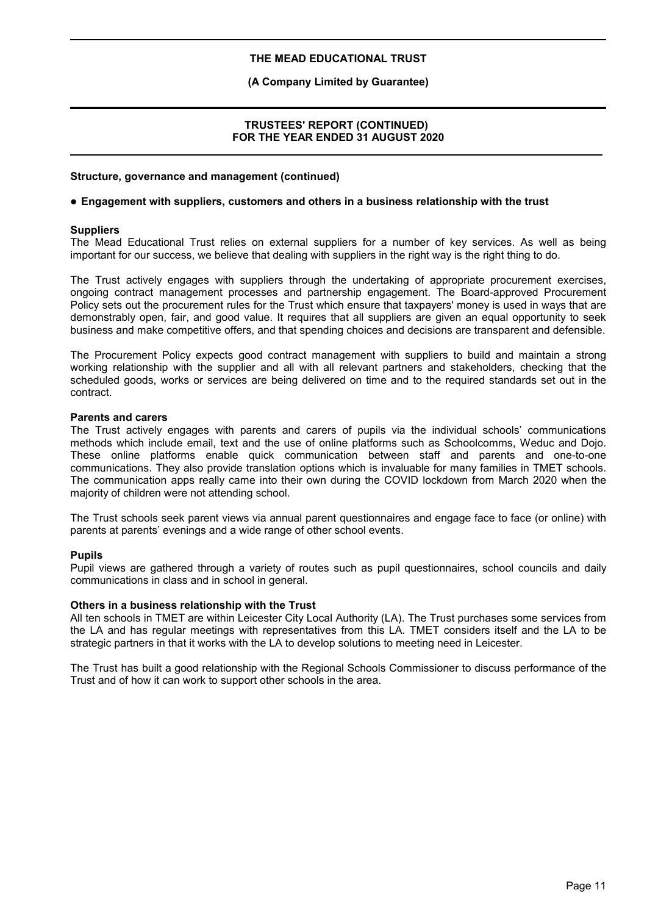# **(A Company Limited by Guarantee)**

#### **TRUSTEES' REPORT (CONTINUED) FOR THE YEAR ENDED 31 AUGUST 2020**

#### **Structure, governance and management (continued)**

#### **Engagement with suppliers, customers and others in a business relationship with the trust**

#### **Suppliers**

The Mead Educational Trust relies on external suppliers for a number of key services. As well as being important for our success, we believe that dealing with suppliers in the right way is the right thing to do.

The Trust actively engages with suppliers through the undertaking of appropriate procurement exercises, ongoing contract management processes and partnership engagement. The Board-approved Procurement Policy sets out the procurement rules for the Trust which ensure that taxpayers' money is used in ways that are demonstrably open, fair, and good value. It requires that all suppliers are given an equal opportunity to seek business and make competitive offers, and that spending choices and decisions are transparent and defensible.

The Procurement Policy expects good contract management with suppliers to build and maintain a strong working relationship with the supplier and all with all relevant partners and stakeholders, checking that the scheduled goods, works or services are being delivered on time and to the required standards set out in the contract.

#### **Parents and carers**

The Trust actively engages with parents and carers of pupils via the individual schools' communications methods which include email, text and the use of online platforms such as Schoolcomms, Weduc and Dojo. These online platforms enable quick communication between staff and parents and one-to-one communications. They also provide translation options which is invaluable for many families in TMET schools. The communication apps really came into their own during the COVID lockdown from March 2020 when the majority of children were not attending school.

The Trust schools seek parent views via annual parent questionnaires and engage face to face (or online) with parents at parents' evenings and a wide range of other school events.

#### **Pupils**

Pupil views are gathered through a variety of routes such as pupil questionnaires, school councils and daily communications in class and in school in general.

#### **Others in a business relationship with the Trust**

All ten schools in TMET are within Leicester City Local Authority (LA). The Trust purchases some services from the LA and has regular meetings with representatives from this LA. TMET considers itself and the LA to be strategic partners in that it works with the LA to develop solutions to meeting need in Leicester.

The Trust has built a good relationship with the Regional Schools Commissioner to discuss performance of the Trust and of how it can work to support other schools in the area.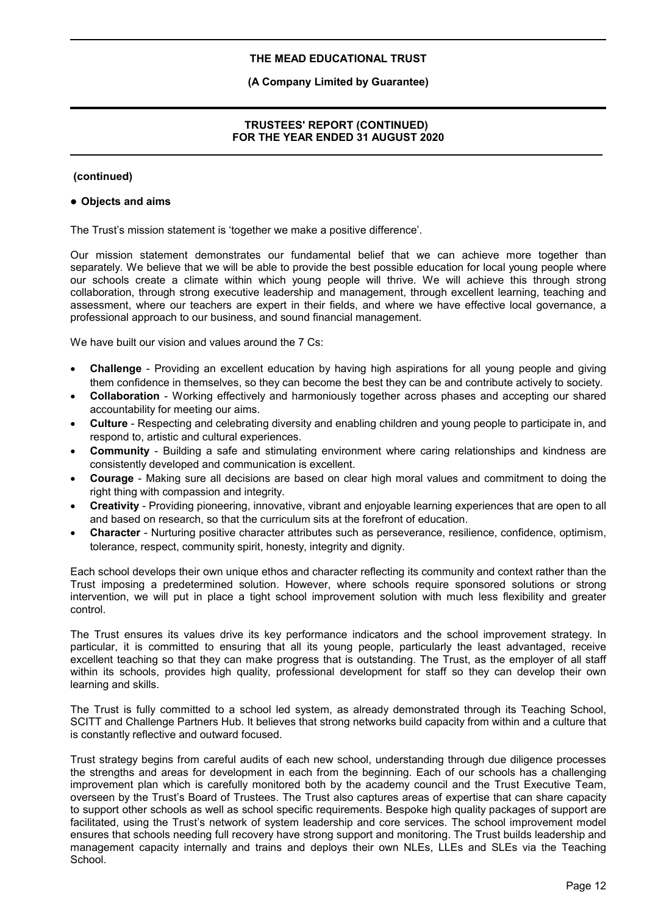# **(A Company Limited by Guarantee)**

# **TRUSTEES' REPORT (CONTINUED) FOR THE YEAR ENDED 31 AUGUST 2020**

#### **(continued)**

#### **Objects and aims**

The Trust's mission statement is 'together we make a positive difference'.

Our mission statement demonstrates our fundamental belief that we can achieve more together than separately. We believe that we will be able to provide the best possible education for local young people where our schools create a climate within which young people will thrive. We will achieve this through strong collaboration, through strong executive leadership and management, through excellent learning, teaching and assessment, where our teachers are expert in their fields, and where we have effective local governance, a professional approach to our business, and sound financial management.

We have built our vision and values around the 7 Cs:

- **Challenge** Providing an excellent education by having high aspirations for all young people and giving them confidence in themselves, so they can become the best they can be and contribute actively to society.
- **Collaboration** Working effectively and harmoniously together across phases and accepting our shared accountability for meeting our aims.
- **Culture** Respecting and celebrating diversity and enabling children and young people to participate in, and respond to, artistic and cultural experiences.
- **Community** Building a safe and stimulating environment where caring relationships and kindness are consistently developed and communication is excellent.
- **Courage** Making sure all decisions are based on clear high moral values and commitment to doing the right thing with compassion and integrity.
- **Creativity** Providing pioneering, innovative, vibrant and enjoyable learning experiences that are open to all and based on research, so that the curriculum sits at the forefront of education.
- **Character** Nurturing positive character attributes such as perseverance, resilience, confidence, optimism, tolerance, respect, community spirit, honesty, integrity and dignity.

Each school develops their own unique ethos and character reflecting its community and context rather than the Trust imposing a predetermined solution. However, where schools require sponsored solutions or strong intervention, we will put in place a tight school improvement solution with much less flexibility and greater control.

The Trust ensures its values drive its key performance indicators and the school improvement strategy. In particular, it is committed to ensuring that all its young people, particularly the least advantaged, receive excellent teaching so that they can make progress that is outstanding. The Trust, as the employer of all staff within its schools, provides high quality, professional development for staff so they can develop their own learning and skills.

The Trust is fully committed to a school led system, as already demonstrated through its Teaching School, SCITT and Challenge Partners Hub. It believes that strong networks build capacity from within and a culture that is constantly reflective and outward focused.

Trust strategy begins from careful audits of each new school, understanding through due diligence processes the strengths and areas for development in each from the beginning. Each of our schools has a challenging improvement plan which is carefully monitored both by the academy council and the Trust Executive Team, overseen by the Trust's Board of Trustees. The Trust also captures areas of expertise that can share capacity to support other schools as well as school specific requirements. Bespoke high quality packages of support are facilitated, using the Trust's network of system leadership and core services. The school improvement model ensures that schools needing full recovery have strong support and monitoring. The Trust builds leadership and management capacity internally and trains and deploys their own NLEs, LLEs and SLEs via the Teaching School.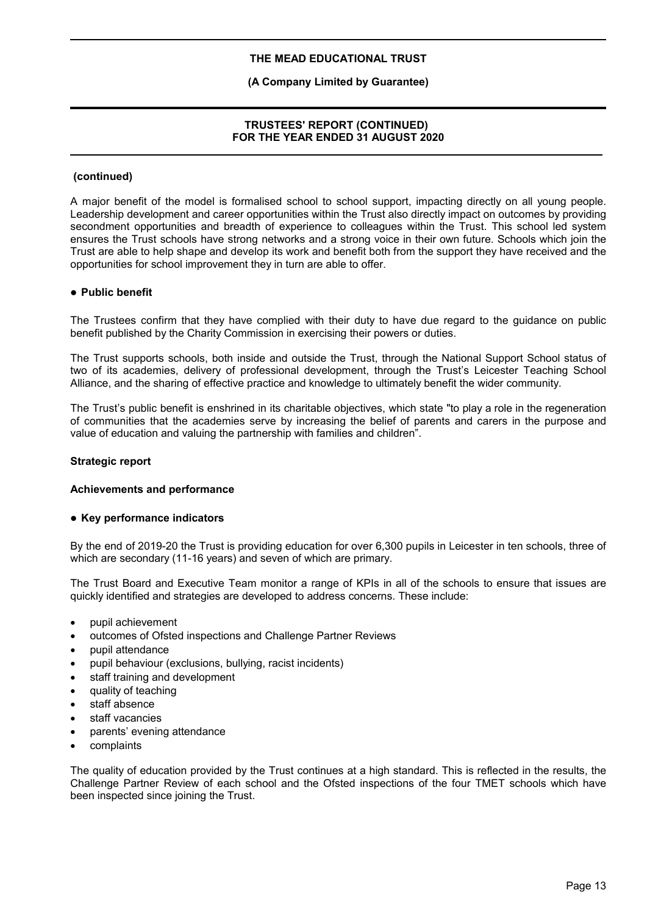# **(A Company Limited by Guarantee)**

# **TRUSTEES' REPORT (CONTINUED) FOR THE YEAR ENDED 31 AUGUST 2020**

#### **(continued)**

A major benefit of the model is formalised school to school support, impacting directly on all young people. Leadership development and career opportunities within the Trust also directly impact on outcomes by providing secondment opportunities and breadth of experience to colleagues within the Trust. This school led system ensures the Trust schools have strong networks and a strong voice in their own future. Schools which join the Trust are able to help shape and develop its work and benefit both from the support they have received and the opportunities for school improvement they in turn are able to offer.

#### **Public benefit**

The Trustees confirm that they have complied with their duty to have due regard to the guidance on public benefit published by the Charity Commission in exercising their powers or duties.

The Trust supports schools, both inside and outside the Trust, through the National Support School status of two of its academies, delivery of professional development, through the Trust's Leicester Teaching School Alliance, and the sharing of effective practice and knowledge to ultimately benefit the wider community.

The Trust's public benefit is enshrined in its charitable objectives, which state "to play a role in the regeneration of communities that the academies serve by increasing the belief of parents and carers in the purpose and value of education and valuing the partnership with families and children".

#### **Strategic report**

#### **Achievements and performance**

#### **Key performance indicators**

By the end of 2019-20 the Trust is providing education for over 6,300 pupils in Leicester in ten schools, three of which are secondary (11-16 years) and seven of which are primary.

The Trust Board and Executive Team monitor a range of KPIs in all of the schools to ensure that issues are quickly identified and strategies are developed to address concerns. These include:

- pupil achievement
- outcomes of Ofsted inspections and Challenge Partner Reviews
- pupil attendance
- pupil behaviour (exclusions, bullying, racist incidents)
- staff training and development
- quality of teaching
- staff absence
- staff vacancies
- parents' evening attendance
- complaints

The quality of education provided by the Trust continues at a high standard. This is reflected in the results, the Challenge Partner Review of each school and the Ofsted inspections of the four TMET schools which have been inspected since joining the Trust.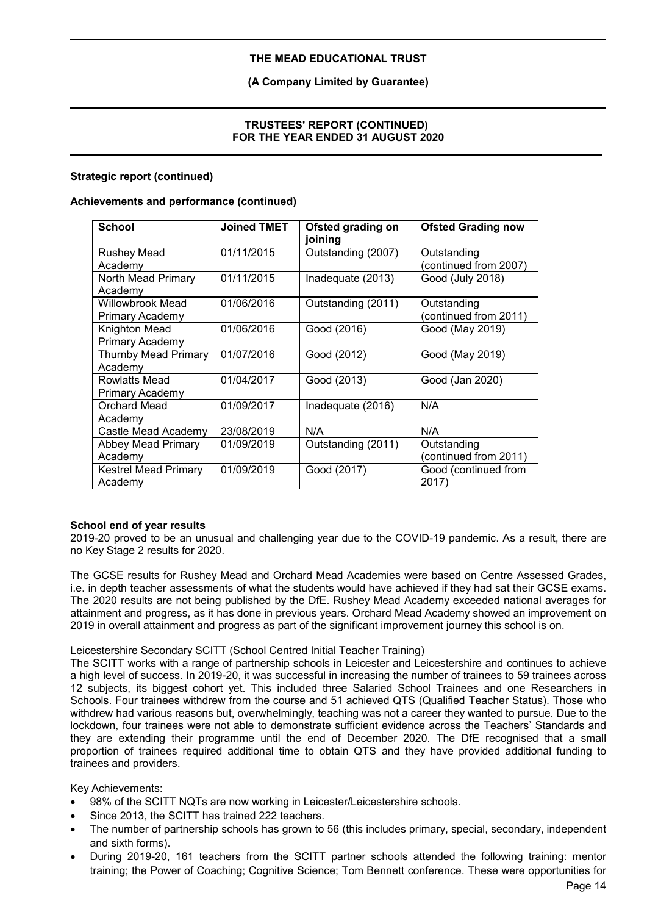# **(A Company Limited by Guarantee)**

# **TRUSTEES' REPORT (CONTINUED) FOR THE YEAR ENDED 31 AUGUST 2020**

# **Strategic report (continued)**

#### **Achievements and performance (continued)**

| <b>School</b>                          | <b>Joined TMET</b> | Ofsted grading on<br>joining | <b>Ofsted Grading now</b>            |
|----------------------------------------|--------------------|------------------------------|--------------------------------------|
| <b>Rushey Mead</b><br>Academy          | 01/11/2015         | Outstanding (2007)           | Outstanding<br>(continued from 2007) |
| North Mead Primary<br>Academv          | 01/11/2015         | Inadequate (2013)            | Good (July 2018)                     |
| Willowbrook Mead<br>Primary Academy    | 01/06/2016         | Outstanding (2011)           | Outstanding<br>(continued from 2011) |
| Knighton Mead<br>Primary Academy       | 01/06/2016         | Good (2016)                  | Good (May 2019)                      |
| <b>Thurnby Mead Primary</b><br>Academy | 01/07/2016         | Good (2012)                  | Good (May 2019)                      |
| Rowlatts Mead<br>Primary Academy       | 01/04/2017         | Good (2013)                  | Good (Jan 2020)                      |
| Orchard Mead<br>Academy                | 01/09/2017         | Inadequate (2016)            | N/A                                  |
| Castle Mead Academy                    | 23/08/2019         | N/A                          | N/A                                  |
| Abbey Mead Primary<br>Academy          | 01/09/2019         | Outstanding (2011)           | Outstanding<br>(continued from 2011) |
| <b>Kestrel Mead Primary</b><br>Academy | 01/09/2019         | Good (2017)                  | Good (continued from<br>2017         |

#### **School end of year results**

2019-20 proved to be an unusual and challenging year due to the COVID-19 pandemic. As a result, there are no Key Stage 2 results for 2020.

The GCSE results for Rushey Mead and Orchard Mead Academies were based on Centre Assessed Grades, i.e. in depth teacher assessments of what the students would have achieved if they had sat their GCSE exams. The 2020 results are not being published by the DfE. Rushey Mead Academy exceeded national averages for attainment and progress, as it has done in previous years. Orchard Mead Academy showed an improvement on 2019 in overall attainment and progress as part of the significant improvement journey this school is on.

#### Leicestershire Secondary SCITT (School Centred Initial Teacher Training)

The SCITT works with a range of partnership schools in Leicester and Leicestershire and continues to achieve a high level of success. In 2019-20, it was successful in increasing the number of trainees to 59 trainees across 12 subjects, its biggest cohort yet. This included three Salaried School Trainees and one Researchers in Schools. Four trainees withdrew from the course and 51 achieved QTS (Qualified Teacher Status). Those who withdrew had various reasons but, overwhelmingly, teaching was not a career they wanted to pursue. Due to the lockdown, four trainees were not able to demonstrate sufficient evidence across the Teachers' Standards and they are extending their programme until the end of December 2020. The DfE recognised that a small proportion of trainees required additional time to obtain QTS and they have provided additional funding to trainees and providers.

Key Achievements:

- 98% of the SCITT NQTs are now working in Leicester/Leicestershire schools.
- Since 2013, the SCITT has trained 222 teachers.
- The number of partnership schools has grown to 56 (this includes primary, special, secondary, independent and sixth forms).
- During 2019-20, 161 teachers from the SCITT partner schools attended the following training: mentor training; the Power of Coaching; Cognitive Science; Tom Bennett conference. These were opportunities for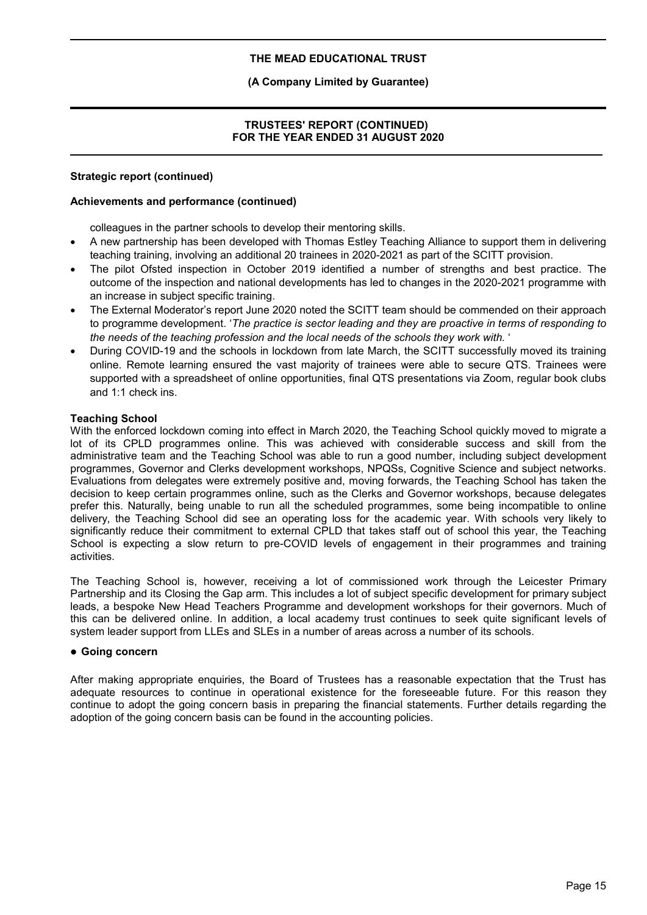# **(A Company Limited by Guarantee)**

# **TRUSTEES' REPORT (CONTINUED) FOR THE YEAR ENDED 31 AUGUST 2020**

#### **Strategic report (continued)**

#### **Achievements and performance (continued)**

colleagues in the partner schools to develop their mentoring skills.

- A new partnership has been developed with Thomas Estley Teaching Alliance to support them in delivering teaching training, involving an additional 20 trainees in 2020-2021 as part of the SCITT provision.
- The pilot Ofsted inspection in October 2019 identified a number of strengths and best practice. The outcome of the inspection and national developments has led to changes in the 2020-2021 programme with an increase in subject specific training.
- The External Moderator's report June 2020 noted the SCITT team should be commended on their approach to programme development. '*The practice is sector leading and they are proactive in terms of responding to the needs of the teaching profession and the local needs of the schools they work with.* '
- During COVID-19 and the schools in lockdown from late March, the SCITT successfully moved its training online. Remote learning ensured the vast majority of trainees were able to secure QTS. Trainees were supported with a spreadsheet of online opportunities, final QTS presentations via Zoom, regular book clubs and 1:1 check ins.

#### **Teaching School**

With the enforced lockdown coming into effect in March 2020, the Teaching School quickly moved to migrate a lot of its CPLD programmes online. This was achieved with considerable success and skill from the administrative team and the Teaching School was able to run a good number, including subject development programmes, Governor and Clerks development workshops, NPQSs, Cognitive Science and subject networks. Evaluations from delegates were extremely positive and, moving forwards, the Teaching School has taken the decision to keep certain programmes online, such as the Clerks and Governor workshops, because delegates prefer this. Naturally, being unable to run all the scheduled programmes, some being incompatible to online delivery, the Teaching School did see an operating loss for the academic year. With schools very likely to significantly reduce their commitment to external CPLD that takes staff out of school this year, the Teaching School is expecting a slow return to pre-COVID levels of engagement in their programmes and training activities.

The Teaching School is, however, receiving a lot of commissioned work through the Leicester Primary Partnership and its Closing the Gap arm. This includes a lot of subject specific development for primary subject leads, a bespoke New Head Teachers Programme and development workshops for their governors. Much of this can be delivered online. In addition, a local academy trust continues to seek quite significant levels of system leader support from LLEs and SLEs in a number of areas across a number of its schools.

#### **Going concern**

After making appropriate enquiries, the Board of Trustees has a reasonable expectation that the Trust has adequate resources to continue in operational existence for the foreseeable future. For this reason they continue to adopt the going concern basis in preparing the financial statements. Further details regarding the adoption of the going concern basis can be found in the accounting policies.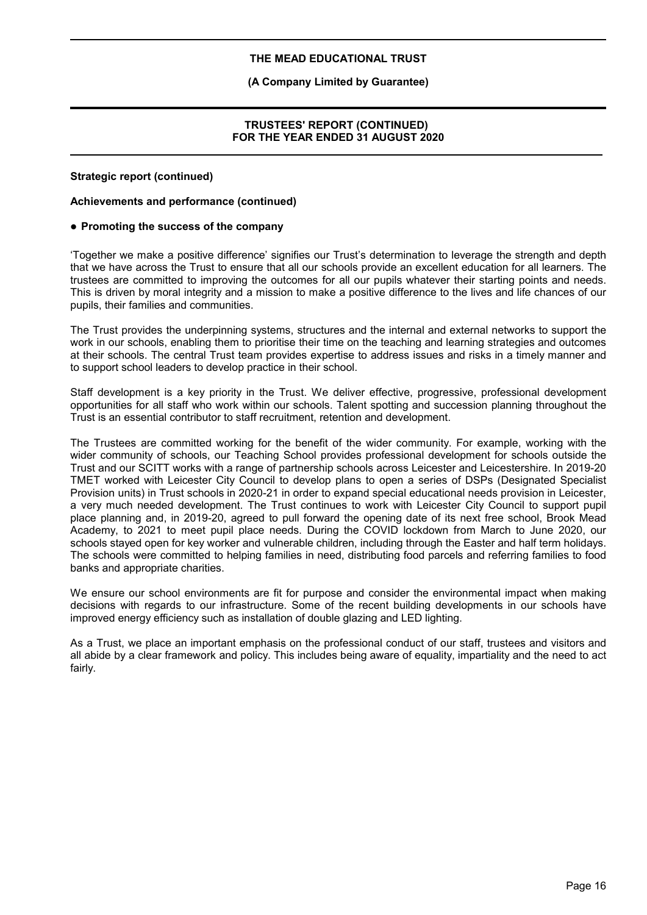# **(A Company Limited by Guarantee)**

#### **TRUSTEES' REPORT (CONTINUED) FOR THE YEAR ENDED 31 AUGUST 2020**

#### **Strategic report (continued)**

#### **Achievements and performance (continued)**

#### **Promoting the success of the company**

'Together we make a positive difference' signifies our Trust's determination to leverage the strength and depth that we have across the Trust to ensure that all our schools provide an excellent education for all learners. The trustees are committed to improving the outcomes for all our pupils whatever their starting points and needs. This is driven by moral integrity and a mission to make a positive difference to the lives and life chances of our pupils, their families and communities.

The Trust provides the underpinning systems, structures and the internal and external networks to support the work in our schools, enabling them to prioritise their time on the teaching and learning strategies and outcomes at their schools. The central Trust team provides expertise to address issues and risks in a timely manner and to support school leaders to develop practice in their school.

Staff development is a key priority in the Trust. We deliver effective, progressive, professional development opportunities for all staff who work within our schools. Talent spotting and succession planning throughout the Trust is an essential contributor to staff recruitment, retention and development.

The Trustees are committed working for the benefit of the wider community. For example, working with the wider community of schools, our Teaching School provides professional development for schools outside the Trust and our SCITT works with a range of partnership schools across Leicester and Leicestershire. In 2019-20 TMET worked with Leicester City Council to develop plans to open a series of DSPs (Designated Specialist Provision units) in Trust schools in 2020-21 in order to expand special educational needs provision in Leicester, a very much needed development. The Trust continues to work with Leicester City Council to support pupil place planning and, in 2019-20, agreed to pull forward the opening date of its next free school, Brook Mead Academy, to 2021 to meet pupil place needs. During the COVID lockdown from March to June 2020, our schools stayed open for key worker and vulnerable children, including through the Easter and half term holidays. The schools were committed to helping families in need, distributing food parcels and referring families to food banks and appropriate charities.

We ensure our school environments are fit for purpose and consider the environmental impact when making decisions with regards to our infrastructure. Some of the recent building developments in our schools have improved energy efficiency such as installation of double glazing and LED lighting.

As a Trust, we place an important emphasis on the professional conduct of our staff, trustees and visitors and all abide by a clear framework and policy. This includes being aware of equality, impartiality and the need to act fairly.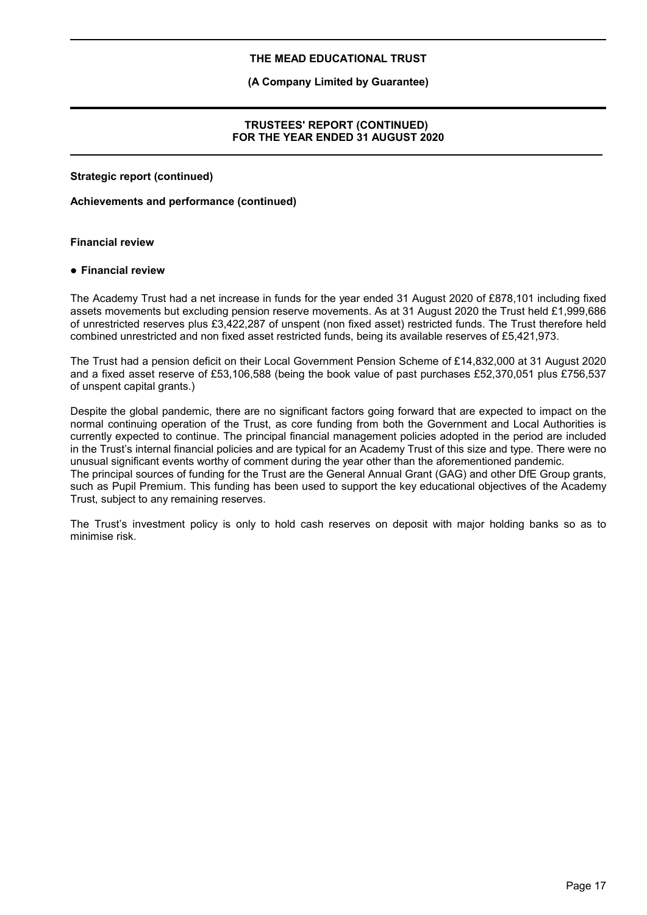#### **(A Company Limited by Guarantee)**

#### **TRUSTEES' REPORT (CONTINUED) FOR THE YEAR ENDED 31 AUGUST 2020**

**Strategic report (continued)**

#### **Achievements and performance (continued)**

#### **Financial review**

#### **Financial review**

The Academy Trust had a net increase in funds for the year ended 31 August 2020 of £878,101 including fixed assets movements but excluding pension reserve movements. As at 31 August 2020 the Trust held £1,999,686 of unrestricted reserves plus £3,422,287 of unspent (non fixed asset) restricted funds. The Trust therefore held combined unrestricted and non fixed asset restricted funds, being its available reserves of £5,421,973.

The Trust had a pension deficit on their Local Government Pension Scheme of £14,832,000 at 31 August 2020 and a fixed asset reserve of £53,106,588 (being the book value of past purchases £52,370,051 plus £756,537 of unspent capital grants.)

Despite the global pandemic, there are no significant factors going forward that are expected to impact on the normal continuing operation of the Trust, as core funding from both the Government and Local Authorities is currently expected to continue. The principal financial management policies adopted in the period are included in the Trust's internal financial policies and are typical for an Academy Trust of this size and type. There were no unusual significant events worthy of comment during the year other than the aforementioned pandemic. The principal sources of funding for the Trust are the General Annual Grant (GAG) and other DfE Group grants, such as Pupil Premium. This funding has been used to support the key educational objectives of the Academy Trust, subject to any remaining reserves.

The Trust's investment policy is only to hold cash reserves on deposit with major holding banks so as to minimise risk.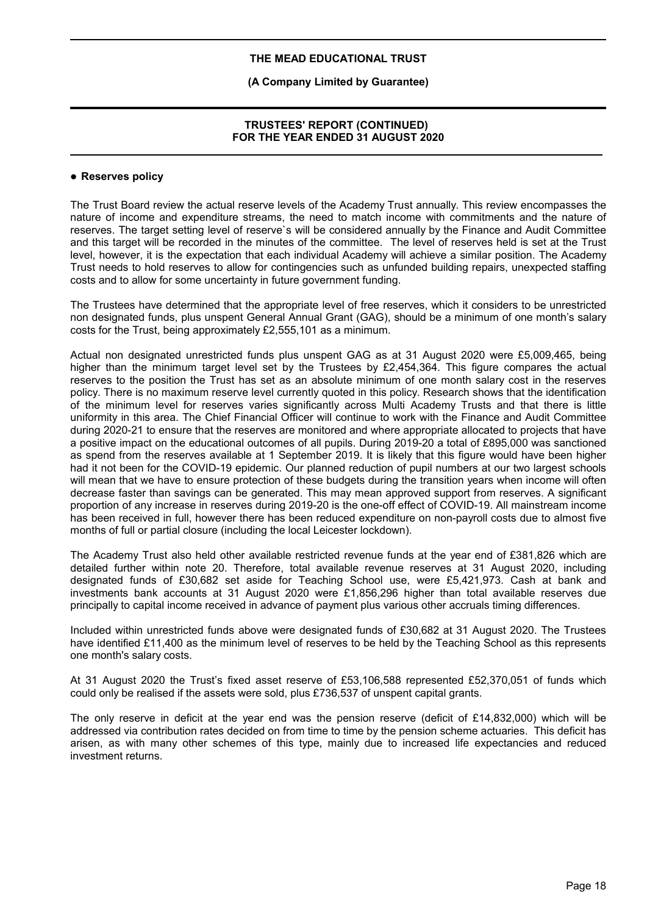# **(A Company Limited by Guarantee)**

#### **TRUSTEES' REPORT (CONTINUED) FOR THE YEAR ENDED 31 AUGUST 2020**

#### **Reserves policy**

The Trust Board review the actual reserve levels of the Academy Trust annually. This review encompasses the nature of income and expenditure streams, the need to match income with commitments and the nature of reserves. The target setting level of reserve`s will be considered annually by the Finance and Audit Committee and this target will be recorded in the minutes of the committee. The level of reserves held is set at the Trust level, however, it is the expectation that each individual Academy will achieve a similar position. The Academy Trust needs to hold reserves to allow for contingencies such as unfunded building repairs, unexpected staffing costs and to allow for some uncertainty in future government funding.

The Trustees have determined that the appropriate level of free reserves, which it considers to be unrestricted non designated funds, plus unspent General Annual Grant (GAG), should be a minimum of one month's salary costs for the Trust, being approximately £2,555,101 as a minimum.

Actual non designated unrestricted funds plus unspent GAG as at 31 August 2020 were £5,009,465, being higher than the minimum target level set by the Trustees by £2,454,364. This figure compares the actual reserves to the position the Trust has set as an absolute minimum of one month salary cost in the reserves policy. There is no maximum reserve level currently quoted in this policy. Research shows that the identification of the minimum level for reserves varies significantly across Multi Academy Trusts and that there is little uniformity in this area. The Chief Financial Officer will continue to work with the Finance and Audit Committee during 2020-21 to ensure that the reserves are monitored and where appropriate allocated to projects that have a positive impact on the educational outcomes of all pupils. During 2019-20 a total of £895,000 was sanctioned as spend from the reserves available at 1 September 2019. It is likely that this figure would have been higher had it not been for the COVID-19 epidemic. Our planned reduction of pupil numbers at our two largest schools will mean that we have to ensure protection of these budgets during the transition years when income will often decrease faster than savings can be generated. This may mean approved support from reserves. A significant proportion of any increase in reserves during 2019-20 is the one-off effect of COVID-19. All mainstream income has been received in full, however there has been reduced expenditure on non-payroll costs due to almost five months of full or partial closure (including the local Leicester lockdown).

The Academy Trust also held other available restricted revenue funds at the year end of £381,826 which are detailed further within note 20. Therefore, total available revenue reserves at 31 August 2020, including designated funds of £30,682 set aside for Teaching School use, were £5,421,973. Cash at bank and investments bank accounts at 31 August 2020 were £1,856,296 higher than total available reserves due principally to capital income received in advance of payment plus various other accruals timing differences.

Included within unrestricted funds above were designated funds of £30,682 at 31 August 2020. The Trustees have identified £11,400 as the minimum level of reserves to be held by the Teaching School as this represents one month's salary costs.

At 31 August 2020 the Trust's fixed asset reserve of £53,106,588 represented £52,370,051 of funds which could only be realised if the assets were sold, plus £736,537 of unspent capital grants.

The only reserve in deficit at the year end was the pension reserve (deficit of £14,832,000) which will be addressed via contribution rates decided on from time to time by the pension scheme actuaries. This deficit has arisen, as with many other schemes of this type, mainly due to increased life expectancies and reduced investment returns.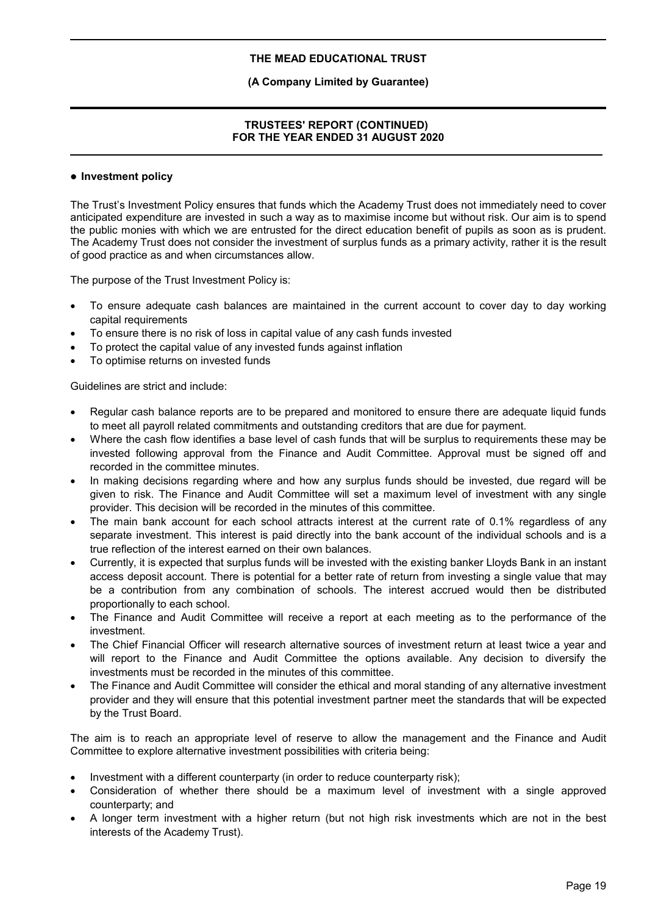# **(A Company Limited by Guarantee)**

# **TRUSTEES' REPORT (CONTINUED) FOR THE YEAR ENDED 31 AUGUST 2020**

#### **Investment policy**

The Trust's Investment Policy ensures that funds which the Academy Trust does not immediately need to cover anticipated expenditure are invested in such a way as to maximise income but without risk. Our aim is to spend the public monies with which we are entrusted for the direct education benefit of pupils as soon as is prudent. The Academy Trust does not consider the investment of surplus funds as a primary activity, rather it is the result of good practice as and when circumstances allow.

The purpose of the Trust Investment Policy is:

- To ensure adequate cash balances are maintained in the current account to cover day to day working capital requirements
- To ensure there is no risk of loss in capital value of any cash funds invested
- To protect the capital value of any invested funds against inflation
- To optimise returns on invested funds

Guidelines are strict and include:

- Regular cash balance reports are to be prepared and monitored to ensure there are adequate liquid funds to meet all payroll related commitments and outstanding creditors that are due for payment.
- Where the cash flow identifies a base level of cash funds that will be surplus to requirements these may be invested following approval from the Finance and Audit Committee. Approval must be signed off and recorded in the committee minutes.
- In making decisions regarding where and how any surplus funds should be invested, due regard will be given to risk. The Finance and Audit Committee will set a maximum level of investment with any single provider. This decision will be recorded in the minutes of this committee.
- The main bank account for each school attracts interest at the current rate of 0.1% regardless of any separate investment. This interest is paid directly into the bank account of the individual schools and is a true reflection of the interest earned on their own balances.
- Currently, it is expected that surplus funds will be invested with the existing banker Lloyds Bank in an instant access deposit account. There is potential for a better rate of return from investing a single value that may be a contribution from any combination of schools. The interest accrued would then be distributed proportionally to each school.
- The Finance and Audit Committee will receive a report at each meeting as to the performance of the investment.
- The Chief Financial Officer will research alternative sources of investment return at least twice a year and will report to the Finance and Audit Committee the options available. Any decision to diversify the investments must be recorded in the minutes of this committee.
- The Finance and Audit Committee will consider the ethical and moral standing of any alternative investment provider and they will ensure that this potential investment partner meet the standards that will be expected by the Trust Board.

The aim is to reach an appropriate level of reserve to allow the management and the Finance and Audit Committee to explore alternative investment possibilities with criteria being:

- Investment with a different counterparty (in order to reduce counterparty risk);
- Consideration of whether there should be a maximum level of investment with a single approved counterparty; and
- A longer term investment with a higher return (but not high risk investments which are not in the best interests of the Academy Trust).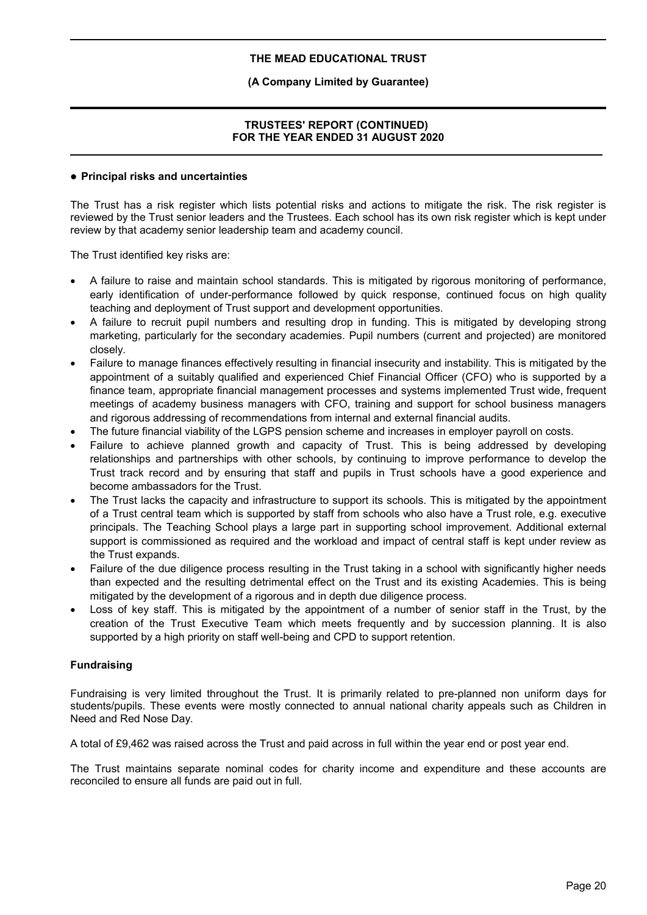# **(A Company Limited by Guarantee)**

# **TRUSTEES' REPORT (CONTINUED) FOR THE YEAR ENDED 31 AUGUST 2020**

#### **Principal risks and uncertainties**

The Trust has a risk register which lists potential risks and actions to mitigate the risk. The risk register is reviewed by the Trust senior leaders and the Trustees. Each school has its own risk register which is kept under review by that academy senior leadership team and academy council.

The Trust identified key risks are:

- A failure to raise and maintain school standards. This is mitigated by rigorous monitoring of performance, early identification of under-performance followed by quick response, continued focus on high quality teaching and deployment of Trust support and development opportunities.
- A failure to recruit pupil numbers and resulting drop in funding. This is mitigated by developing strong marketing, particularly for the secondary academies. Pupil numbers (current and projected) are monitored closely.
- Failure to manage finances effectively resulting in financial insecurity and instability. This is mitigated by the appointment of a suitably qualified and experienced Chief Financial Officer (CFO) who is supported by a finance team, appropriate financial management processes and systems implemented Trust wide, frequent meetings of academy business managers with CFO, training and support for school business managers and rigorous addressing of recommendations from internal and external financial audits.
- The future financial viability of the LGPS pension scheme and increases in employer payroll on costs.
- Failure to achieve planned growth and capacity of Trust. This is being addressed by developing relationships and partnerships with other schools, by continuing to improve performance to develop the Trust track record and by ensuring that staff and pupils in Trust schools have a good experience and become ambassadors for the Trust.
- The Trust lacks the capacity and infrastructure to support its schools. This is mitigated by the appointment of a Trust central team which is supported by staff from schools who also have a Trust role, e.g. executive principals. The Teaching School plays a large part in supporting school improvement. Additional external support is commissioned as required and the workload and impact of central staff is kept under review as the Trust expands.
- Failure of the due diligence process resulting in the Trust taking in a school with significantly higher needs than expected and the resulting detrimental effect on the Trust and its existing Academies. This is being mitigated by the development of a rigorous and in depth due diligence process.
- Loss of key staff. This is mitigated by the appointment of a number of senior staff in the Trust, by the creation of the Trust Executive Team which meets frequently and by succession planning. It is also supported by a high priority on staff well-being and CPD to support retention.

# **Fundraising**

Fundraising is very limited throughout the Trust. It is primarily related to pre-planned non uniform days for students/pupils. These events were mostly connected to annual national charity appeals such as Children in Need and Red Nose Day.

A total of £9,462 was raised across the Trust and paid across in full within the year end or post year end.

The Trust maintains separate nominal codes for charity income and expenditure and these accounts are reconciled to ensure all funds are paid out in full.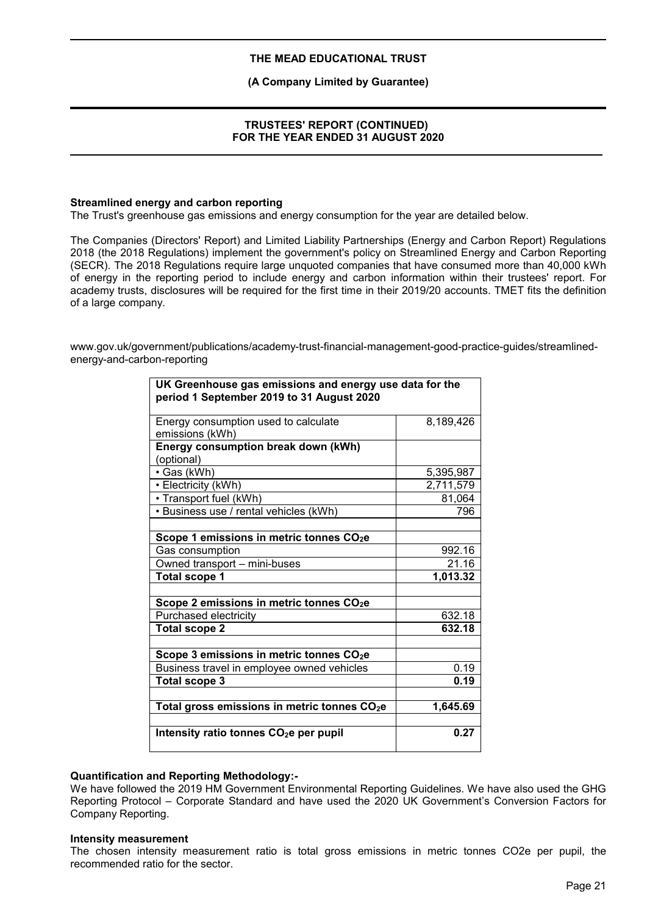**(A Company Limited by Guarantee)**

# **TRUSTEES' REPORT (CONTINUED) FOR THE YEAR ENDED 31 AUGUST 2020**

#### **Streamlined energy and carbon reporting**

The Trust's greenhouse gas emissions and energy consumption for the year are detailed below.

The Companies (Directors' Report) and Limited Liability Partnerships (Energy and Carbon Report) Regulations 2018 (the 2018 Regulations) implement the government's policy on Streamlined Energy and Carbon Reporting (SECR). The 2018 Regulations require large unquoted companies that have consumed more than 40,000 kWh of energy in the reporting period to include energy and carbon information within their trustees' report. For academy trusts, disclosures will be required for the first time in their 2019/20 accounts. TMET fits the definition of a large company.

www.gov.uk/government/publications/academy-trust-financial-management-good-practice-guides/streamlinedenergy-and-carbon-reporting

| UK Greenhouse gas emissions and energy use data for the<br>period 1 September 2019 to 31 August 2020 |           |  |
|------------------------------------------------------------------------------------------------------|-----------|--|
| Energy consumption used to calculate                                                                 | 8,189,426 |  |
| emissions (kWh)                                                                                      |           |  |
| Energy consumption break down (kWh)                                                                  |           |  |
| (optional)                                                                                           |           |  |
| • Gas (kWh)                                                                                          | 5,395,987 |  |
| • Electricity (kWh)                                                                                  | 2,711,579 |  |
| • Transport fuel (kWh)                                                                               | 81,064    |  |
| • Business use / rental vehicles (kWh)                                                               | 796       |  |
|                                                                                                      |           |  |
| Scope 1 emissions in metric tonnes CO <sub>2</sub> e                                                 |           |  |
| Gas consumption                                                                                      | 992.16    |  |
| Owned transport - mini-buses                                                                         | 21.16     |  |
| <b>Total scope 1</b>                                                                                 | 1,013.32  |  |
|                                                                                                      |           |  |
| Scope 2 emissions in metric tonnes CO <sub>2</sub> e                                                 |           |  |
| Purchased electricity                                                                                | 632.18    |  |
| <b>Total scope 2</b>                                                                                 | 632.18    |  |
|                                                                                                      |           |  |
| Scope 3 emissions in metric tonnes CO <sub>2</sub> e                                                 |           |  |
| Business travel in employee owned vehicles                                                           | 0.19      |  |
| <b>Total scope 3</b>                                                                                 | 0.19      |  |
|                                                                                                      |           |  |
| Total gross emissions in metric tonnes CO <sub>2</sub> e                                             | 1,645.69  |  |
|                                                                                                      |           |  |
| Intensity ratio tonnes CO <sub>2</sub> e per pupil                                                   | 0.27      |  |

#### **Quantification and Reporting Methodology:-**

We have followed the 2019 HM Government Environmental Reporting Guidelines. We have also used the GHG Reporting Protocol – Corporate Standard and have used the 2020 UK Government's Conversion Factors for Company Reporting.

#### **Intensity measurement**

The chosen intensity measurement ratio is total gross emissions in metric tonnes CO2e per pupil, the recommended ratio for the sector.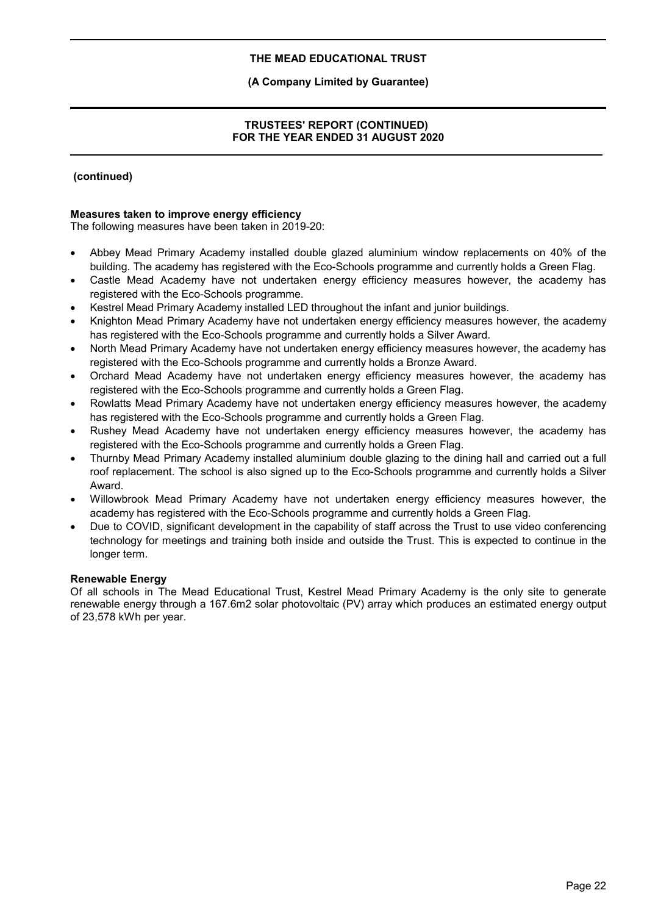# **(A Company Limited by Guarantee)**

# **TRUSTEES' REPORT (CONTINUED) FOR THE YEAR ENDED 31 AUGUST 2020**

# **(continued)**

# **Measures taken to improve energy efficiency**

The following measures have been taken in 2019-20:

- Abbey Mead Primary Academy installed double glazed aluminium window replacements on 40% of the building. The academy has registered with the Eco-Schools programme and currently holds a Green Flag.
- Castle Mead Academy have not undertaken energy efficiency measures however, the academy has registered with the Eco-Schools programme.
- Kestrel Mead Primary Academy installed LED throughout the infant and junior buildings.
- Knighton Mead Primary Academy have not undertaken energy efficiency measures however, the academy has registered with the Eco-Schools programme and currently holds a Silver Award.
- North Mead Primary Academy have not undertaken energy efficiency measures however, the academy has registered with the Eco-Schools programme and currently holds a Bronze Award.
- Orchard Mead Academy have not undertaken energy efficiency measures however, the academy has registered with the Eco-Schools programme and currently holds a Green Flag.
- Rowlatts Mead Primary Academy have not undertaken energy efficiency measures however, the academy has registered with the Eco-Schools programme and currently holds a Green Flag.
- Rushey Mead Academy have not undertaken energy efficiency measures however, the academy has registered with the Eco-Schools programme and currently holds a Green Flag.
- Thurnby Mead Primary Academy installed aluminium double glazing to the dining hall and carried out a full roof replacement. The school is also signed up to the Eco-Schools programme and currently holds a Silver Award.
- Willowbrook Mead Primary Academy have not undertaken energy efficiency measures however, the academy has registered with the Eco-Schools programme and currently holds a Green Flag.
- Due to COVID, significant development in the capability of staff across the Trust to use video conferencing technology for meetings and training both inside and outside the Trust. This is expected to continue in the longer term.

# **Renewable Energy**

Of all schools in The Mead Educational Trust, Kestrel Mead Primary Academy is the only site to generate renewable energy through a 167.6m2 solar photovoltaic (PV) array which produces an estimated energy output of 23,578 kWh per year.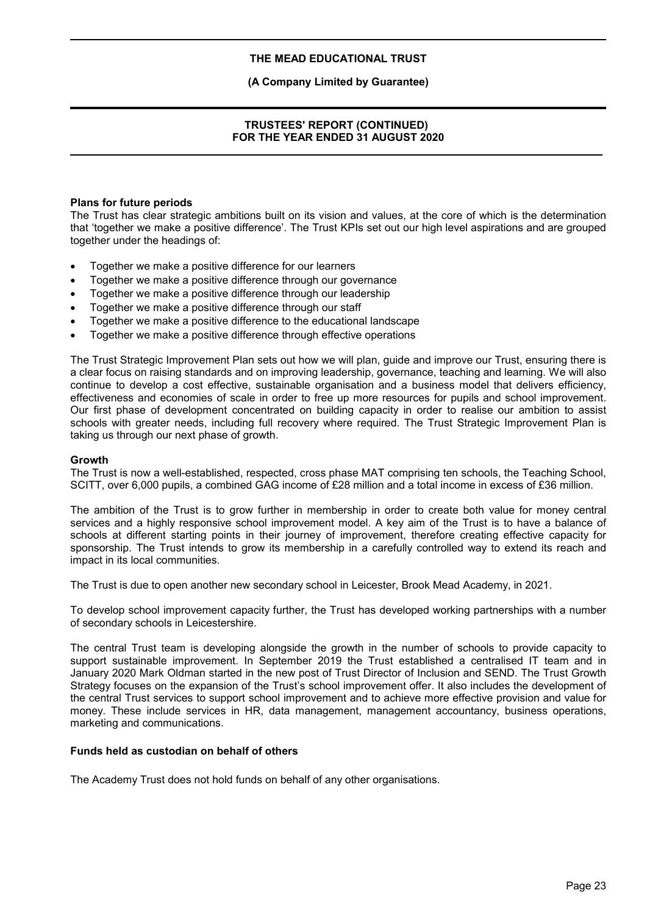#### **(A Company Limited by Guarantee)**

# **TRUSTEES' REPORT (CONTINUED) FOR THE YEAR ENDED 31 AUGUST 2020**

#### **Plans for future periods**

The Trust has clear strategic ambitions built on its vision and values, at the core of which is the determination that 'together we make a positive difference'. The Trust KPIs set out our high level aspirations and are grouped together under the headings of:

- Together we make a positive difference for our learners
- Together we make a positive difference through our governance
- Together we make a positive difference through our leadership
- Together we make a positive difference through our staff
- Together we make a positive difference to the educational landscape
- Together we make a positive difference through effective operations

The Trust Strategic Improvement Plan sets out how we will plan, guide and improve our Trust, ensuring there is a clear focus on raising standards and on improving leadership, governance, teaching and learning. We will also continue to develop a cost effective, sustainable organisation and a business model that delivers efficiency, effectiveness and economies of scale in order to free up more resources for pupils and school improvement. Our first phase of development concentrated on building capacity in order to realise our ambition to assist schools with greater needs, including full recovery where required. The Trust Strategic Improvement Plan is taking us through our next phase of growth.

#### **Growth**

The Trust is now a well-established, respected, cross phase MAT comprising ten schools, the Teaching School, SCITT, over 6,000 pupils, a combined GAG income of £28 million and a total income in excess of £36 million.

The ambition of the Trust is to grow further in membership in order to create both value for money central services and a highly responsive school improvement model. A key aim of the Trust is to have a balance of schools at different starting points in their journey of improvement, therefore creating effective capacity for sponsorship. The Trust intends to grow its membership in a carefully controlled way to extend its reach and impact in its local communities.

The Trust is due to open another new secondary school in Leicester, Brook Mead Academy, in 2021.

To develop school improvement capacity further, the Trust has developed working partnerships with a number of secondary schools in Leicestershire.

The central Trust team is developing alongside the growth in the number of schools to provide capacity to support sustainable improvement. In September 2019 the Trust established a centralised IT team and in January 2020 Mark Oldman started in the new post of Trust Director of Inclusion and SEND. The Trust Growth Strategy focuses on the expansion of the Trust's school improvement offer. It also includes the development of the central Trust services to support school improvement and to achieve more effective provision and value for money. These include services in HR, data management, management accountancy, business operations, marketing and communications.

#### **Funds held as custodian on behalf of others**

The Academy Trust does not hold funds on behalf of any other organisations.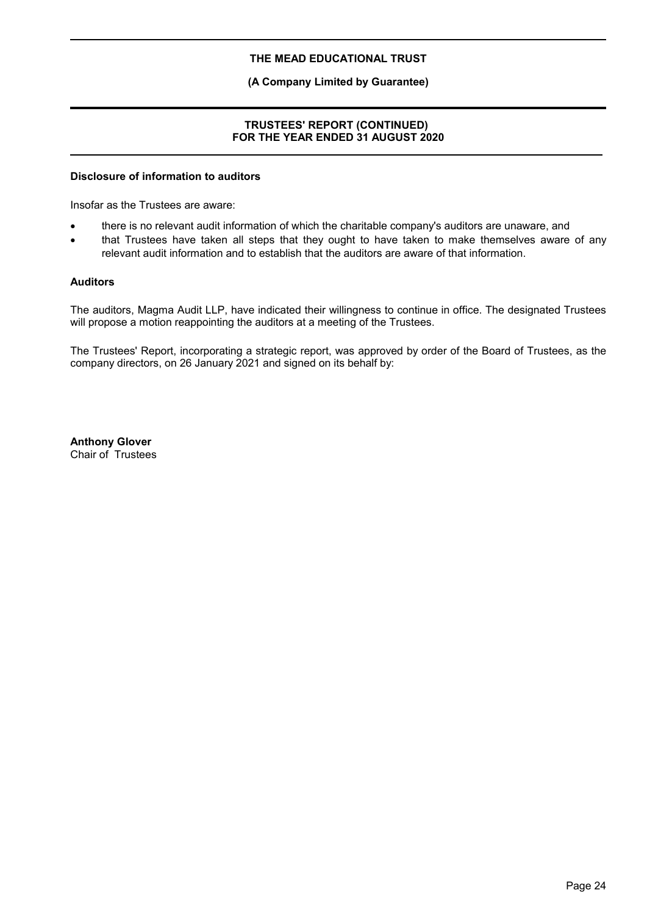# **(A Company Limited by Guarantee)**

# **TRUSTEES' REPORT (CONTINUED) FOR THE YEAR ENDED 31 AUGUST 2020**

#### **Disclosure of information to auditors**

Insofar as the Trustees are aware:

- there is no relevant audit information of which the charitable company's auditors are unaware, and
- that Trustees have taken all steps that they ought to have taken to make themselves aware of any relevant audit information and to establish that the auditors are aware of that information.

#### **Auditors**

The auditors, Magma Audit LLP, have indicated their willingness to continue in office. The designated Trustees will propose a motion reappointing the auditors at a meeting of the Trustees.

The Trustees' Report, incorporating a strategic report, was approved by order of the Board of Trustees, as the company directors, on 26 January 2021 and signed on its behalf by:

**Anthony Glover** Chair of Trustees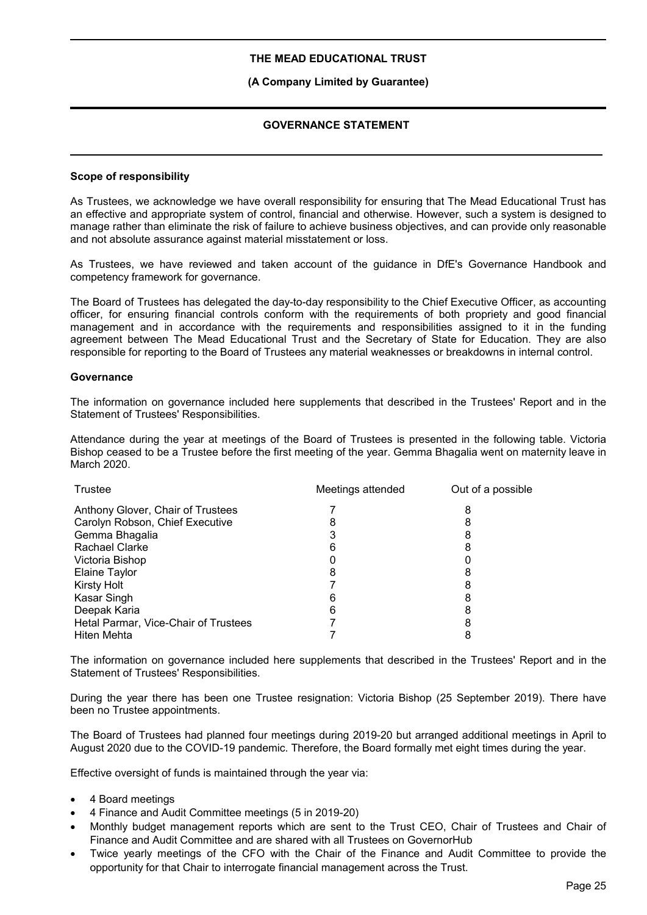#### **(A Company Limited by Guarantee)**

# **GOVERNANCE STATEMENT**

#### **Scope of responsibility**

As Trustees, we acknowledge we have overall responsibility for ensuring that The Mead Educational Trust has an effective and appropriate system of control, financial and otherwise. However, such a system is designed to manage rather than eliminate the risk of failure to achieve business objectives, and can provide only reasonable and not absolute assurance against material misstatement or loss.

As Trustees, we have reviewed and taken account of the guidance in DfE's Governance Handbook and competency framework for governance.

The Board of Trustees has delegated the day-to-day responsibility to the Chief Executive Officer, as accounting officer, for ensuring financial controls conform with the requirements of both propriety and good financial management and in accordance with the requirements and responsibilities assigned to it in the funding agreement between The Mead Educational Trust and the Secretary of State for Education. They are also responsible for reporting to the Board of Trustees any material weaknesses or breakdowns in internal control.

#### **Governance**

The information on governance included here supplements that described in the Trustees' Report and in the Statement of Trustees' Responsibilities.

Attendance during the year at meetings of the Board of Trustees is presented in the following table. Victoria Bishop ceased to be a Trustee before the first meeting of the year. Gemma Bhagalia went on maternity leave in March 2020.

| Trustee                              | Meetings attended | Out of a possible |
|--------------------------------------|-------------------|-------------------|
| Anthony Glover, Chair of Trustees    |                   | 8                 |
| Carolyn Robson, Chief Executive      |                   |                   |
| Gemma Bhagalia                       |                   |                   |
| Rachael Clarke                       |                   |                   |
| Victoria Bishop                      |                   |                   |
| Elaine Taylor                        |                   |                   |
| <b>Kirsty Holt</b>                   |                   |                   |
| Kasar Singh                          | 6                 |                   |
| Deepak Karia                         | 6                 |                   |
| Hetal Parmar, Vice-Chair of Trustees |                   |                   |
| Hiten Mehta                          |                   |                   |

The information on governance included here supplements that described in the Trustees' Report and in the Statement of Trustees' Responsibilities.

During the year there has been one Trustee resignation: Victoria Bishop (25 September 2019). There have been no Trustee appointments.

The Board of Trustees had planned four meetings during 2019-20 but arranged additional meetings in April to August 2020 due to the COVID-19 pandemic. Therefore, the Board formally met eight times during the year.

Effective oversight of funds is maintained through the year via:

- 4 Board meetings
- 4 Finance and Audit Committee meetings (5 in 2019-20)
- Monthly budget management reports which are sent to the Trust CEO, Chair of Trustees and Chair of Finance and Audit Committee and are shared with all Trustees on GovernorHub
- Twice yearly meetings of the CFO with the Chair of the Finance and Audit Committee to provide the opportunity for that Chair to interrogate financial management across the Trust.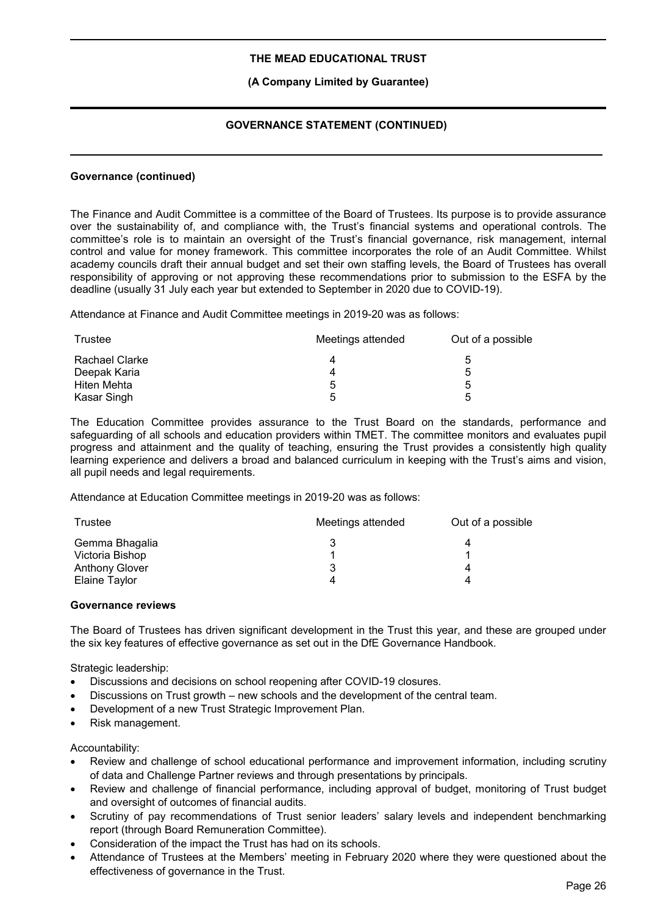# **(A Company Limited by Guarantee)**

# **GOVERNANCE STATEMENT (CONTINUED)**

#### **Governance (continued)**

The Finance and Audit Committee is a committee of the Board of Trustees. Its purpose is to provide assurance over the sustainability of, and compliance with, the Trust's financial systems and operational controls. The committee's role is to maintain an oversight of the Trust's financial governance, risk management, internal control and value for money framework. This committee incorporates the role of an Audit Committee. Whilst academy councils draft their annual budget and set their own staffing levels, the Board of Trustees has overall responsibility of approving or not approving these recommendations prior to submission to the ESFA by the deadline (usually 31 July each year but extended to September in 2020 due to COVID-19).

Attendance at Finance and Audit Committee meetings in 2019-20 was as follows:

| Trustee        | Meetings attended | Out of a possible |
|----------------|-------------------|-------------------|
| Rachael Clarke | 4                 | G                 |
| Deepak Karia   | 4                 | 5                 |
| Hiten Mehta    | ხ                 | 5                 |
| Kasar Singh    | Б,                | ∽                 |

The Education Committee provides assurance to the Trust Board on the standards, performance and safeguarding of all schools and education providers within TMET. The committee monitors and evaluates pupil progress and attainment and the quality of teaching, ensuring the Trust provides a consistently high quality learning experience and delivers a broad and balanced curriculum in keeping with the Trust's aims and vision, all pupil needs and legal requirements.

Attendance at Education Committee meetings in 2019-20 was as follows:

| Trustee               | Meetings attended | Out of a possible |
|-----------------------|-------------------|-------------------|
| Gemma Bhagalia        |                   |                   |
| Victoria Bishop       |                   |                   |
| <b>Anthony Glover</b> |                   |                   |
| Elaine Taylor         |                   |                   |

#### **Governance reviews**

The Board of Trustees has driven significant development in the Trust this year, and these are grouped under the six key features of effective governance as set out in the DfE Governance Handbook.

Strategic leadership:

- Discussions and decisions on school reopening after COVID-19 closures.
- Discussions on Trust growth new schools and the development of the central team.
- Development of a new Trust Strategic Improvement Plan.
- Risk management.

Accountability:

- Review and challenge of school educational performance and improvement information, including scrutiny of data and Challenge Partner reviews and through presentations by principals.
- Review and challenge of financial performance, including approval of budget, monitoring of Trust budget and oversight of outcomes of financial audits.
- Scrutiny of pay recommendations of Trust senior leaders' salary levels and independent benchmarking report (through Board Remuneration Committee).
- Consideration of the impact the Trust has had on its schools.
- Attendance of Trustees at the Members' meeting in February 2020 where they were questioned about the effectiveness of governance in the Trust.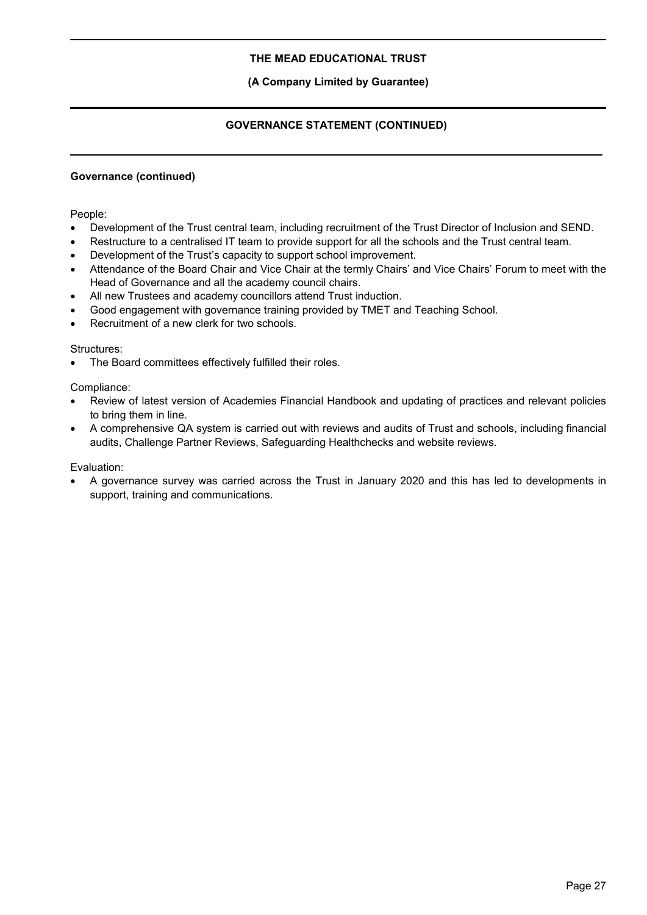# **(A Company Limited by Guarantee)**

# **GOVERNANCE STATEMENT (CONTINUED)**

# **Governance (continued)**

People:

- Development of the Trust central team, including recruitment of the Trust Director of Inclusion and SEND.
- Restructure to a centralised IT team to provide support for all the schools and the Trust central team.
- Development of the Trust's capacity to support school improvement.
- Attendance of the Board Chair and Vice Chair at the termly Chairs' and Vice Chairs' Forum to meet with the Head of Governance and all the academy council chairs.
- All new Trustees and academy councillors attend Trust induction.
- Good engagement with governance training provided by TMET and Teaching School.
- Recruitment of a new clerk for two schools.

#### Structures:

The Board committees effectively fulfilled their roles.

Compliance:

- Review of latest version of Academies Financial Handbook and updating of practices and relevant policies to bring them in line.
- A comprehensive QA system is carried out with reviews and audits of Trust and schools, including financial audits, Challenge Partner Reviews, Safeguarding Healthchecks and website reviews.

Evaluation:

 A governance survey was carried across the Trust in January 2020 and this has led to developments in support, training and communications.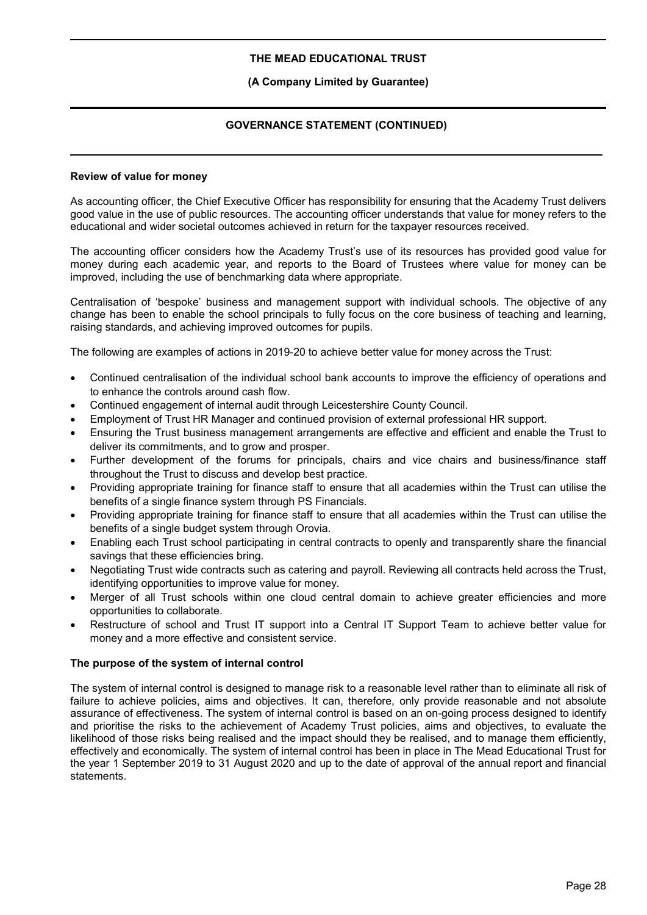# **(A Company Limited by Guarantee)**

# **GOVERNANCE STATEMENT (CONTINUED)**

#### **Review of value for money**

As accounting officer, the Chief Executive Officer has responsibility for ensuring that the Academy Trust delivers good value in the use of public resources. The accounting officer understands that value for money refers to the educational and wider societal outcomes achieved in return for the taxpayer resources received.

The accounting officer considers how the Academy Trust's use of its resources has provided good value for money during each academic year, and reports to the Board of Trustees where value for money can be improved, including the use of benchmarking data where appropriate.

Centralisation of 'bespoke' business and management support with individual schools. The objective of any change has been to enable the school principals to fully focus on the core business of teaching and learning, raising standards, and achieving improved outcomes for pupils.

The following are examples of actions in 2019-20 to achieve better value for money across the Trust:

- Continued centralisation of the individual school bank accounts to improve the efficiency of operations and to enhance the controls around cash flow.
- Continued engagement of internal audit through Leicestershire County Council.
- Employment of Trust HR Manager and continued provision of external professional HR support.
- Ensuring the Trust business management arrangements are effective and efficient and enable the Trust to deliver its commitments, and to grow and prosper.
- Further development of the forums for principals, chairs and vice chairs and business/finance staff throughout the Trust to discuss and develop best practice.
- Providing appropriate training for finance staff to ensure that all academies within the Trust can utilise the benefits of a single finance system through PS Financials.
- Providing appropriate training for finance staff to ensure that all academies within the Trust can utilise the benefits of a single budget system through Orovia.
- Enabling each Trust school participating in central contracts to openly and transparently share the financial savings that these efficiencies bring.
- Negotiating Trust wide contracts such as catering and payroll. Reviewing all contracts held across the Trust, identifying opportunities to improve value for money.
- Merger of all Trust schools within one cloud central domain to achieve greater efficiencies and more opportunities to collaborate.
- Restructure of school and Trust IT support into a Central IT Support Team to achieve better value for money and a more effective and consistent service.

# **The purpose of the system of internal control**

The system of internal control is designed to manage risk to a reasonable level rather than to eliminate all risk of failure to achieve policies, aims and objectives. It can, therefore, only provide reasonable and not absolute assurance of effectiveness. The system of internal control is based on an on-going process designed to identify and prioritise the risks to the achievement of Academy Trust policies, aims and objectives, to evaluate the likelihood of those risks being realised and the impact should they be realised, and to manage them efficiently, effectively and economically. The system of internal control has been in place in The Mead Educational Trust for the year 1 September 2019 to 31 August 2020 and up to the date of approval of the annual report and financial statements.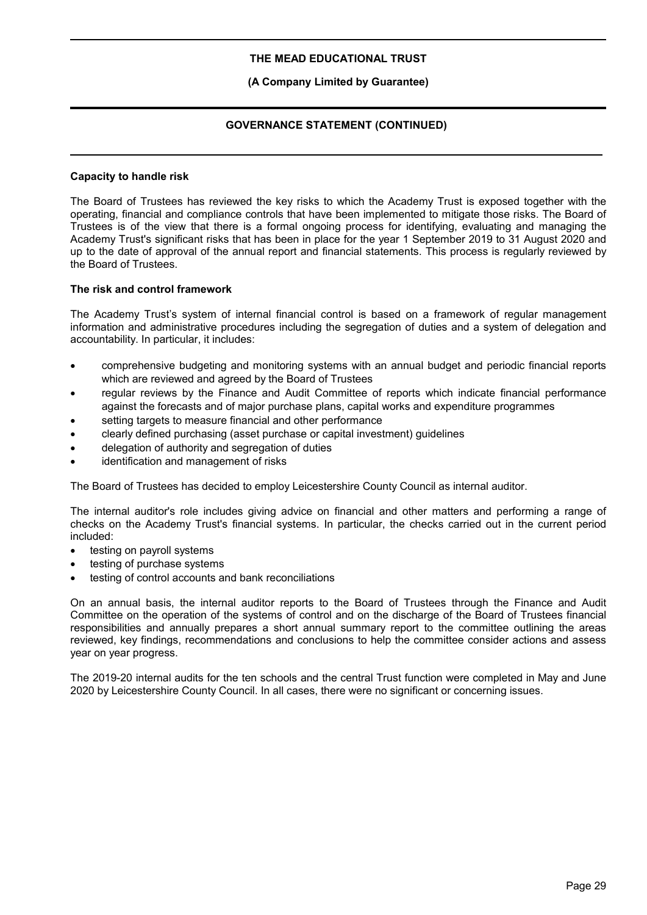# **(A Company Limited by Guarantee)**

# **GOVERNANCE STATEMENT (CONTINUED)**

#### **Capacity to handle risk**

The Board of Trustees has reviewed the key risks to which the Academy Trust is exposed together with the operating, financial and compliance controls that have been implemented to mitigate those risks. The Board of Trustees is of the view that there is a formal ongoing process for identifying, evaluating and managing the Academy Trust's significant risks that has been in place for the year 1 September 2019 to 31 August 2020 and up to the date of approval of the annual report and financial statements. This process is regularly reviewed by the Board of Trustees.

#### **The risk and control framework**

The Academy Trust's system of internal financial control is based on a framework of regular management information and administrative procedures including the segregation of duties and a system of delegation and accountability. In particular, it includes:

- comprehensive budgeting and monitoring systems with an annual budget and periodic financial reports which are reviewed and agreed by the Board of Trustees
- regular reviews by the Finance and Audit Committee of reports which indicate financial performance against the forecasts and of major purchase plans, capital works and expenditure programmes
- setting targets to measure financial and other performance
- clearly defined purchasing (asset purchase or capital investment) guidelines
- delegation of authority and segregation of duties
- identification and management of risks

The Board of Trustees has decided to employ Leicestershire County Council as internal auditor.

The internal auditor's role includes giving advice on financial and other matters and performing a range of checks on the Academy Trust's financial systems. In particular, the checks carried out in the current period included:

- testing on payroll systems
- testing of purchase systems
- testing of control accounts and bank reconciliations

On an annual basis, the internal auditor reports to the Board of Trustees through the Finance and Audit Committee on the operation of the systems of control and on the discharge of the Board of Trustees financial responsibilities and annually prepares a short annual summary report to the committee outlining the areas reviewed, key findings, recommendations and conclusions to help the committee consider actions and assess year on year progress.

The 2019-20 internal audits for the ten schools and the central Trust function were completed in May and June 2020 by Leicestershire County Council. In all cases, there were no significant or concerning issues.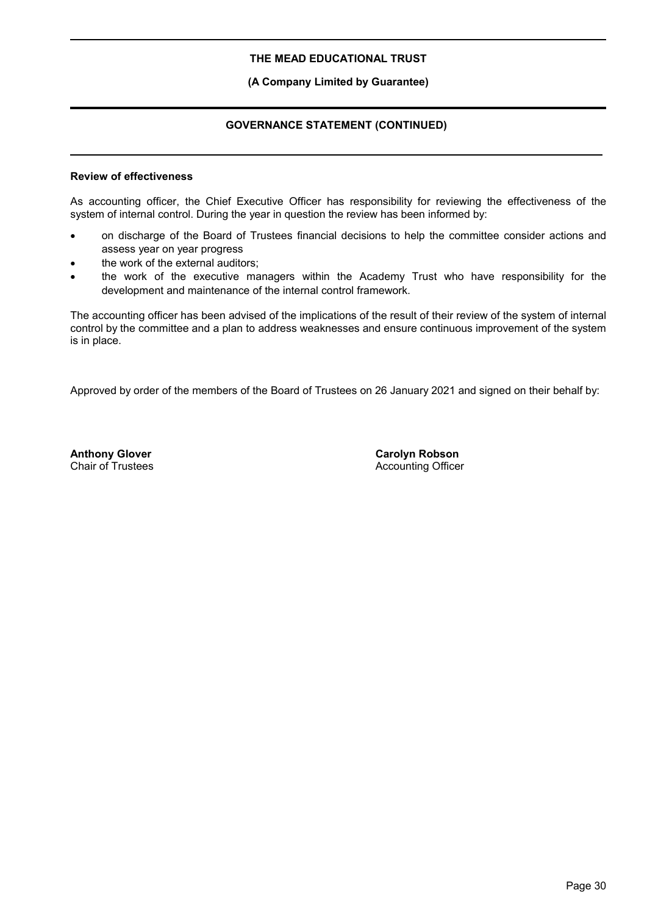# **(A Company Limited by Guarantee)**

# **GOVERNANCE STATEMENT (CONTINUED)**

# **Review of effectiveness**

As accounting officer, the Chief Executive Officer has responsibility for reviewing the effectiveness of the system of internal control. During the year in question the review has been informed by:

- on discharge of the Board of Trustees financial decisions to help the committee consider actions and assess year on year progress
- the work of the external auditors;
- the work of the executive managers within the Academy Trust who have responsibility for the development and maintenance of the internal control framework.

The accounting officer has been advised of the implications of the result of their review of the system of internal control by the committee and a plan to address weaknesses and ensure continuous improvement of the system is in place.

Approved by order of the members of the Board of Trustees on 26 January 2021 and signed on their behalf by:

**Anthony Glover** Chair of Trustees **Carolyn Robson** Accounting Officer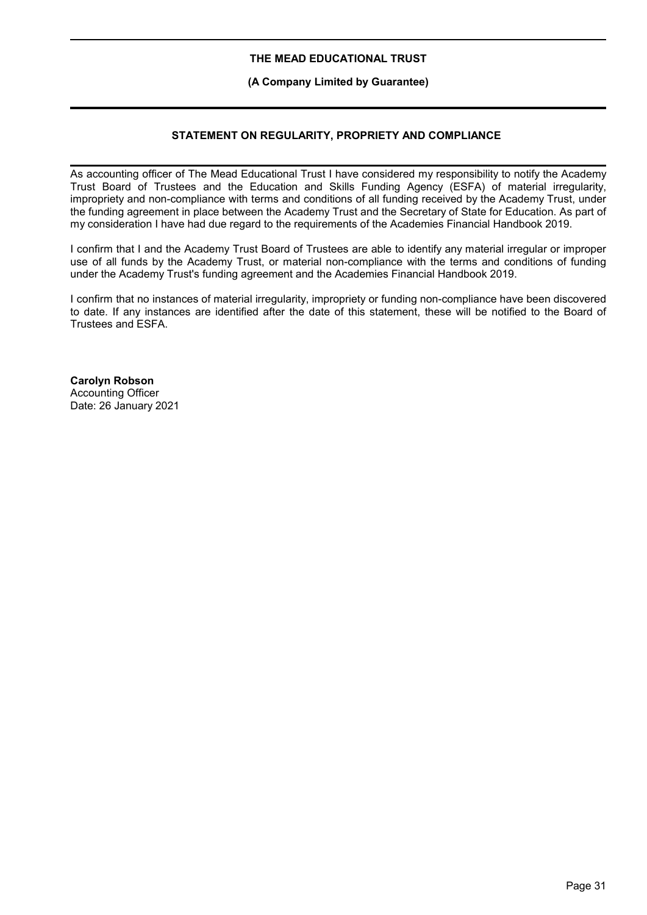# **(A Company Limited by Guarantee)**

# **STATEMENT ON REGULARITY, PROPRIETY AND COMPLIANCE**

As accounting officer of The Mead Educational Trust I have considered my responsibility to notify the Academy Trust Board of Trustees and the Education and Skills Funding Agency (ESFA) of material irregularity, impropriety and non-compliance with terms and conditions of all funding received by the Academy Trust, under the funding agreement in place between the Academy Trust and the Secretary of State for Education. As part of my consideration I have had due regard to the requirements of the Academies Financial Handbook 2019.

I confirm that I and the Academy Trust Board of Trustees are able to identify any material irregular or improper use of all funds by the Academy Trust, or material non-compliance with the terms and conditions of funding under the Academy Trust's funding agreement and the Academies Financial Handbook 2019.

I confirm that no instances of material irregularity, impropriety or funding non-compliance have been discovered to date. If any instances are identified after the date of this statement, these will be notified to the Board of Trustees and ESFA.

**Carolyn Robson** Accounting Officer Date: 26 January 2021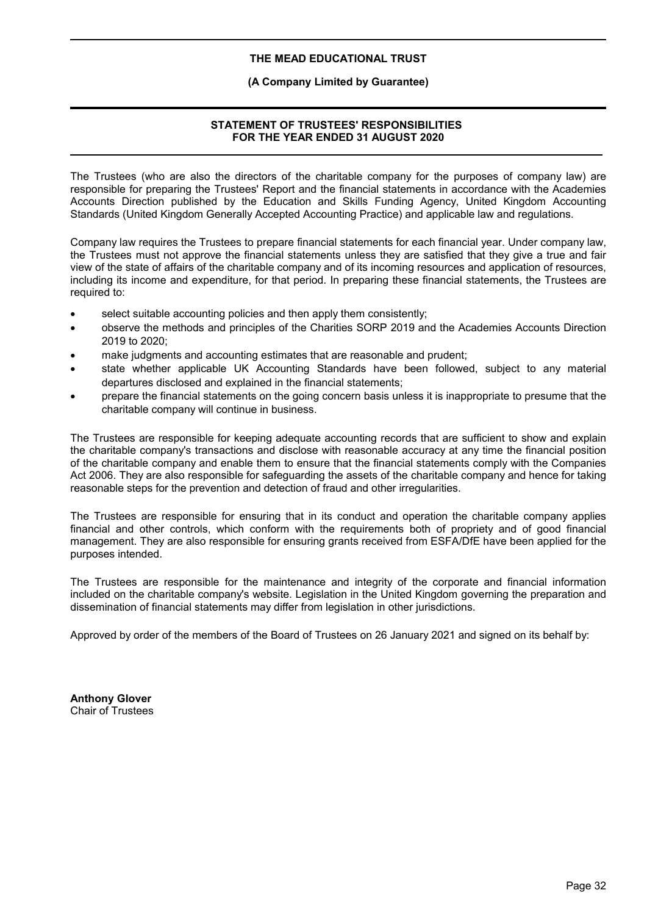# **(A Company Limited by Guarantee)**

# **STATEMENT OF TRUSTEES' RESPONSIBILITIES FOR THE YEAR ENDED 31 AUGUST 2020**

The Trustees (who are also the directors of the charitable company for the purposes of company law) are responsible for preparing the Trustees' Report and the financial statements in accordance with the Academies Accounts Direction published by the Education and Skills Funding Agency, United Kingdom Accounting Standards (United Kingdom Generally Accepted Accounting Practice) and applicable law and regulations.

Company law requires the Trustees to prepare financial statements for each financial year. Under company law, the Trustees must not approve the financial statements unless they are satisfied that they give a true and fair view of the state of affairs of the charitable company and of its incoming resources and application of resources, including its income and expenditure, for that period. In preparing these financial statements, the Trustees are required to:

- select suitable accounting policies and then apply them consistently;
- observe the methods and principles of the Charities SORP 2019 and the Academies Accounts Direction 2019 to 2020;
- make judgments and accounting estimates that are reasonable and prudent;
- state whether applicable UK Accounting Standards have been followed, subject to any material departures disclosed and explained in the financial statements;
- prepare the financial statements on the going concern basis unless it is inappropriate to presume that the charitable company will continue in business.

The Trustees are responsible for keeping adequate accounting records that are sufficient to show and explain the charitable company's transactions and disclose with reasonable accuracy at any time the financial position of the charitable company and enable them to ensure that the financial statements comply with the Companies Act 2006. They are also responsible for safeguarding the assets of the charitable company and hence for taking reasonable steps for the prevention and detection of fraud and other irregularities.

The Trustees are responsible for ensuring that in its conduct and operation the charitable company applies financial and other controls, which conform with the requirements both of propriety and of good financial management. They are also responsible for ensuring grants received from ESFA/DfE have been applied for the purposes intended.

The Trustees are responsible for the maintenance and integrity of the corporate and financial information included on the charitable company's website. Legislation in the United Kingdom governing the preparation and dissemination of financial statements may differ from legislation in other jurisdictions.

Approved by order of the members of the Board of Trustees on 26 January 2021 and signed on its behalf by:

**Anthony Glover** Chair of Trustees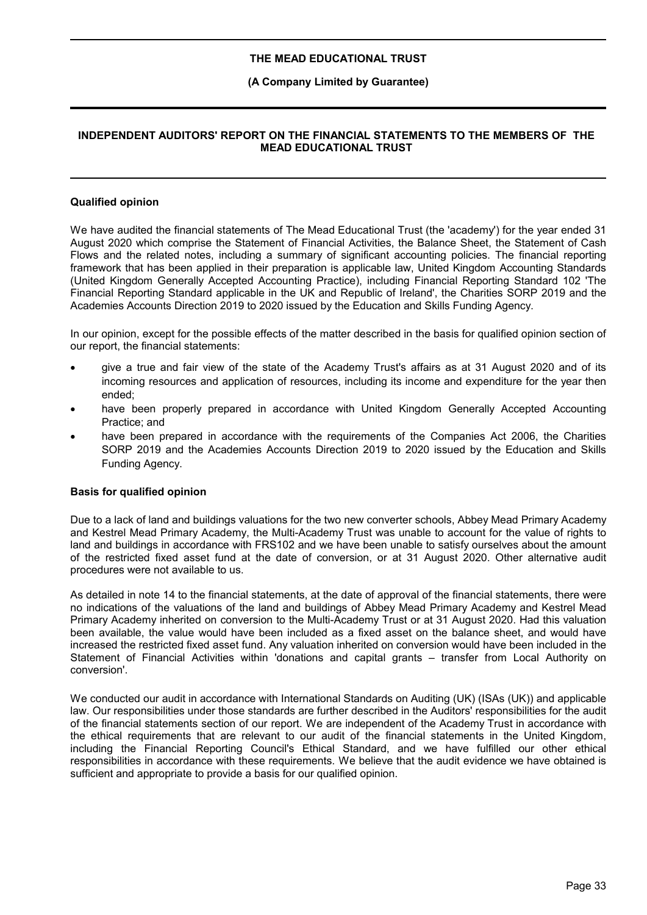#### **(A Company Limited by Guarantee)**

# **INDEPENDENT AUDITORS' REPORT ON THE FINANCIAL STATEMENTS TO THE MEMBERS OF THE MEAD EDUCATIONAL TRUST**

#### **Qualified opinion**

We have audited the financial statements of The Mead Educational Trust (the 'academy') for the year ended 31 August 2020 which comprise the Statement of Financial Activities, the Balance Sheet, the Statement of Cash Flows and the related notes, including a summary of significant accounting policies. The financial reporting framework that has been applied in their preparation is applicable law, United Kingdom Accounting Standards (United Kingdom Generally Accepted Accounting Practice), including Financial Reporting Standard 102 'The Financial Reporting Standard applicable in the UK and Republic of Ireland', the Charities SORP 2019 and the Academies Accounts Direction 2019 to 2020 issued by the Education and Skills Funding Agency.

In our opinion, except for the possible effects of the matter described in the basis for qualified opinion section of our report, the financial statements:

- give a true and fair view of the state of the Academy Trust's affairs as at 31 August 2020 and of its incoming resources and application of resources, including its income and expenditure for the year then ended;
- have been properly prepared in accordance with United Kingdom Generally Accepted Accounting Practice; and
- have been prepared in accordance with the requirements of the Companies Act 2006, the Charities SORP 2019 and the Academies Accounts Direction 2019 to 2020 issued by the Education and Skills Funding Agency.

#### **Basis for qualified opinion**

Due to a lack of land and buildings valuations for the two new converter schools, Abbey Mead Primary Academy and Kestrel Mead Primary Academy, the Multi-Academy Trust was unable to account for the value of rights to land and buildings in accordance with FRS102 and we have been unable to satisfy ourselves about the amount of the restricted fixed asset fund at the date of conversion, or at 31 August 2020. Other alternative audit procedures were not available to us.

As detailed in note 14 to the financial statements, at the date of approval of the financial statements, there were no indications of the valuations of the land and buildings of Abbey Mead Primary Academy and Kestrel Mead Primary Academy inherited on conversion to the Multi-Academy Trust or at 31 August 2020. Had this valuation been available, the value would have been included as a fixed asset on the balance sheet, and would have increased the restricted fixed asset fund. Any valuation inherited on conversion would have been included in the Statement of Financial Activities within 'donations and capital grants – transfer from Local Authority on conversion'.

We conducted our audit in accordance with International Standards on Auditing (UK) (ISAs (UK)) and applicable law. Our responsibilities under those standards are further described in the Auditors' responsibilities for the audit of the financial statements section of our report. We are independent of the Academy Trust in accordance with the ethical requirements that are relevant to our audit of the financial statements in the United Kingdom, including the Financial Reporting Council's Ethical Standard, and we have fulfilled our other ethical responsibilities in accordance with these requirements. We believe that the audit evidence we have obtained is sufficient and appropriate to provide a basis for our qualified opinion.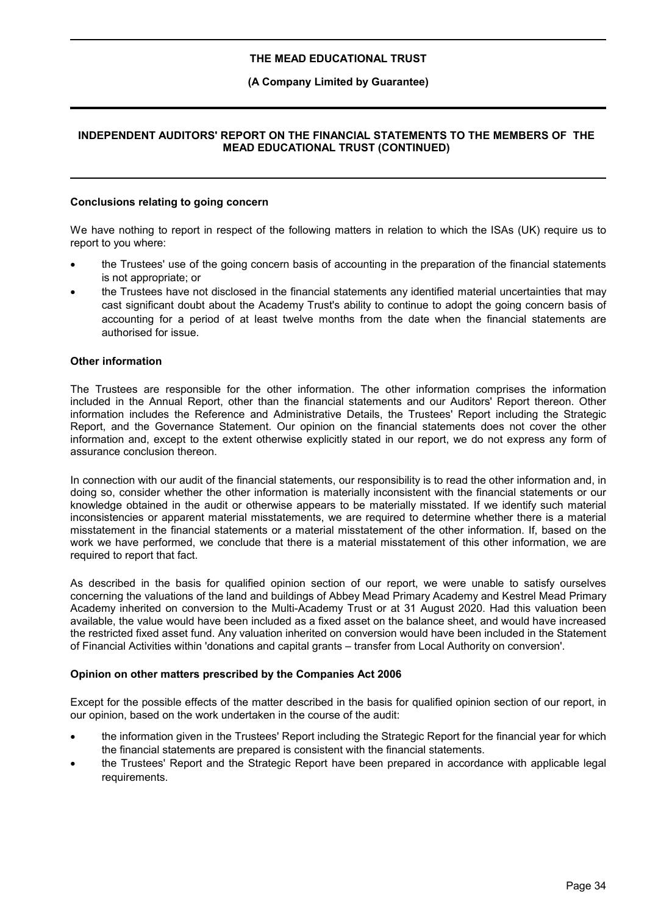#### **(A Company Limited by Guarantee)**

# **INDEPENDENT AUDITORS' REPORT ON THE FINANCIAL STATEMENTS TO THE MEMBERS OF THE MEAD EDUCATIONAL TRUST (CONTINUED)**

#### **Conclusions relating to going concern**

We have nothing to report in respect of the following matters in relation to which the ISAs (UK) require us to report to you where:

- the Trustees' use of the going concern basis of accounting in the preparation of the financial statements is not appropriate; or
- the Trustees have not disclosed in the financial statements any identified material uncertainties that may cast significant doubt about the Academy Trust's ability to continue to adopt the going concern basis of accounting for a period of at least twelve months from the date when the financial statements are authorised for issue.

#### **Other information**

The Trustees are responsible for the other information. The other information comprises the information included in the Annual Report, other than the financial statements and our Auditors' Report thereon. Other information includes the Reference and Administrative Details, the Trustees' Report including the Strategic Report, and the Governance Statement. Our opinion on the financial statements does not cover the other information and, except to the extent otherwise explicitly stated in our report, we do not express any form of assurance conclusion thereon.

In connection with our audit of the financial statements, our responsibility is to read the other information and, in doing so, consider whether the other information is materially inconsistent with the financial statements or our knowledge obtained in the audit or otherwise appears to be materially misstated. If we identify such material inconsistencies or apparent material misstatements, we are required to determine whether there is a material misstatement in the financial statements or a material misstatement of the other information. If, based on the work we have performed, we conclude that there is a material misstatement of this other information, we are required to report that fact.

As described in the basis for qualified opinion section of our report, we were unable to satisfy ourselves concerning the valuations of the land and buildings of Abbey Mead Primary Academy and Kestrel Mead Primary Academy inherited on conversion to the Multi-Academy Trust or at 31 August 2020. Had this valuation been available, the value would have been included as a fixed asset on the balance sheet, and would have increased the restricted fixed asset fund. Any valuation inherited on conversion would have been included in the Statement of Financial Activities within 'donations and capital grants – transfer from Local Authority on conversion'.

#### **Opinion on other matters prescribed by the Companies Act 2006**

Except for the possible effects of the matter described in the basis for qualified opinion section of our report, in our opinion, based on the work undertaken in the course of the audit:

- the information given in the Trustees' Report including the Strategic Report for the financial year for which the financial statements are prepared is consistent with the financial statements.
- the Trustees' Report and the Strategic Report have been prepared in accordance with applicable legal requirements.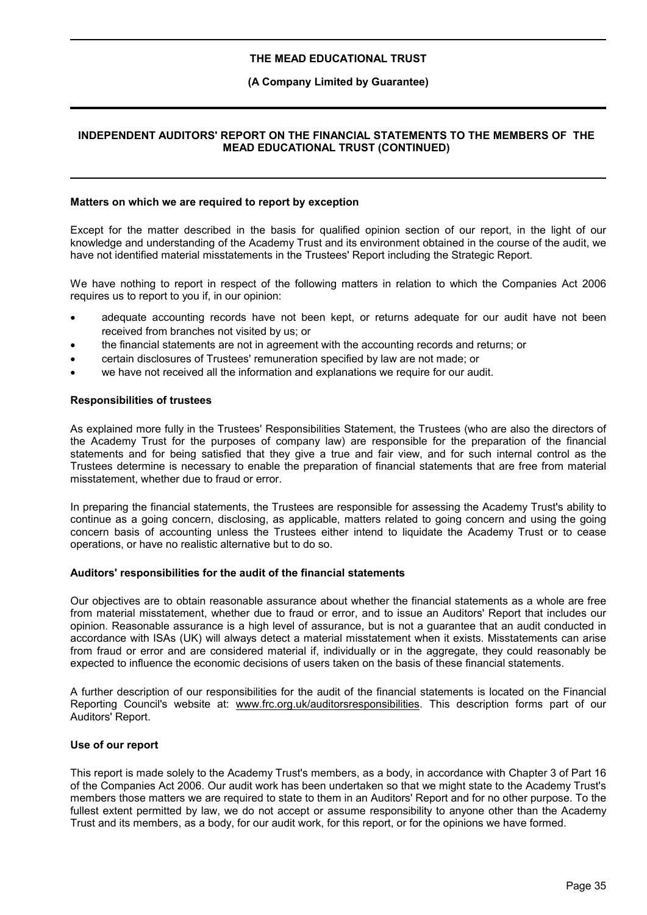### **(A Company Limited by Guarantee)**

## **INDEPENDENT AUDITORS' REPORT ON THE FINANCIAL STATEMENTS TO THE MEMBERS OF THE MEAD EDUCATIONAL TRUST (CONTINUED)**

#### **Matters on which we are required to report by exception**

Except for the matter described in the basis for qualified opinion section of our report, in the light of our knowledge and understanding of the Academy Trust and its environment obtained in the course of the audit, we have not identified material misstatements in the Trustees' Report including the Strategic Report.

We have nothing to report in respect of the following matters in relation to which the Companies Act 2006 requires us to report to you if, in our opinion:

- adequate accounting records have not been kept, or returns adequate for our audit have not been received from branches not visited by us; or
- the financial statements are not in agreement with the accounting records and returns; or
- certain disclosures of Trustees' remuneration specified by law are not made; or
- we have not received all the information and explanations we require for our audit.

#### **Responsibilities of trustees**

As explained more fully in the Trustees' Responsibilities Statement, the Trustees (who are also the directors of the Academy Trust for the purposes of company law) are responsible for the preparation of the financial statements and for being satisfied that they give a true and fair view, and for such internal control as the Trustees determine is necessary to enable the preparation of financial statements that are free from material misstatement, whether due to fraud or error.

In preparing the financial statements, the Trustees are responsible for assessing the Academy Trust's ability to continue as a going concern, disclosing, as applicable, matters related to going concern and using the going concern basis of accounting unless the Trustees either intend to liquidate the Academy Trust or to cease operations, or have no realistic alternative but to do so.

#### **Auditors' responsibilities for the audit of the financial statements**

Our objectives are to obtain reasonable assurance about whether the financial statements as a whole are free from material misstatement, whether due to fraud or error, and to issue an Auditors' Report that includes our opinion. Reasonable assurance is a high level of assurance, but is not a guarantee that an audit conducted in accordance with ISAs (UK) will always detect a material misstatement when it exists. Misstatements can arise from fraud or error and are considered material if, individually or in the aggregate, they could reasonably be expected to influence the economic decisions of users taken on the basis of these financial statements.

A further description of our responsibilities for the audit of the financial statements is located on the Financial Reporting Council's website at: www.frc.org.uk/auditorsresponsibilities. This description forms part of our Auditors' Report.

#### **Use of our report**

This report is made solely to the Academy Trust's members, as a body, in accordance with Chapter 3 of Part 16 of the Companies Act 2006. Our audit work has been undertaken so that we might state to the Academy Trust's members those matters we are required to state to them in an Auditors' Report and for no other purpose. To the fullest extent permitted by law, we do not accept or assume responsibility to anyone other than the Academy Trust and its members, as a body, for our audit work, for this report, or for the opinions we have formed.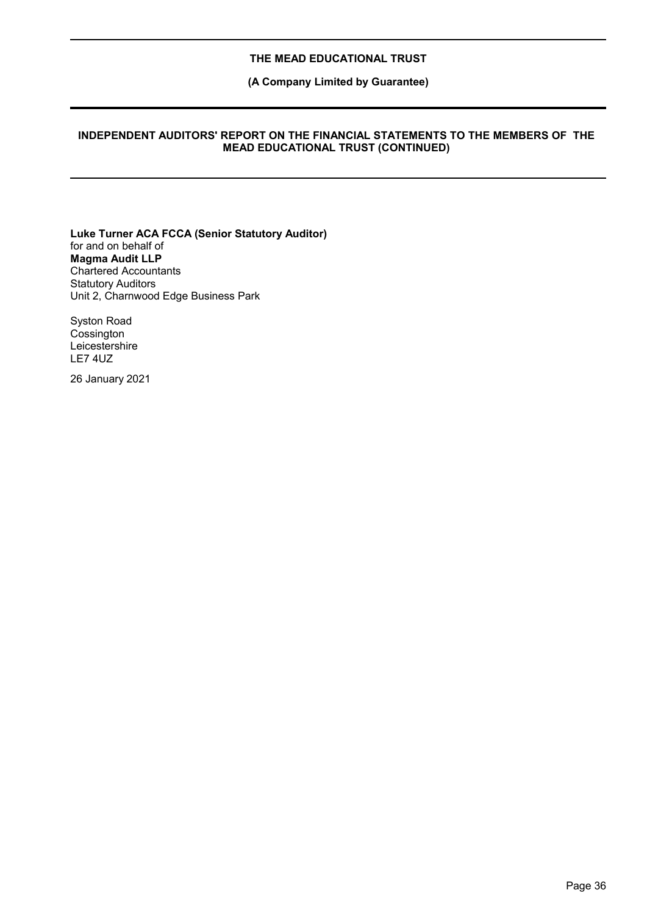**(A Company Limited by Guarantee)**

### **INDEPENDENT AUDITORS' REPORT ON THE FINANCIAL STATEMENTS TO THE MEMBERS OF THE MEAD EDUCATIONAL TRUST (CONTINUED)**

**Luke Turner ACA FCCA (Senior Statutory Auditor)** for and on behalf of **Magma Audit LLP** Chartered Accountants Statutory Auditors Unit 2, Charnwood Edge Business Park

Syston Road **Cossington** Leicestershire LE7 4UZ

26 January 2021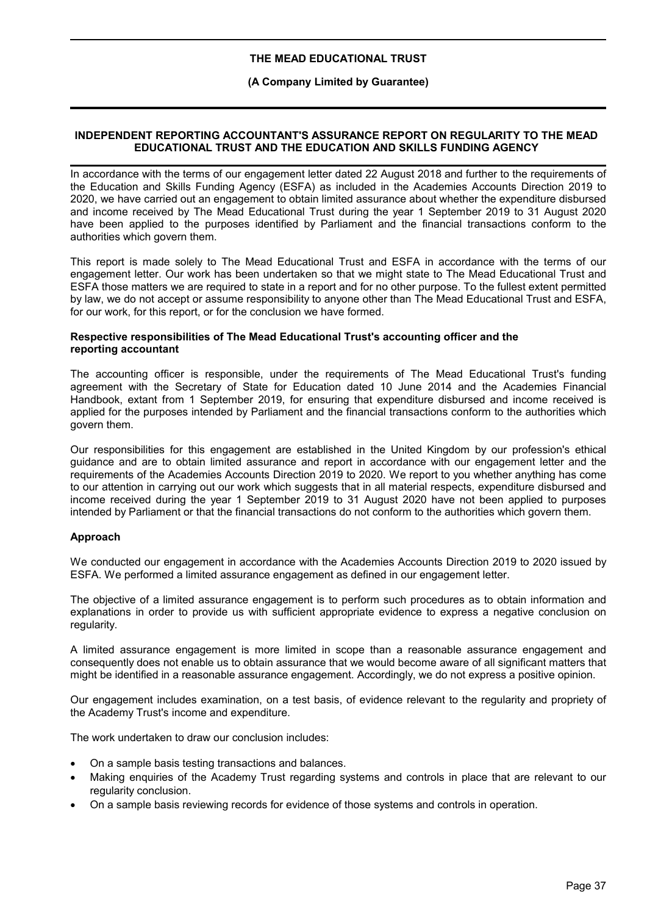### **(A Company Limited by Guarantee)**

### **INDEPENDENT REPORTING ACCOUNTANT'S ASSURANCE REPORT ON REGULARITY TO THE MEAD EDUCATIONAL TRUST AND THE EDUCATION AND SKILLS FUNDING AGENCY**

In accordance with the terms of our engagement letter dated 22 August 2018 and further to the requirements of the Education and Skills Funding Agency (ESFA) as included in the Academies Accounts Direction 2019 to 2020, we have carried out an engagement to obtain limited assurance about whether the expenditure disbursed and income received by The Mead Educational Trust during the year 1 September 2019 to 31 August 2020 have been applied to the purposes identified by Parliament and the financial transactions conform to the authorities which govern them.

This report is made solely to The Mead Educational Trust and ESFA in accordance with the terms of our engagement letter. Our work has been undertaken so that we might state to The Mead Educational Trust and ESFA those matters we are required to state in a report and for no other purpose. To the fullest extent permitted by law, we do not accept or assume responsibility to anyone other than The Mead Educational Trust and ESFA, for our work, for this report, or for the conclusion we have formed.

### **Respective responsibilities of The Mead Educational Trust's accounting officer and the reporting accountant**

The accounting officer is responsible, under the requirements of The Mead Educational Trust's funding agreement with the Secretary of State for Education dated 10 June 2014 and the Academies Financial Handbook, extant from 1 September 2019, for ensuring that expenditure disbursed and income received is applied for the purposes intended by Parliament and the financial transactions conform to the authorities which govern them.

Our responsibilities for this engagement are established in the United Kingdom by our profession's ethical guidance and are to obtain limited assurance and report in accordance with our engagement letter and the requirements of the Academies Accounts Direction 2019 to 2020. We report to you whether anything has come to our attention in carrying out our work which suggests that in all material respects, expenditure disbursed and income received during the year 1 September 2019 to 31 August 2020 have not been applied to purposes intended by Parliament or that the financial transactions do not conform to the authorities which govern them.

## **Approach**

We conducted our engagement in accordance with the Academies Accounts Direction 2019 to 2020 issued by ESFA. We performed a limited assurance engagement as defined in our engagement letter.

The objective of a limited assurance engagement is to perform such procedures as to obtain information and explanations in order to provide us with sufficient appropriate evidence to express a negative conclusion on regularity.

A limited assurance engagement is more limited in scope than a reasonable assurance engagement and consequently does not enable us to obtain assurance that we would become aware of all significant matters that might be identified in a reasonable assurance engagement. Accordingly, we do not express a positive opinion.

Our engagement includes examination, on a test basis, of evidence relevant to the regularity and propriety of the Academy Trust's income and expenditure.

The work undertaken to draw our conclusion includes:

- On a sample basis testing transactions and balances.
- Making enquiries of the Academy Trust regarding systems and controls in place that are relevant to our regularity conclusion.
- On a sample basis reviewing records for evidence of those systems and controls in operation.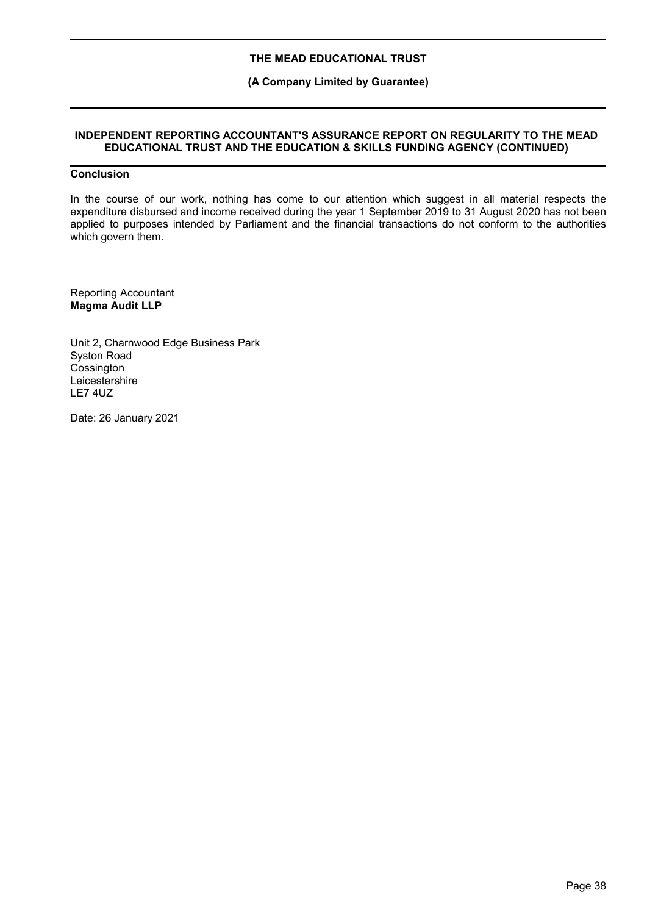### **(A Company Limited by Guarantee)**

### **INDEPENDENT REPORTING ACCOUNTANT'S ASSURANCE REPORT ON REGULARITY TO THE MEAD EDUCATIONAL TRUST AND THE EDUCATION & SKILLS FUNDING AGENCY (CONTINUED)**

## **Conclusion**

In the course of our work, nothing has come to our attention which suggest in all material respects the expenditure disbursed and income received during the year 1 September 2019 to 31 August 2020 has not been applied to purposes intended by Parliament and the financial transactions do not conform to the authorities which govern them.

Reporting Accountant **Magma Audit LLP**

Unit 2, Charnwood Edge Business Park Syston Road **Cossington Leicestershire** LE7 4UZ

Date: 26 January 2021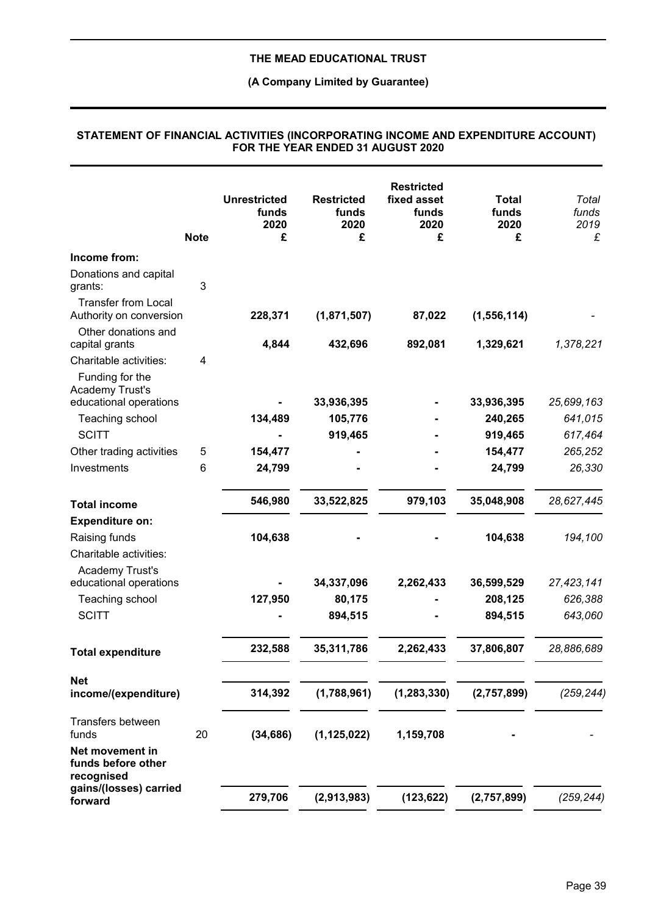### **(A Company Limited by Guarantee)**

### **Unrestricted funds 2020 Restricted funds 2020 Restricted fixed asset funds 2020 Total funds 2020** *Total funds 2019* **Note £ £ £ £** *£* **Income from:** Donations and capital grants: 3 Transfer from Local Authority on conversion **228,371 (1,871,507) 87,022 (1,556,114)** *- .* Other donations and capital grants **4,844 432,696 892,081 1,329,621** *1,378,221* Charitable activities: 4 Funding for the Academy Trust's educational operations **- 33,936,395 - 33,936,395** *25,699,163* Teaching school **134,489 105,776 - 240,265** *641,015* SCITT **- 919,465 - 919,465** *617,464* Other trading activities 5 **154,477 - - 154,477** *265,252* Investments 6 **24,799 - - 24,799** *26,330* **Total income 546,980 33,522,825 979,103 35,048,908** *28,627,445* **Expenditure on:** Raising funds **104,638 - - 104,638** *194,100* Charitable activities: Academy Trust's educational operations **- 34,337,096 2,262,433 36,599,529** *27,423,141* Teaching school **127,950 80,175 - 208,125** *626,388* SCITT **- 894,515 - 894,515** *643,060* **Total expenditure 232,588 35,311,786 2,262,433 37,806,807** *28,886,689* **Net income/(expenditure) 314,392 (1,788,961) (1,283,330) (2,757,899)** *(259,244)* Transfers between funds 20 **(34,686) (1,125,022) 1,159,708 -** *-* **Net movement in funds before other recognised gains/(losses) carried forward 279,706 (2,913,983) (123,622) (2,757,899)** *(259,244)*

#### **STATEMENT OF FINANCIAL ACTIVITIES (INCORPORATING INCOME AND EXPENDITURE ACCOUNT) FOR THE YEAR ENDED 31 AUGUST 2020**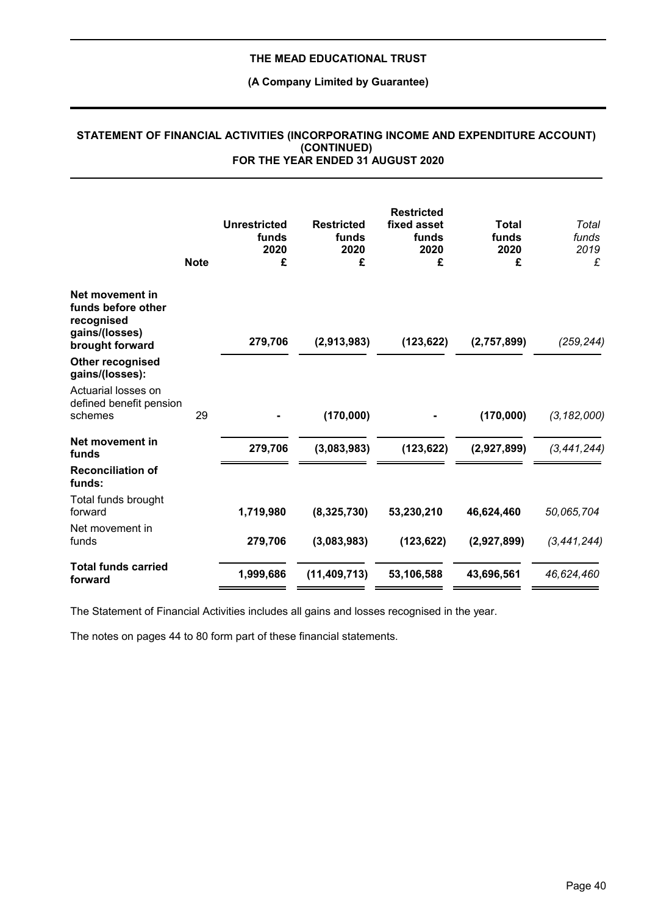# **(A Company Limited by Guarantee)**

|                                                                                          | <b>Note</b> | <b>Unrestricted</b><br>funds<br>2020<br>£ | <b>Restricted</b><br>funds<br>2020<br>£ | <b>Restricted</b><br>fixed asset<br>funds<br>2020<br>£ | <b>Total</b><br>funds<br>2020<br>£ | Total<br>funds<br>2019<br>£ |
|------------------------------------------------------------------------------------------|-------------|-------------------------------------------|-----------------------------------------|--------------------------------------------------------|------------------------------------|-----------------------------|
| Net movement in<br>funds before other<br>recognised<br>gains/(losses)<br>brought forward |             | 279,706                                   | (2,913,983)                             | (123, 622)                                             | (2,757,899)                        | (259, 244)                  |
| Other recognised<br>gains/(losses):                                                      |             |                                           |                                         |                                                        |                                    |                             |
| Actuarial losses on<br>defined benefit pension<br>schemes                                | 29          |                                           | (170,000)                               |                                                        | (170,000)                          | (3, 182, 000)               |
| Net movement in<br>funds                                                                 |             | 279,706                                   | (3,083,983)                             | (123, 622)                                             | (2,927,899)                        | (3, 441, 244)               |
| <b>Reconciliation of</b><br>funds:                                                       |             |                                           |                                         |                                                        |                                    |                             |
| Total funds brought<br>forward                                                           |             | 1,719,980                                 | (8,325,730)                             | 53,230,210                                             | 46,624,460                         | 50,065,704                  |
| Net movement in<br>funds                                                                 |             | 279,706                                   | (3,083,983)                             | (123, 622)                                             | (2,927,899)                        | (3, 441, 244)               |
| <b>Total funds carried</b><br>forward                                                    |             | 1,999,686                                 | (11, 409, 713)                          | 53,106,588                                             | 43,696,561                         | 46,624,460                  |

### **STATEMENT OF FINANCIAL ACTIVITIES (INCORPORATING INCOME AND EXPENDITURE ACCOUNT) (CONTINUED) FOR THE YEAR ENDED 31 AUGUST 2020**

The Statement of Financial Activities includes all gains and losses recognised in the year.

The notes on pages 44 to 80 form part of these financial statements.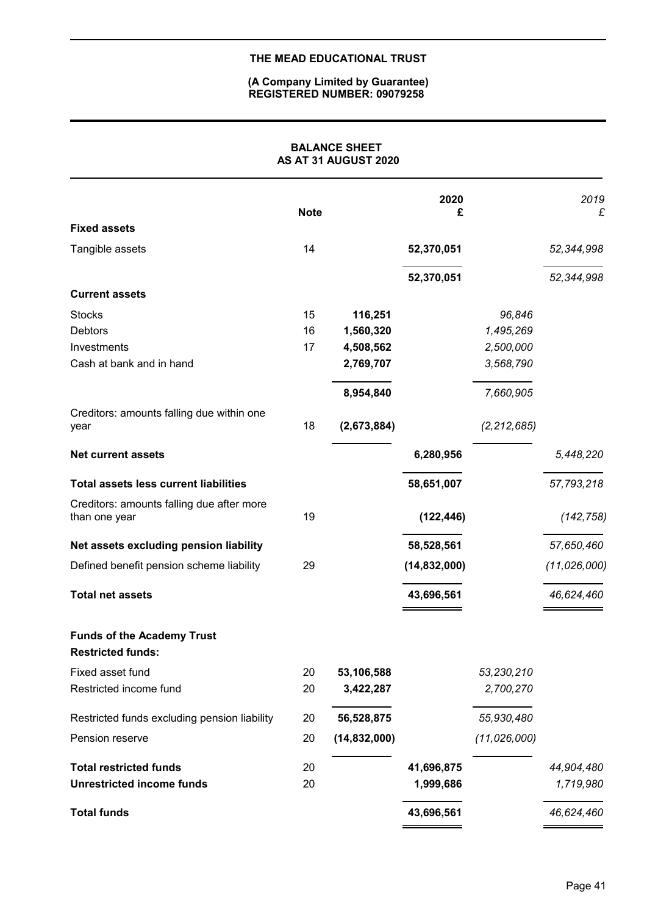## **(A Company Limited by Guarantee) REGISTERED NUMBER: 09079258**

|                                                               |             | <b>BALANCE SHEET</b><br>AS AT 31 AUGUST 2020 |                |                |                |
|---------------------------------------------------------------|-------------|----------------------------------------------|----------------|----------------|----------------|
| <b>Fixed assets</b>                                           | <b>Note</b> |                                              | 2020<br>£      |                | 2019<br>£      |
| Tangible assets                                               | 14          |                                              | 52,370,051     |                | 52,344,998     |
|                                                               |             |                                              | 52,370,051     |                | 52,344,998     |
| <b>Current assets</b>                                         |             |                                              |                |                |                |
| <b>Stocks</b>                                                 | 15          | 116,251                                      |                | 96,846         |                |
| <b>Debtors</b>                                                | 16          | 1,560,320                                    |                | 1,495,269      |                |
| Investments                                                   | 17          | 4,508,562                                    |                | 2,500,000      |                |
| Cash at bank and in hand                                      |             | 2,769,707                                    |                | 3,568,790      |                |
|                                                               |             | 8,954,840                                    |                | 7,660,905      |                |
| Creditors: amounts falling due within one<br>year             | 18          | (2,673,884)                                  |                | (2, 212, 685)  |                |
| <b>Net current assets</b>                                     |             |                                              | 6,280,956      |                | 5,448,220      |
| <b>Total assets less current liabilities</b>                  |             |                                              | 58,651,007     |                | 57,793,218     |
| Creditors: amounts falling due after more<br>than one year    | 19          |                                              | (122, 446)     |                | (142, 758)     |
| Net assets excluding pension liability                        |             |                                              | 58,528,561     |                | 57,650,460     |
| Defined benefit pension scheme liability                      | 29          |                                              | (14, 832, 000) |                | (11, 026, 000) |
| <b>Total net assets</b>                                       |             |                                              | 43,696,561     |                | 46,624,460     |
| <b>Funds of the Academy Trust</b><br><b>Restricted funds:</b> |             |                                              |                |                |                |
| Fixed asset fund                                              | 20          | 53,106,588                                   |                | 53,230,210     |                |
| Restricted income fund                                        | 20          | 3,422,287                                    |                | 2,700,270      |                |
| Restricted funds excluding pension liability                  | 20          | 56,528,875                                   |                | 55,930,480     |                |
| Pension reserve                                               | 20          | (14, 832, 000)                               |                | (11, 026, 000) |                |
| <b>Total restricted funds</b>                                 | 20          |                                              | 41,696,875     |                | 44,904,480     |
| <b>Unrestricted income funds</b>                              | 20          |                                              | 1,999,686      |                | 1,719,980      |
| <b>Total funds</b>                                            |             |                                              | 43,696,561     |                | 46,624,460     |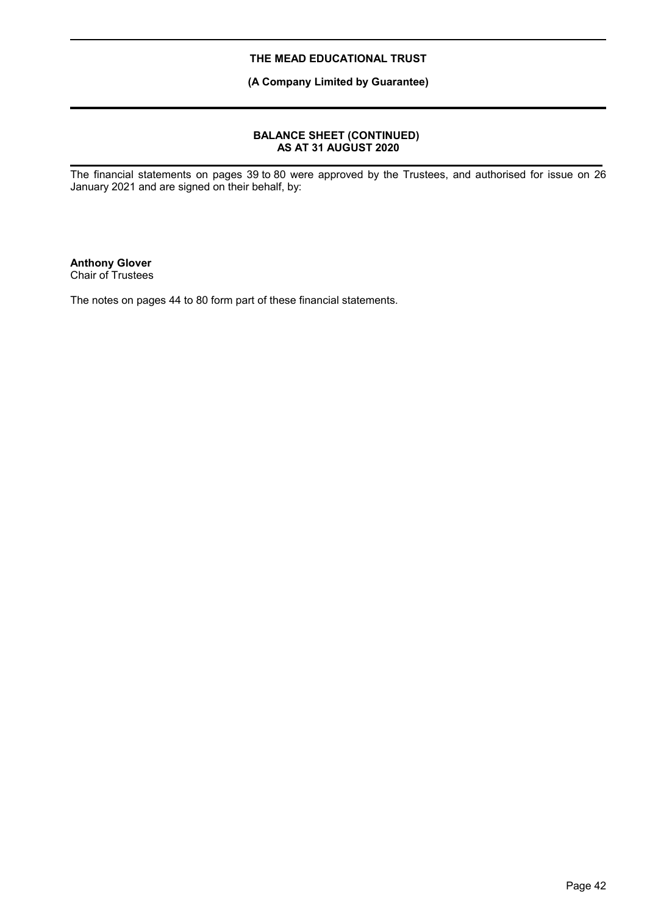**(A Company Limited by Guarantee)**

### **BALANCE SHEET (CONTINUED) AS AT 31 AUGUST 2020**

The financial statements on pages 39 to 80 were approved by the Trustees, and authorised for issue on 26 January 2021 and are signed on their behalf, by:

**Anthony Glover** Chair of Trustees

The notes on pages 44 to 80 form part of these financial statements.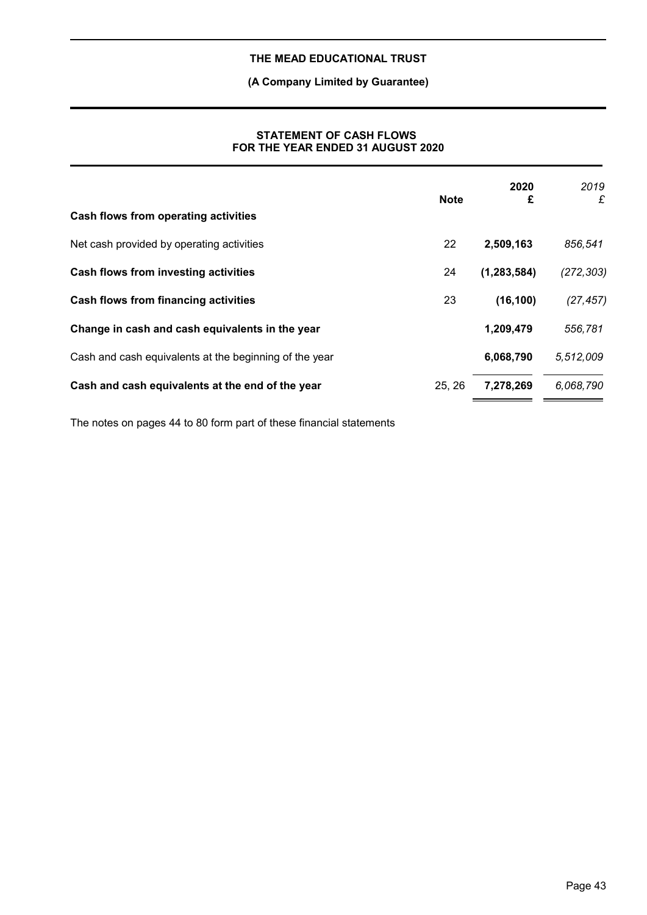# **(A Company Limited by Guarantee)**

### **STATEMENT OF CASH FLOWS FOR THE YEAR ENDED 31 AUGUST 2020**

|                                                        | <b>Note</b> | 2020<br>£     | 2019<br>£  |
|--------------------------------------------------------|-------------|---------------|------------|
| Cash flows from operating activities                   |             |               |            |
| Net cash provided by operating activities              | 22          | 2,509,163     | 856,541    |
| Cash flows from investing activities                   | 24          | (1, 283, 584) | (272, 303) |
| <b>Cash flows from financing activities</b>            | 23          | (16, 100)     | (27, 457)  |
| Change in cash and cash equivalents in the year        |             | 1,209,479     | 556,781    |
| Cash and cash equivalents at the beginning of the year |             | 6,068,790     | 5,512,009  |
| Cash and cash equivalents at the end of the year       | 25, 26      | 7,278,269     | 6,068,790  |

The notes on pages 44 to 80 form part of these financial statements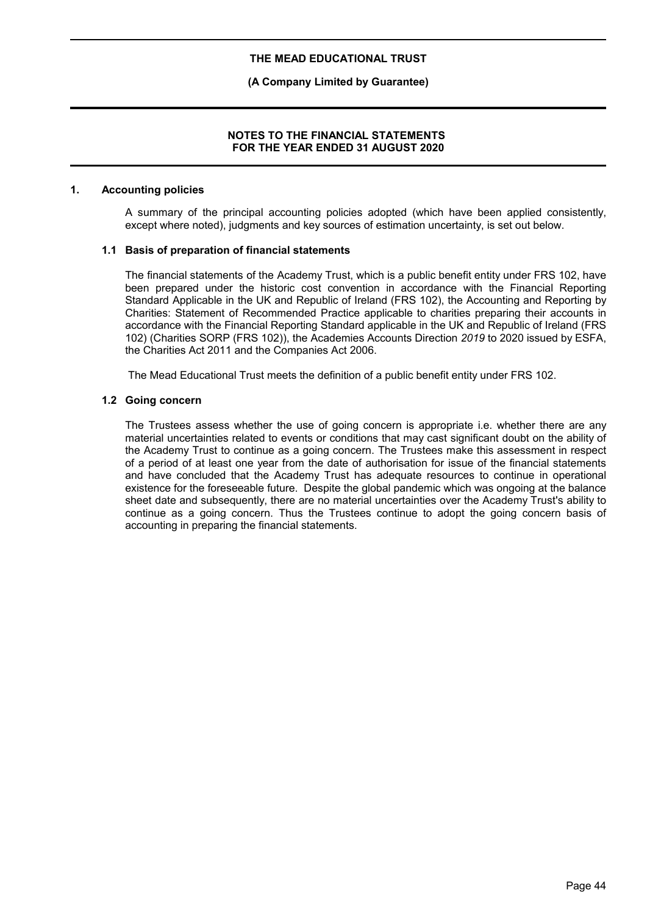### **(A Company Limited by Guarantee)**

### **NOTES TO THE FINANCIAL STATEMENTS FOR THE YEAR ENDED 31 AUGUST 2020**

### **1. Accounting policies**

A summary of the principal accounting policies adopted (which have been applied consistently, except where noted), judgments and key sources of estimation uncertainty, is set out below.

### **1.1 Basis of preparation of financial statements**

The financial statements of the Academy Trust, which is a public benefit entity under FRS 102, have been prepared under the historic cost convention in accordance with the Financial Reporting Standard Applicable in the UK and Republic of Ireland (FRS 102), the Accounting and Reporting by Charities: Statement of Recommended Practice applicable to charities preparing their accounts in accordance with the Financial Reporting Standard applicable in the UK and Republic of Ireland (FRS 102) (Charities SORP (FRS 102)), the Academies Accounts Direction *2019* to 2020 issued by ESFA, the Charities Act 2011 and the Companies Act 2006.

The Mead Educational Trust meets the definition of a public benefit entity under FRS 102.

### **1.2 Going concern**

The Trustees assess whether the use of going concern is appropriate i.e. whether there are any material uncertainties related to events or conditions that may cast significant doubt on the ability of the Academy Trust to continue as a going concern. The Trustees make this assessment in respect of a period of at least one year from the date of authorisation for issue of the financial statements and have concluded that the Academy Trust has adequate resources to continue in operational existence for the foreseeable future. Despite the global pandemic which was ongoing at the balance sheet date and subsequently, there are no material uncertainties over the Academy Trust's ability to continue as a going concern. Thus the Trustees continue to adopt the going concern basis of accounting in preparing the financial statements.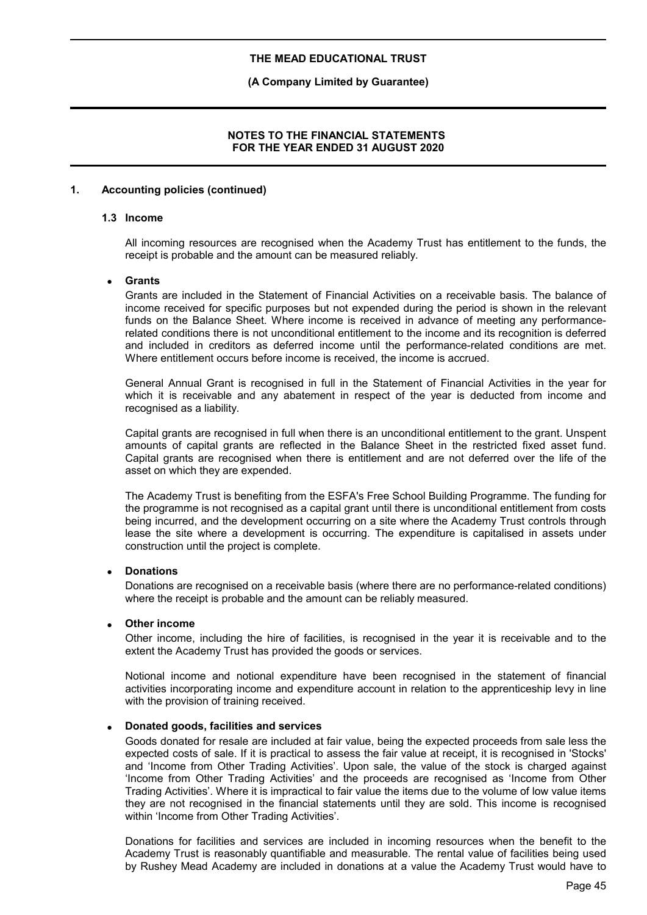### **(A Company Limited by Guarantee)**

### **NOTES TO THE FINANCIAL STATEMENTS FOR THE YEAR ENDED 31 AUGUST 2020**

### **1. Accounting policies (continued)**

#### **1.3 Income**

All incoming resources are recognised when the Academy Trust has entitlement to the funds, the receipt is probable and the amount can be measured reliably.

### **Grants**

Grants are included in the Statement of Financial Activities on a receivable basis. The balance of income received for specific purposes but not expended during the period is shown in the relevant funds on the Balance Sheet. Where income is received in advance of meeting any performancerelated conditions there is not unconditional entitlement to the income and its recognition is deferred and included in creditors as deferred income until the performance-related conditions are met. Where entitlement occurs before income is received, the income is accrued.

General Annual Grant is recognised in full in the Statement of Financial Activities in the year for which it is receivable and any abatement in respect of the year is deducted from income and recognised as a liability.

Capital grants are recognised in full when there is an unconditional entitlement to the grant. Unspent amounts of capital grants are reflected in the Balance Sheet in the restricted fixed asset fund. Capital grants are recognised when there is entitlement and are not deferred over the life of the asset on which they are expended.

The Academy Trust is benefiting from the ESFA's Free School Building Programme. The funding for the programme is not recognised as a capital grant until there is unconditional entitlement from costs being incurred, and the development occurring on a site where the Academy Trust controls through lease the site where a development is occurring. The expenditure is capitalised in assets under construction until the project is complete.

### **Donations**

Donations are recognised on a receivable basis (where there are no performance-related conditions) where the receipt is probable and the amount can be reliably measured.

### **Other income**

Other income, including the hire of facilities, is recognised in the year it is receivable and to the extent the Academy Trust has provided the goods or services.

Notional income and notional expenditure have been recognised in the statement of financial activities incorporating income and expenditure account in relation to the apprenticeship levy in line with the provision of training received.

### **Donated goods, facilities and services**

Goods donated for resale are included at fair value, being the expected proceeds from sale less the expected costs of sale. If it is practical to assess the fair value at receipt, it is recognised in 'Stocks' and 'Income from Other Trading Activities'. Upon sale, the value of the stock is charged against 'Income from Other Trading Activities' and the proceeds are recognised as 'Income from Other Trading Activities'. Where it is impractical to fair value the items due to the volume of low value items they are not recognised in the financial statements until they are sold. This income is recognised within 'Income from Other Trading Activities'.

Donations for facilities and services are included in incoming resources when the benefit to the Academy Trust is reasonably quantifiable and measurable. The rental value of facilities being used by Rushey Mead Academy are included in donations at a value the Academy Trust would have to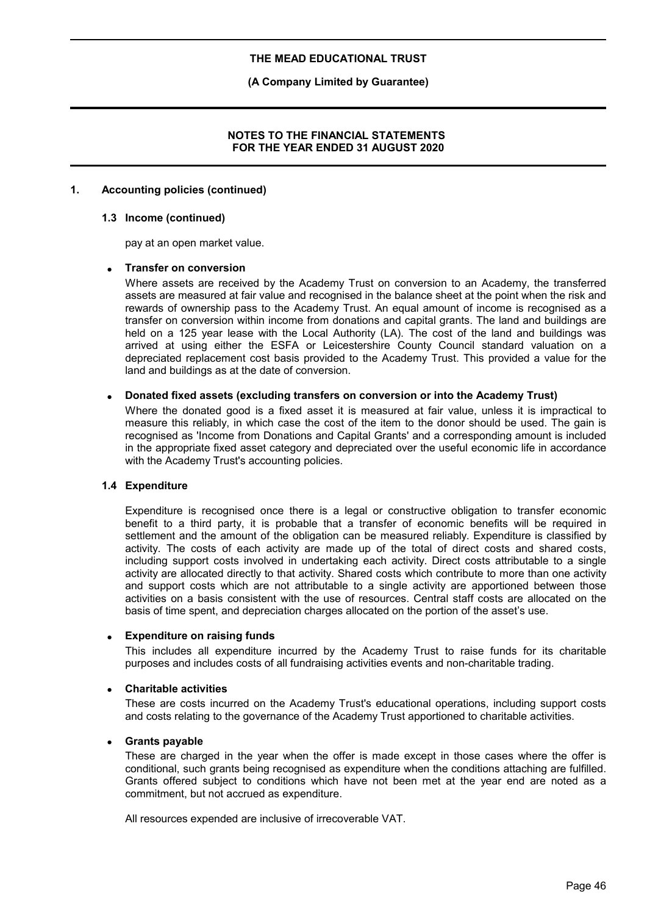### **(A Company Limited by Guarantee)**

### **NOTES TO THE FINANCIAL STATEMENTS FOR THE YEAR ENDED 31 AUGUST 2020**

### **1. Accounting policies (continued)**

#### **1.3 Income (continued)**

pay at an open market value.

### **Transfer on conversion**

Where assets are received by the Academy Trust on conversion to an Academy, the transferred assets are measured at fair value and recognised in the balance sheet at the point when the risk and rewards of ownership pass to the Academy Trust. An equal amount of income is recognised as a transfer on conversion within income from donations and capital grants. The land and buildings are held on a 125 year lease with the Local Authority (LA). The cost of the land and buildings was arrived at using either the ESFA or Leicestershire County Council standard valuation on a depreciated replacement cost basis provided to the Academy Trust. This provided a value for the land and buildings as at the date of conversion.

### **Donated fixed assets (excluding transfers on conversion or into the Academy Trust)**

Where the donated good is a fixed asset it is measured at fair value, unless it is impractical to measure this reliably, in which case the cost of the item to the donor should be used. The gain is recognised as 'Income from Donations and Capital Grants' and a corresponding amount is included in the appropriate fixed asset category and depreciated over the useful economic life in accordance with the Academy Trust's accounting policies.

### **1.4 Expenditure**

Expenditure is recognised once there is a legal or constructive obligation to transfer economic benefit to a third party, it is probable that a transfer of economic benefits will be required in settlement and the amount of the obligation can be measured reliably. Expenditure is classified by activity. The costs of each activity are made up of the total of direct costs and shared costs, including support costs involved in undertaking each activity. Direct costs attributable to a single activity are allocated directly to that activity. Shared costs which contribute to more than one activity and support costs which are not attributable to a single activity are apportioned between those activities on a basis consistent with the use of resources. Central staff costs are allocated on the basis of time spent, and depreciation charges allocated on the portion of the asset's use.

### **Expenditure on raising funds**

This includes all expenditure incurred by the Academy Trust to raise funds for its charitable purposes and includes costs of all fundraising activities events and non-charitable trading.

#### **Charitable activities**

These are costs incurred on the Academy Trust's educational operations, including support costs and costs relating to the governance of the Academy Trust apportioned to charitable activities.

### **Grants payable**

These are charged in the year when the offer is made except in those cases where the offer is conditional, such grants being recognised as expenditure when the conditions attaching are fulfilled. Grants offered subject to conditions which have not been met at the year end are noted as a commitment, but not accrued as expenditure.

All resources expended are inclusive of irrecoverable VAT.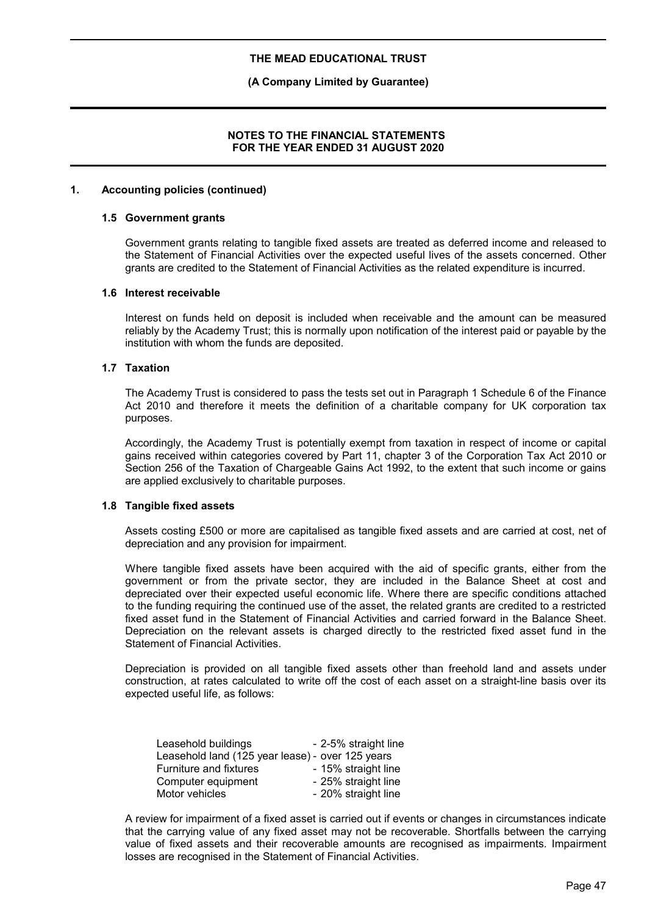### **(A Company Limited by Guarantee)**

### **NOTES TO THE FINANCIAL STATEMENTS FOR THE YEAR ENDED 31 AUGUST 2020**

### **1. Accounting policies (continued)**

#### **1.5 Government grants**

Government grants relating to tangible fixed assets are treated as deferred income and released to the Statement of Financial Activities over the expected useful lives of the assets concerned. Other grants are credited to the Statement of Financial Activities as the related expenditure is incurred.

#### **1.6 Interest receivable**

Interest on funds held on deposit is included when receivable and the amount can be measured reliably by the Academy Trust; this is normally upon notification of the interest paid or payable by the institution with whom the funds are deposited.

### **1.7 Taxation**

The Academy Trust is considered to pass the tests set out in Paragraph 1 Schedule 6 of the Finance Act 2010 and therefore it meets the definition of a charitable company for UK corporation tax purposes.

Accordingly, the Academy Trust is potentially exempt from taxation in respect of income or capital gains received within categories covered by Part 11, chapter 3 of the Corporation Tax Act 2010 or Section 256 of the Taxation of Chargeable Gains Act 1992, to the extent that such income or gains are applied exclusively to charitable purposes.

### **1.8 Tangible fixed assets**

Assets costing £500 or more are capitalised as tangible fixed assets and are carried at cost, net of depreciation and any provision for impairment.

Where tangible fixed assets have been acquired with the aid of specific grants, either from the government or from the private sector, they are included in the Balance Sheet at cost and depreciated over their expected useful economic life. Where there are specific conditions attached to the funding requiring the continued use of the asset, the related grants are credited to a restricted fixed asset fund in the Statement of Financial Activities and carried forward in the Balance Sheet. Depreciation on the relevant assets is charged directly to the restricted fixed asset fund in the Statement of Financial Activities.

Depreciation is provided on all tangible fixed assets other than freehold land and assets under construction, at rates calculated to write off the cost of each asset on a straight-line basis over its expected useful life, as follows:

| Leasehold buildings                              | - 2-5% straight line |
|--------------------------------------------------|----------------------|
| Leasehold land (125 year lease) - over 125 years |                      |
| Furniture and fixtures                           | - 15% straight line  |
| Computer equipment                               | - 25% straight line  |
| Motor vehicles                                   | - 20% straight line  |

A review for impairment of a fixed asset is carried out if events or changes in circumstances indicate that the carrying value of any fixed asset may not be recoverable. Shortfalls between the carrying value of fixed assets and their recoverable amounts are recognised as impairments. Impairment losses are recognised in the Statement of Financial Activities.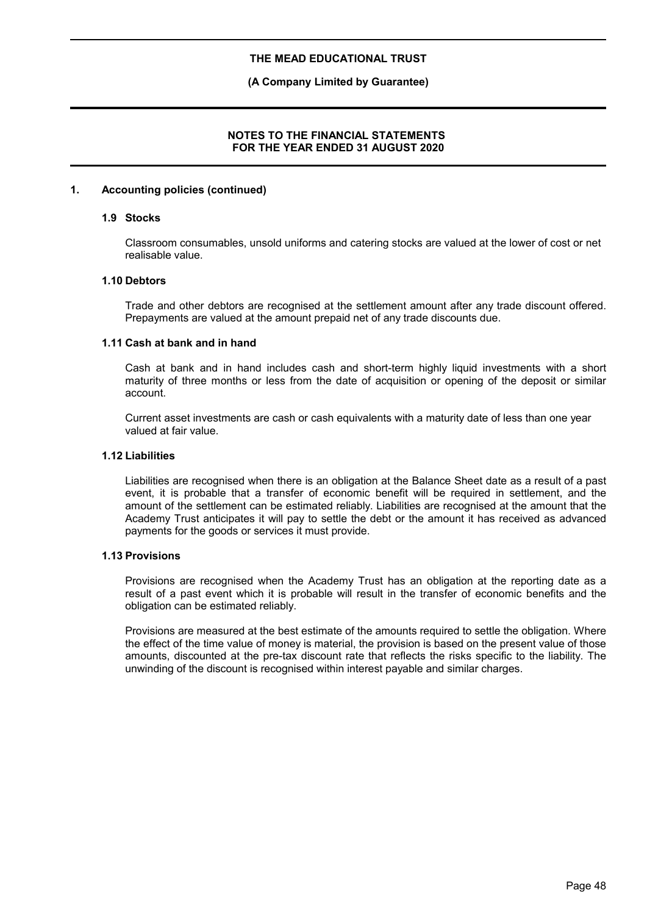### **(A Company Limited by Guarantee)**

### **NOTES TO THE FINANCIAL STATEMENTS FOR THE YEAR ENDED 31 AUGUST 2020**

### **1. Accounting policies (continued)**

#### **1.9 Stocks**

Classroom consumables, unsold uniforms and catering stocks are valued at the lower of cost or net realisable value.

### **1.10 Debtors**

Trade and other debtors are recognised at the settlement amount after any trade discount offered. Prepayments are valued at the amount prepaid net of any trade discounts due.

#### **1.11 Cash at bank and in hand**

Cash at bank and in hand includes cash and short-term highly liquid investments with a short maturity of three months or less from the date of acquisition or opening of the deposit or similar account.

Current asset investments are cash or cash equivalents with a maturity date of less than one year valued at fair value.

### **1.12 Liabilities**

Liabilities are recognised when there is an obligation at the Balance Sheet date as a result of a past event, it is probable that a transfer of economic benefit will be required in settlement, and the amount of the settlement can be estimated reliably. Liabilities are recognised at the amount that the Academy Trust anticipates it will pay to settle the debt or the amount it has received as advanced payments for the goods or services it must provide.

### **1.13 Provisions**

Provisions are recognised when the Academy Trust has an obligation at the reporting date as a result of a past event which it is probable will result in the transfer of economic benefits and the obligation can be estimated reliably.

Provisions are measured at the best estimate of the amounts required to settle the obligation. Where the effect of the time value of money is material, the provision is based on the present value of those amounts, discounted at the pre-tax discount rate that reflects the risks specific to the liability. The unwinding of the discount is recognised within interest payable and similar charges.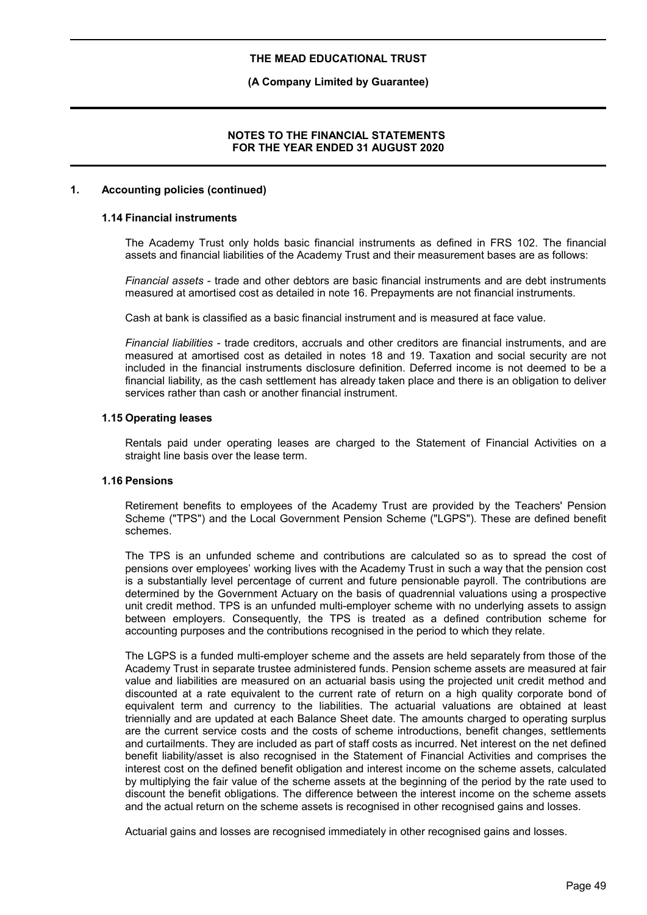### **(A Company Limited by Guarantee)**

### **NOTES TO THE FINANCIAL STATEMENTS FOR THE YEAR ENDED 31 AUGUST 2020**

### **1. Accounting policies (continued)**

### **1.14 Financial instruments**

The Academy Trust only holds basic financial instruments as defined in FRS 102. The financial assets and financial liabilities of the Academy Trust and their measurement bases are as follows:

*Financial assets* - trade and other debtors are basic financial instruments and are debt instruments measured at amortised cost as detailed in note 16. Prepayments are not financial instruments.

Cash at bank is classified as a basic financial instrument and is measured at face value.

*Financial liabilities* - trade creditors, accruals and other creditors are financial instruments, and are measured at amortised cost as detailed in notes 18 and 19. Taxation and social security are not included in the financial instruments disclosure definition. Deferred income is not deemed to be a financial liability, as the cash settlement has already taken place and there is an obligation to deliver services rather than cash or another financial instrument.

### **1.15 Operating leases**

Rentals paid under operating leases are charged to the Statement of Financial Activities on a straight line basis over the lease term.

### **1.16 Pensions**

Retirement benefits to employees of the Academy Trust are provided by the Teachers' Pension Scheme ("TPS") and the Local Government Pension Scheme ("LGPS"). These are defined benefit schemes.

The TPS is an unfunded scheme and contributions are calculated so as to spread the cost of pensions over employees' working lives with the Academy Trust in such a way that the pension cost is a substantially level percentage of current and future pensionable payroll. The contributions are determined by the Government Actuary on the basis of quadrennial valuations using a prospective unit credit method. TPS is an unfunded multi-employer scheme with no underlying assets to assign between employers. Consequently, the TPS is treated as a defined contribution scheme for accounting purposes and the contributions recognised in the period to which they relate.

The LGPS is a funded multi-employer scheme and the assets are held separately from those of the Academy Trust in separate trustee administered funds. Pension scheme assets are measured at fair value and liabilities are measured on an actuarial basis using the projected unit credit method and discounted at a rate equivalent to the current rate of return on a high quality corporate bond of equivalent term and currency to the liabilities. The actuarial valuations are obtained at least triennially and are updated at each Balance Sheet date. The amounts charged to operating surplus are the current service costs and the costs of scheme introductions, benefit changes, settlements and curtailments. They are included as part of staff costs as incurred. Net interest on the net defined benefit liability/asset is also recognised in the Statement of Financial Activities and comprises the interest cost on the defined benefit obligation and interest income on the scheme assets, calculated by multiplying the fair value of the scheme assets at the beginning of the period by the rate used to discount the benefit obligations. The difference between the interest income on the scheme assets and the actual return on the scheme assets is recognised in other recognised gains and losses.

Actuarial gains and losses are recognised immediately in other recognised gains and losses.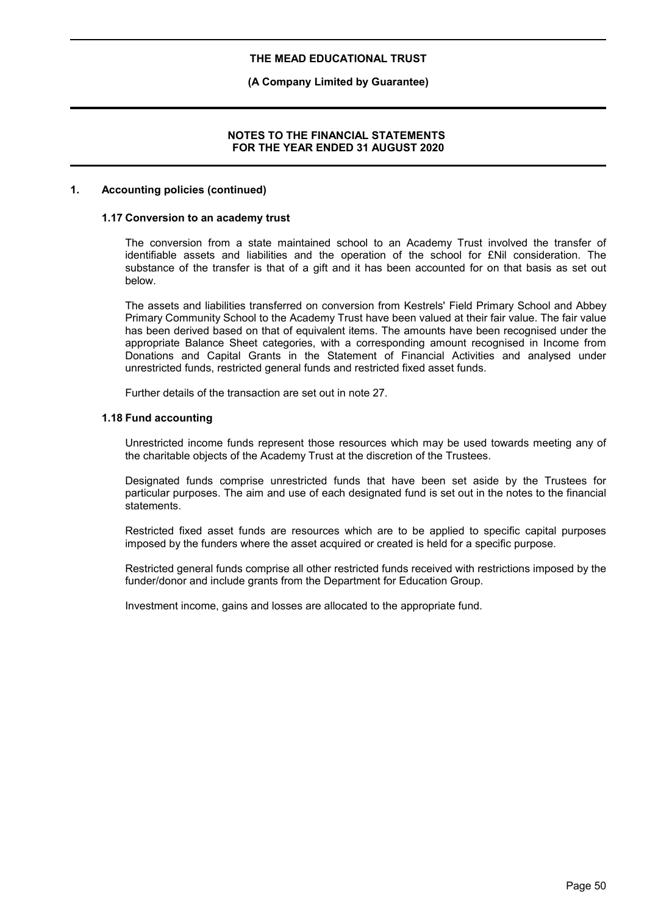### **(A Company Limited by Guarantee)**

### **NOTES TO THE FINANCIAL STATEMENTS FOR THE YEAR ENDED 31 AUGUST 2020**

### **1. Accounting policies (continued)**

#### **1.17 Conversion to an academy trust**

The conversion from a state maintained school to an Academy Trust involved the transfer of identifiable assets and liabilities and the operation of the school for £Nil consideration. The substance of the transfer is that of a gift and it has been accounted for on that basis as set out below.

The assets and liabilities transferred on conversion from Kestrels' Field Primary School and Abbey Primary Community School to the Academy Trust have been valued at their fair value. The fair value has been derived based on that of equivalent items. The amounts have been recognised under the appropriate Balance Sheet categories, with a corresponding amount recognised in Income from Donations and Capital Grants in the Statement of Financial Activities and analysed under unrestricted funds, restricted general funds and restricted fixed asset funds.

Further details of the transaction are set out in note 27.

#### **1.18 Fund accounting**

Unrestricted income funds represent those resources which may be used towards meeting any of the charitable objects of the Academy Trust at the discretion of the Trustees.

Designated funds comprise unrestricted funds that have been set aside by the Trustees for particular purposes. The aim and use of each designated fund is set out in the notes to the financial statements.

Restricted fixed asset funds are resources which are to be applied to specific capital purposes imposed by the funders where the asset acquired or created is held for a specific purpose.

Restricted general funds comprise all other restricted funds received with restrictions imposed by the funder/donor and include grants from the Department for Education Group.

Investment income, gains and losses are allocated to the appropriate fund.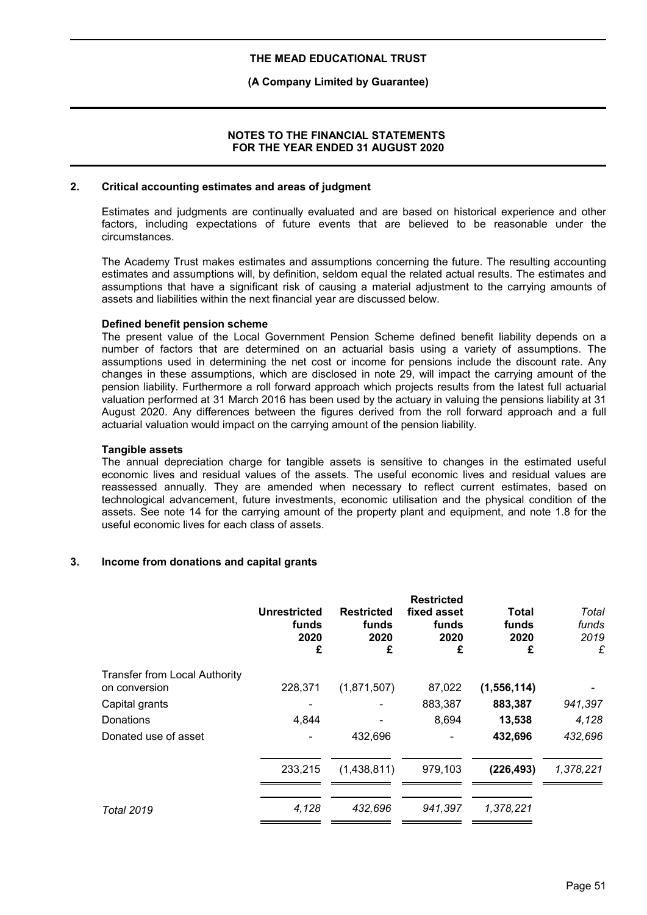### **(A Company Limited by Guarantee)**

### **NOTES TO THE FINANCIAL STATEMENTS FOR THE YEAR ENDED 31 AUGUST 2020**

### **2. Critical accounting estimates and areas of judgment**

Estimates and judgments are continually evaluated and are based on historical experience and other factors, including expectations of future events that are believed to be reasonable under the circumstances.

The Academy Trust makes estimates and assumptions concerning the future. The resulting accounting estimates and assumptions will, by definition, seldom equal the related actual results. The estimates and assumptions that have a significant risk of causing a material adjustment to the carrying amounts of assets and liabilities within the next financial year are discussed below.

### **Defined benefit pension scheme**

The present value of the Local Government Pension Scheme defined benefit liability depends on a number of factors that are determined on an actuarial basis using a variety of assumptions. The assumptions used in determining the net cost or income for pensions include the discount rate. Any changes in these assumptions, which are disclosed in note 29, will impact the carrying amount of the pension liability. Furthermore a roll forward approach which projects results from the latest full actuarial valuation performed at 31 March 2016 has been used by the actuary in valuing the pensions liability at 31 August 2020. Any differences between the figures derived from the roll forward approach and a full actuarial valuation would impact on the carrying amount of the pension liability.

### **Tangible assets**

The annual depreciation charge for tangible assets is sensitive to changes in the estimated useful economic lives and residual values of the assets. The useful economic lives and residual values are reassessed annually. They are amended when necessary to reflect current estimates, based on technological advancement, future investments, economic utilisation and the physical condition of the assets. See note 14 for the carrying amount of the property plant and equipment, and note 1.8 for the useful economic lives for each class of assets.

## **3. Income from donations and capital grants**

|                                      | <b>Unrestricted</b><br>funds<br>2020<br>£ | <b>Restricted</b><br>funds<br>2020<br>£ | <b>Restricted</b><br>fixed asset<br>funds<br>2020<br>£ | <b>Total</b><br>funds<br>2020<br>£ | Total<br>funds<br>2019<br>£ |
|--------------------------------------|-------------------------------------------|-----------------------------------------|--------------------------------------------------------|------------------------------------|-----------------------------|
| <b>Transfer from Local Authority</b> |                                           |                                         |                                                        |                                    |                             |
| on conversion                        | 228,371                                   | (1,871,507)                             | 87,022                                                 | (1, 556, 114)                      |                             |
| Capital grants                       |                                           |                                         | 883,387                                                | 883,387                            | 941,397                     |
| Donations                            | 4,844                                     |                                         | 8,694                                                  | 13,538                             | 4,128                       |
| Donated use of asset                 |                                           | 432,696                                 |                                                        | 432,696                            | 432,696                     |
|                                      | 233,215                                   | (1,438,811)                             | 979,103                                                | (226, 493)                         | 1,378,221                   |
| <b>Total 2019</b>                    | 4,128                                     | 432,696                                 | 941.397                                                | 1,378,221                          |                             |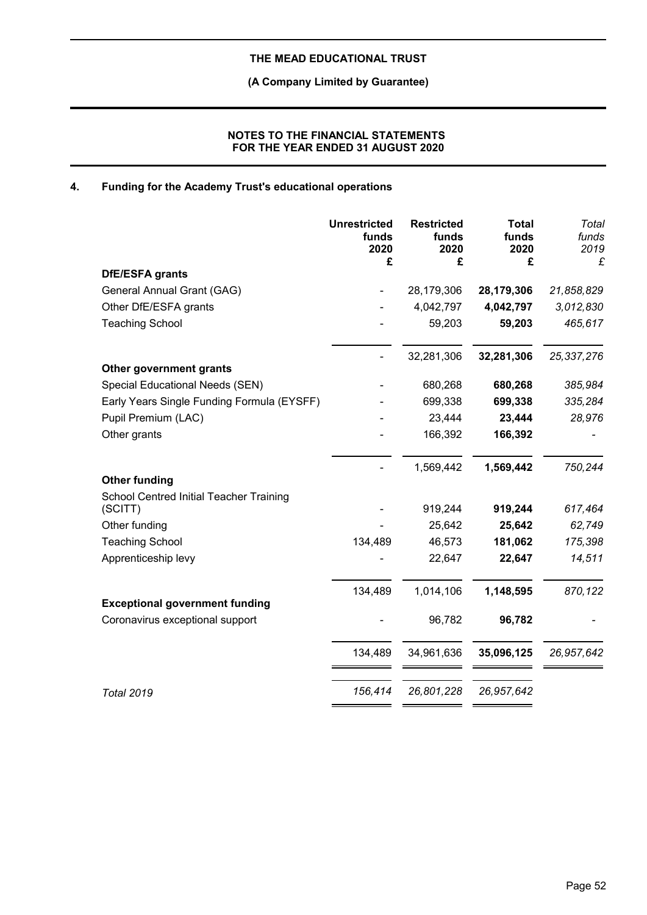**(A Company Limited by Guarantee)**

## **NOTES TO THE FINANCIAL STATEMENTS FOR THE YEAR ENDED 31 AUGUST 2020**

# **4. Funding for the Academy Trust's educational operations**

|                                                    | <b>Unrestricted</b><br>funds<br>2020<br>£ | <b>Restricted</b><br>funds<br>2020<br>£ | <b>Total</b><br>funds<br>2020<br>£ | Total<br>funds<br>2019<br>£ |
|----------------------------------------------------|-------------------------------------------|-----------------------------------------|------------------------------------|-----------------------------|
| DfE/ESFA grants                                    |                                           |                                         |                                    |                             |
| General Annual Grant (GAG)                         |                                           | 28,179,306                              | 28,179,306                         | 21,858,829                  |
| Other DfE/ESFA grants                              |                                           | 4,042,797                               | 4,042,797                          | 3,012,830                   |
| <b>Teaching School</b>                             |                                           | 59,203                                  | 59,203                             | 465,617                     |
|                                                    |                                           | 32,281,306                              | 32,281,306                         | 25,337,276                  |
| Other government grants                            |                                           |                                         |                                    |                             |
| Special Educational Needs (SEN)                    |                                           | 680,268                                 | 680,268                            | 385,984                     |
| Early Years Single Funding Formula (EYSFF)         |                                           | 699,338                                 | 699,338                            | 335,284                     |
| Pupil Premium (LAC)                                |                                           | 23,444                                  | 23,444                             | 28,976                      |
| Other grants                                       |                                           | 166,392                                 | 166,392                            |                             |
|                                                    |                                           | 1,569,442                               | 1,569,442                          | 750,244                     |
| <b>Other funding</b>                               |                                           |                                         |                                    |                             |
| School Centred Initial Teacher Training<br>(SCITT) |                                           | 919,244                                 | 919,244                            | 617,464                     |
| Other funding                                      |                                           | 25,642                                  | 25,642                             | 62,749                      |
| <b>Teaching School</b>                             | 134,489                                   | 46,573                                  | 181,062                            | 175,398                     |
| Apprenticeship levy                                |                                           | 22,647                                  | 22,647                             | 14,511                      |
|                                                    | 134,489                                   | 1,014,106                               | 1,148,595                          | 870,122                     |
| <b>Exceptional government funding</b>              |                                           |                                         |                                    |                             |
| Coronavirus exceptional support                    |                                           | 96,782                                  | 96,782                             |                             |
|                                                    | 134,489                                   | 34,961,636                              | 35,096,125                         | 26,957,642                  |
| <b>Total 2019</b>                                  | 156,414                                   | 26,801,228                              | 26,957,642                         |                             |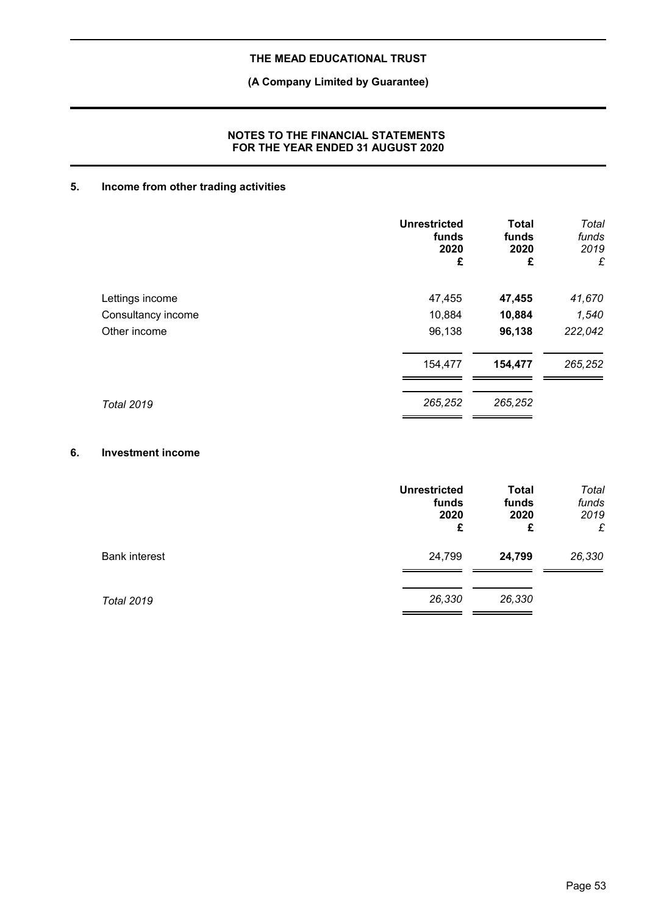# **(A Company Limited by Guarantee)**

## **NOTES TO THE FINANCIAL STATEMENTS FOR THE YEAR ENDED 31 AUGUST 2020**

# **5. Income from other trading activities**

|                    | <b>Unrestricted</b><br>funds<br>2020<br>£ | <b>Total</b><br>funds<br>2020<br>£ | Total<br>funds<br>2019<br>£ |
|--------------------|-------------------------------------------|------------------------------------|-----------------------------|
| Lettings income    | 47,455                                    | 47,455                             | 41,670                      |
| Consultancy income | 10,884                                    | 10,884                             | 1,540                       |
| Other income       | 96,138                                    | 96,138                             | 222,042                     |
|                    | 154,477                                   | 154,477                            | 265,252                     |
| <b>Total 2019</b>  | 265,252                                   | 265,252                            |                             |

### **6. Investment income**

|                      | <b>Unrestricted</b><br>funds<br>2020<br>£ | <b>Total</b><br>funds<br>2020<br>£ | Total<br>funds<br>2019<br>£ |
|----------------------|-------------------------------------------|------------------------------------|-----------------------------|
| <b>Bank interest</b> | 24,799                                    | 24,799                             | 26,330                      |
| <b>Total 2019</b>    | 26,330                                    | 26,330                             |                             |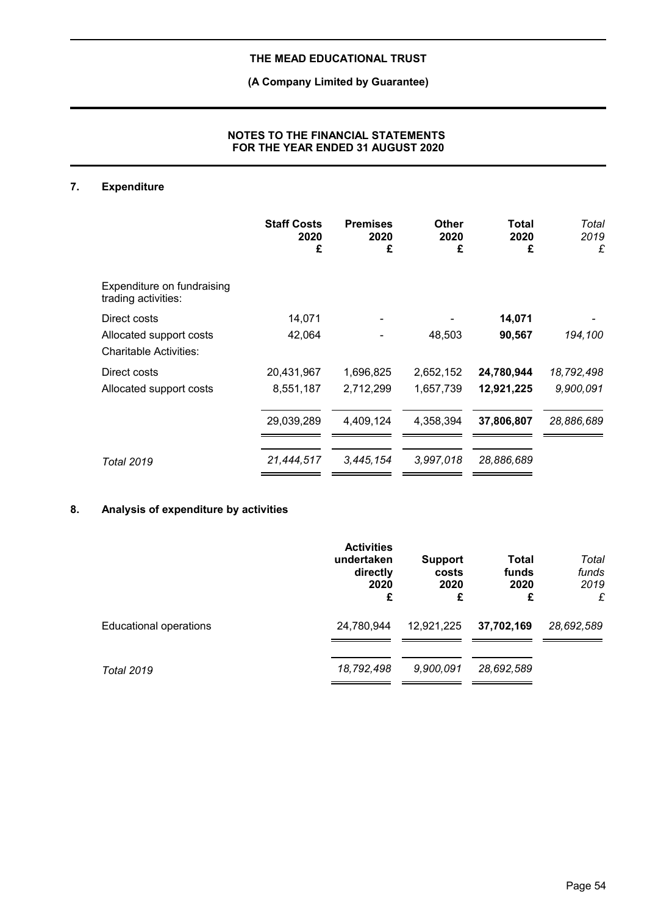# **(A Company Limited by Guarantee)**

## **NOTES TO THE FINANCIAL STATEMENTS FOR THE YEAR ENDED 31 AUGUST 2020**

# **7. Expenditure**

|                                                          | <b>Staff Costs</b><br>2020<br>£ | <b>Premises</b><br>2020<br>£ | Other<br>2020<br>£ | Total<br>2020<br>£ | Total<br>2019<br>£ |
|----------------------------------------------------------|---------------------------------|------------------------------|--------------------|--------------------|--------------------|
| Expenditure on fundraising<br>trading activities:        |                                 |                              |                    |                    |                    |
| Direct costs                                             | 14,071                          |                              |                    | 14,071             |                    |
| Allocated support costs<br><b>Charitable Activities:</b> | 42,064                          |                              | 48,503             | 90,567             | 194,100            |
| Direct costs                                             | 20,431,967                      | 1,696,825                    | 2,652,152          | 24,780,944         | 18,792,498         |
| Allocated support costs                                  | 8,551,187                       | 2,712,299                    | 1,657,739          | 12,921,225         | 9,900,091          |
|                                                          | 29,039,289                      | 4,409,124                    | 4,358,394          | 37,806,807         | 28,886,689         |
| <b>Total 2019</b>                                        | 21,444,517                      | 3,445,154                    | 3.997.018          | 28,886,689         |                    |

# **8. Analysis of expenditure by activities**

|                        | <b>Activities</b><br>undertaken<br>directly<br>2020<br>£ | <b>Support</b><br>costs<br>2020<br>£ | <b>Total</b><br>funds<br>2020<br>£ | Total<br>funds<br>2019<br>£ |
|------------------------|----------------------------------------------------------|--------------------------------------|------------------------------------|-----------------------------|
| Educational operations | 24,780,944                                               | 12,921,225                           | 37,702,169                         | 28,692,589                  |
| <b>Total 2019</b>      | 18,792,498                                               | 9,900,091                            | 28,692,589                         |                             |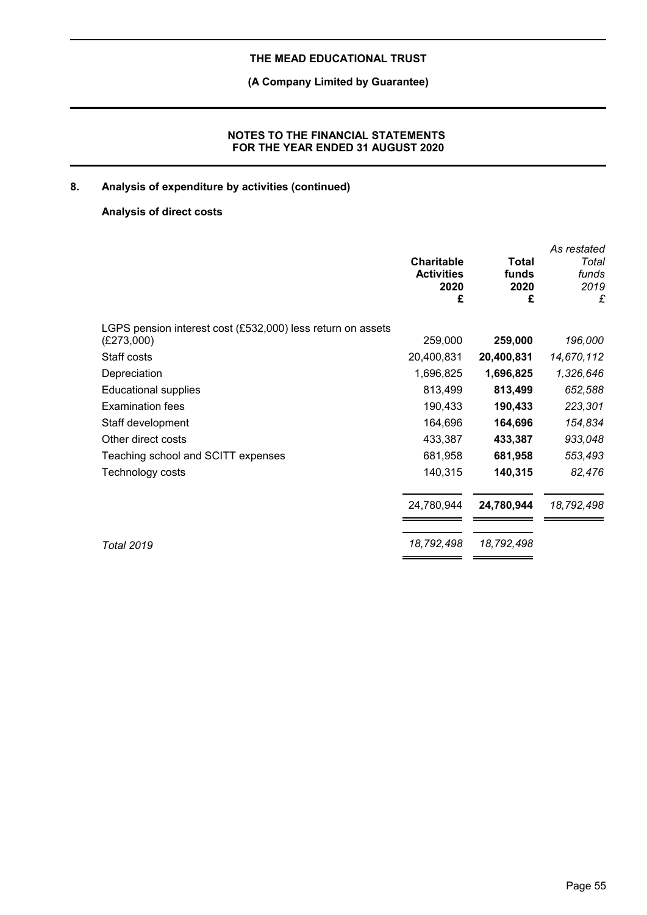# **(A Company Limited by Guarantee)**

## **NOTES TO THE FINANCIAL STATEMENTS FOR THE YEAR ENDED 31 AUGUST 2020**

# **8. Analysis of expenditure by activities (continued)**

# **Analysis of direct costs**

|                                                             | <b>Charitable</b><br><b>Activities</b><br>2020<br>£ | Total<br>funds<br>2020<br>£ | As restated<br>Total<br>funds<br>2019<br>£ |
|-------------------------------------------------------------|-----------------------------------------------------|-----------------------------|--------------------------------------------|
| LGPS pension interest cost (£532,000) less return on assets |                                                     |                             |                                            |
| (E273,000)                                                  | 259,000                                             | 259,000                     | 196,000                                    |
| Staff costs                                                 | 20,400,831                                          | 20,400,831                  | 14,670,112                                 |
| Depreciation                                                | 1,696,825                                           | 1,696,825                   | 1,326,646                                  |
| <b>Educational supplies</b>                                 | 813,499                                             | 813,499                     | 652,588                                    |
| <b>Examination fees</b>                                     | 190,433                                             | 190,433                     | 223,301                                    |
| Staff development                                           | 164,696                                             | 164,696                     | 154,834                                    |
| Other direct costs                                          | 433,387                                             | 433,387                     | 933,048                                    |
| Teaching school and SCITT expenses                          | 681,958                                             | 681,958                     | 553,493                                    |
| Technology costs                                            | 140,315                                             | 140,315                     | 82,476                                     |
|                                                             | 24,780,944                                          | 24,780,944                  | 18,792,498                                 |
| <b>Total 2019</b>                                           | 18,792,498                                          | 18,792,498                  |                                            |
|                                                             |                                                     |                             |                                            |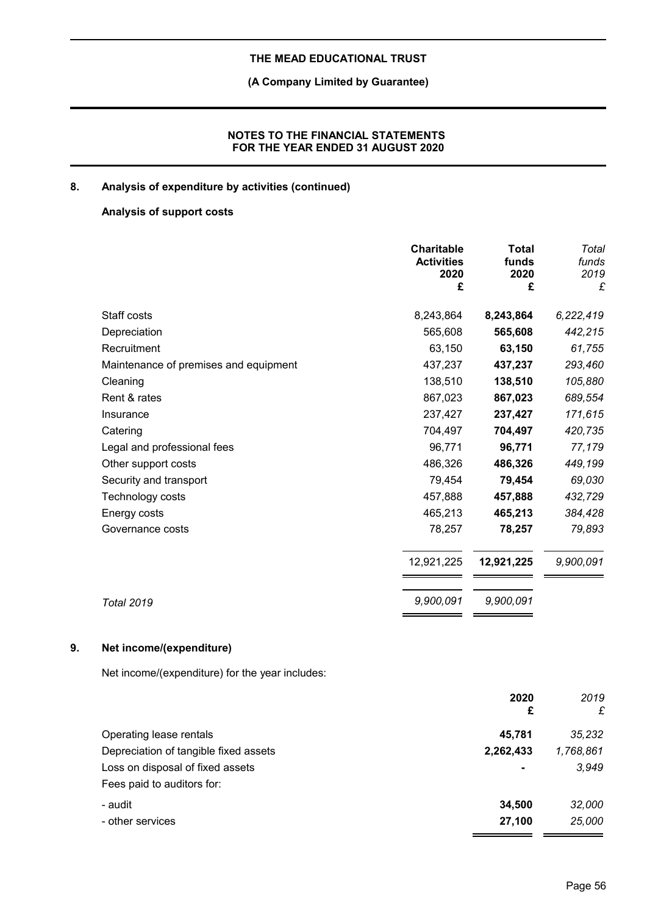# **(A Company Limited by Guarantee)**

## **NOTES TO THE FINANCIAL STATEMENTS FOR THE YEAR ENDED 31 AUGUST 2020**

# **8. Analysis of expenditure by activities (continued)**

## **Analysis of support costs**

|                                       | <b>Charitable</b><br><b>Activities</b><br>2020<br>£ | <b>Total</b><br>funds<br>2020<br>£ | Total<br>funds<br>2019<br>£ |
|---------------------------------------|-----------------------------------------------------|------------------------------------|-----------------------------|
|                                       |                                                     |                                    |                             |
| Staff costs                           | 8,243,864                                           | 8,243,864                          | 6,222,419                   |
| Depreciation                          | 565,608                                             | 565,608                            | 442,215                     |
| Recruitment                           | 63,150                                              | 63,150                             | 61,755                      |
| Maintenance of premises and equipment | 437,237                                             | 437,237                            | 293,460                     |
| Cleaning                              | 138,510                                             | 138,510                            | 105,880                     |
| Rent & rates                          | 867,023                                             | 867,023                            | 689,554                     |
| Insurance                             | 237,427                                             | 237,427                            | 171,615                     |
| Catering                              | 704,497                                             | 704,497                            | 420,735                     |
| Legal and professional fees           | 96,771                                              | 96,771                             | 77,179                      |
| Other support costs                   | 486,326                                             | 486,326                            | 449,199                     |
| Security and transport                | 79,454                                              | 79,454                             | 69,030                      |
| Technology costs                      | 457,888                                             | 457,888                            | 432,729                     |
| Energy costs                          | 465,213                                             | 465,213                            | 384,428                     |
| Governance costs                      | 78,257                                              | 78,257                             | 79,893                      |
|                                       | 12,921,225                                          | 12,921,225                         | 9,900,091                   |
| <b>Total 2019</b>                     | 9,900,091                                           | 9,900,091                          |                             |

# **9. Net income/(expenditure)**

Net income/(expenditure) for the year includes:

| 2020<br>£                                          | 2019<br>£ |
|----------------------------------------------------|-----------|
| Operating lease rentals<br>45.781                  | 35,232    |
| Depreciation of tangible fixed assets<br>2,262,433 | 1,768,861 |
| Loss on disposal of fixed assets<br>$\blacksquare$ | 3,949     |
| Fees paid to auditors for:                         |           |
| 34.500<br>- audit                                  | 32,000    |
| 27,100<br>- other services                         | 25,000    |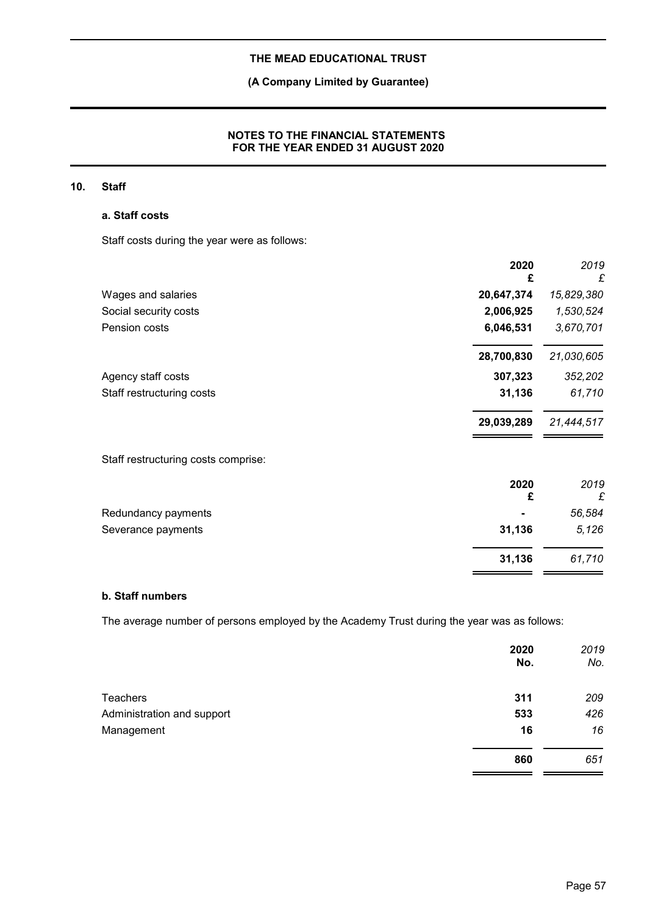# **(A Company Limited by Guarantee)**

## **NOTES TO THE FINANCIAL STATEMENTS FOR THE YEAR ENDED 31 AUGUST 2020**

## **10. Staff**

### **a. Staff costs**

Staff costs during the year were as follows:

|                                     | 2020<br>£  | 2019<br>£  |
|-------------------------------------|------------|------------|
| Wages and salaries                  | 20,647,374 | 15,829,380 |
| Social security costs               | 2,006,925  | 1,530,524  |
| Pension costs                       | 6,046,531  | 3,670,701  |
|                                     | 28,700,830 | 21,030,605 |
| Agency staff costs                  | 307,323    | 352,202    |
| Staff restructuring costs           | 31,136     | 61,710     |
|                                     | 29,039,289 | 21,444,517 |
| Staff restructuring costs comprise: |            |            |
|                                     | 2020<br>£  | 2019<br>£  |
| Redundancy payments                 |            | 56,584     |
| Severance payments                  | 31,136     | 5,126      |
|                                     | 31,136     | 61,710     |

### **b. Staff numbers**

The average number of persons employed by the Academy Trust during the year was as follows:

|                            | 2020<br>No. | 2019<br>No. |
|----------------------------|-------------|-------------|
| <b>Teachers</b>            | 311         | 209         |
| Administration and support | 533         | 426         |
| Management                 | 16          | 16          |
|                            | 860         | 651         |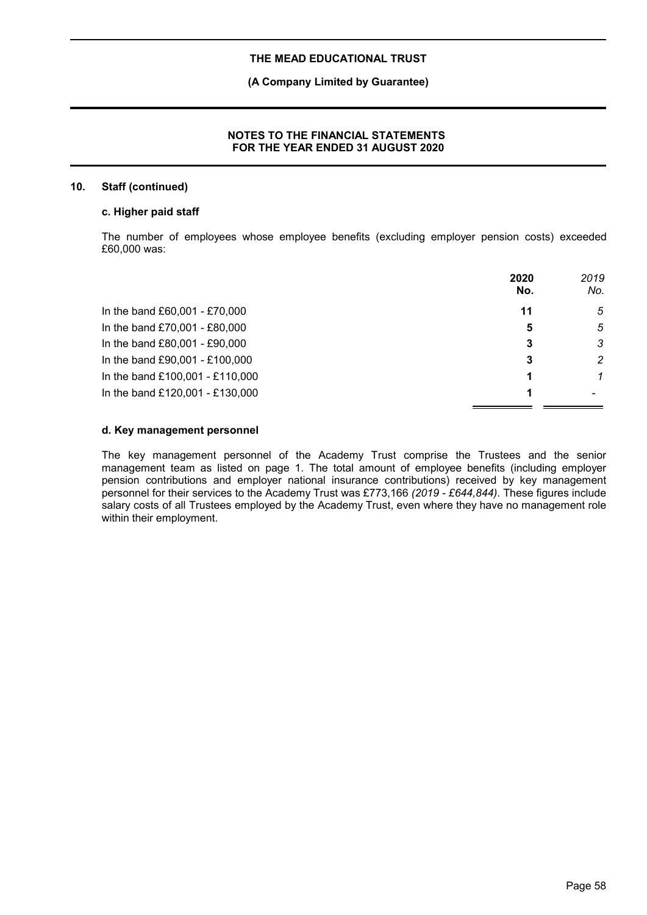### **(A Company Limited by Guarantee)**

### **NOTES TO THE FINANCIAL STATEMENTS FOR THE YEAR ENDED 31 AUGUST 2020**

### **10. Staff (continued)**

#### **c. Higher paid staff**

The number of employees whose employee benefits (excluding employer pension costs) exceeded £60,000 was:

|                                 | 2020<br>No. | 2019<br>No. |
|---------------------------------|-------------|-------------|
| In the band £60,001 - £70,000   | 11          | 5           |
| In the band £70,001 - £80,000   | 5           | 5           |
| In the band £80,001 - £90,000   | 3           | 3           |
| In the band £90,001 - £100,000  |             | 2           |
| In the band £100,001 - £110,000 |             | 1           |
| In the band £120,001 - £130,000 |             |             |

#### **d. Key management personnel**

The key management personnel of the Academy Trust comprise the Trustees and the senior management team as listed on page 1. The total amount of employee benefits (including employer pension contributions and employer national insurance contributions) received by key management personnel for their services to the Academy Trust was £773,166 *(2019 - £644,844)*. These figures include salary costs of all Trustees employed by the Academy Trust, even where they have no management role within their employment.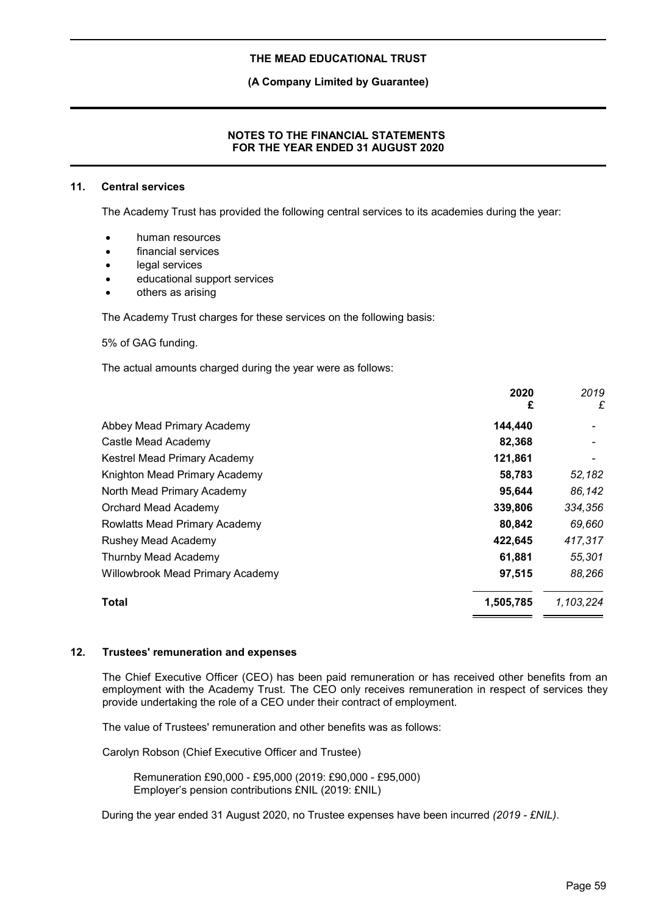**(A Company Limited by Guarantee)**

### **NOTES TO THE FINANCIAL STATEMENTS FOR THE YEAR ENDED 31 AUGUST 2020**

### **11. Central services**

The Academy Trust has provided the following central services to its academies during the year:

- human resources
- financial services
- legal services
- educational support services
- others as arising

The Academy Trust charges for these services on the following basis:

5% of GAG funding.

The actual amounts charged during the year were as follows:

|                                         | 2020      | 2019      |
|-----------------------------------------|-----------|-----------|
|                                         | £         | £         |
| Abbey Mead Primary Academy              | 144,440   |           |
| Castle Mead Academy                     | 82,368    |           |
| Kestrel Mead Primary Academy            | 121,861   |           |
| Knighton Mead Primary Academy           | 58,783    | 52,182    |
| North Mead Primary Academy              | 95,644    | 86,142    |
| Orchard Mead Academy                    | 339,806   | 334,356   |
| Rowlatts Mead Primary Academy           | 80,842    | 69,660    |
| Rushey Mead Academy                     | 422,645   | 417,317   |
| Thurnby Mead Academy                    | 61,881    | 55,301    |
| <b>Willowbrook Mead Primary Academy</b> | 97,515    | 88,266    |
| <b>Total</b>                            | 1,505,785 | 1,103,224 |
|                                         |           |           |

### **12. Trustees' remuneration and expenses**

The Chief Executive Officer (CEO) has been paid remuneration or has received other benefits from an employment with the Academy Trust. The CEO only receives remuneration in respect of services they provide undertaking the role of a CEO under their contract of employment.

The value of Trustees' remuneration and other benefits was as follows:

Carolyn Robson (Chief Executive Officer and Trustee)

Remuneration £90,000 - £95,000 (2019: £90,000 - £95,000) Employer's pension contributions £NIL (2019: £NIL)

During the year ended 31 August 2020, no Trustee expenses have been incurred *(2019 - £NIL)*.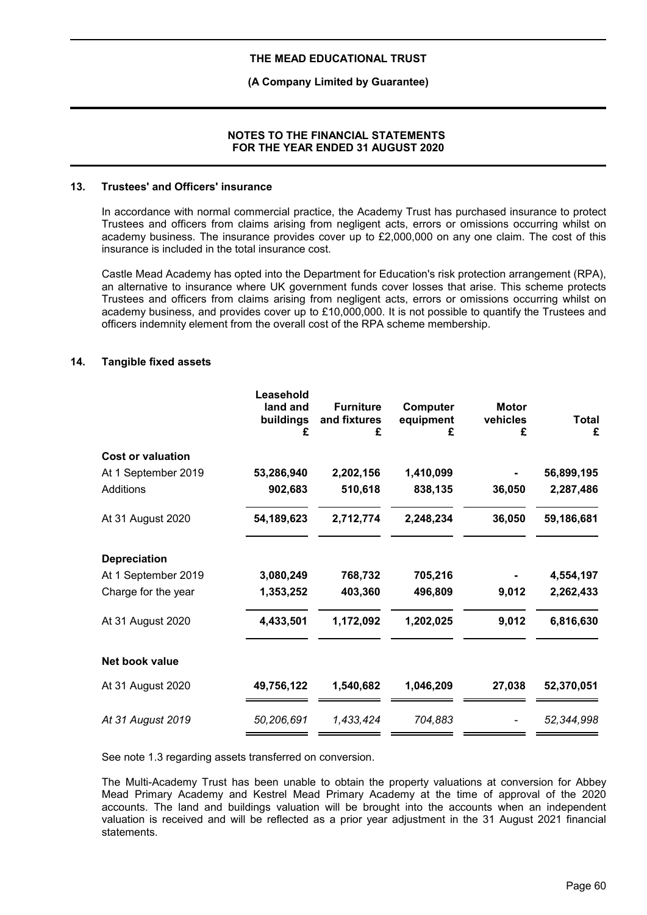### **(A Company Limited by Guarantee)**

### **NOTES TO THE FINANCIAL STATEMENTS FOR THE YEAR ENDED 31 AUGUST 2020**

### **13. Trustees' and Officers' insurance**

In accordance with normal commercial practice, the Academy Trust has purchased insurance to protect Trustees and officers from claims arising from negligent acts, errors or omissions occurring whilst on academy business. The insurance provides cover up to £2,000,000 on any one claim. The cost of this insurance is included in the total insurance cost.

Castle Mead Academy has opted into the Department for Education's risk protection arrangement (RPA), an alternative to insurance where UK government funds cover losses that arise. This scheme protects Trustees and officers from claims arising from negligent acts, errors or omissions occurring whilst on academy business, and provides cover up to £10,000,000. It is not possible to quantify the Trustees and officers indemnity element from the overall cost of the RPA scheme membership.

### **14. Tangible fixed assets**

|                          | Leasehold<br>land and<br>buildings<br>£ | <b>Furniture</b><br>and fixtures<br>£ | Computer<br>equipment<br>£ | <b>Motor</b><br>vehicles<br>£ | <b>Total</b><br>£ |
|--------------------------|-----------------------------------------|---------------------------------------|----------------------------|-------------------------------|-------------------|
| <b>Cost or valuation</b> |                                         |                                       |                            |                               |                   |
| At 1 September 2019      | 53,286,940                              | 2,202,156                             | 1,410,099                  |                               | 56,899,195        |
| Additions                | 902,683                                 | 510,618                               | 838,135                    | 36,050                        | 2,287,486         |
| At 31 August 2020        | 54,189,623                              | 2,712,774                             | 2,248,234                  | 36,050                        | 59,186,681        |
| <b>Depreciation</b>      |                                         |                                       |                            |                               |                   |
| At 1 September 2019      | 3,080,249                               | 768,732                               | 705,216                    |                               | 4,554,197         |
| Charge for the year      | 1,353,252                               | 403,360                               | 496,809                    | 9,012                         | 2,262,433         |
| At 31 August 2020        | 4,433,501                               | 1,172,092                             | 1,202,025                  | 9,012                         | 6,816,630         |
| Net book value           |                                         |                                       |                            |                               |                   |
| At 31 August 2020        | 49,756,122                              | 1,540,682                             | 1,046,209                  | 27,038                        | 52,370,051        |
| At 31 August 2019        | 50,206,691                              | 1,433,424                             | 704,883                    |                               | 52,344,998        |
|                          |                                         |                                       |                            |                               |                   |

See note 1.3 regarding assets transferred on conversion.

The Multi-Academy Trust has been unable to obtain the property valuations at conversion for Abbey Mead Primary Academy and Kestrel Mead Primary Academy at the time of approval of the 2020 accounts. The land and buildings valuation will be brought into the accounts when an independent valuation is received and will be reflected as a prior year adjustment in the 31 August 2021 financial statements.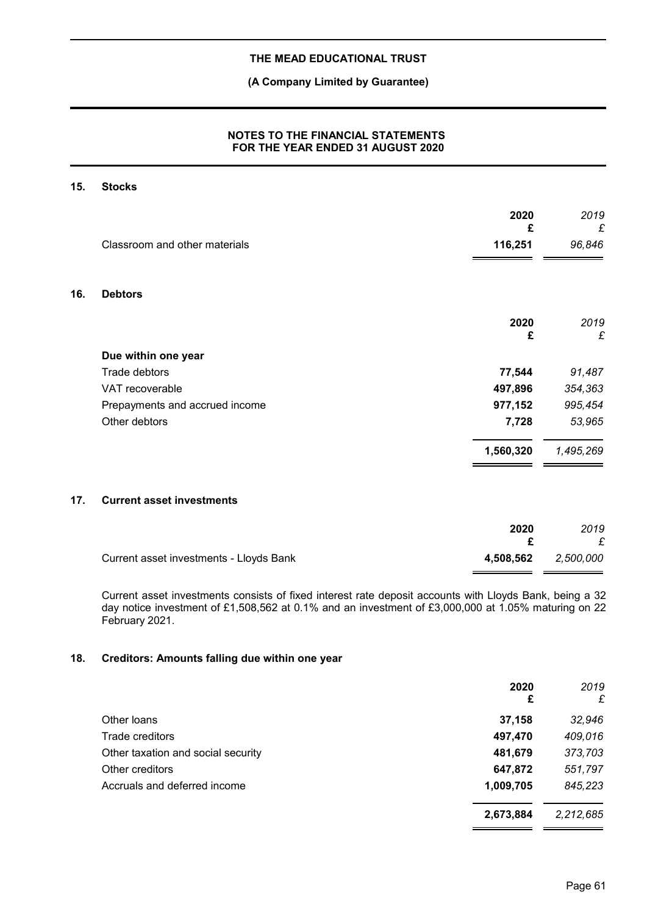### **(A Company Limited by Guarantee)**

## **NOTES TO THE FINANCIAL STATEMENTS FOR THE YEAR ENDED 31 AUGUST 2020**

### **15. Stocks**

|     | Classroom and other materials  | 2020<br>£<br>116,251 | 2019<br>£<br>96,846 |
|-----|--------------------------------|----------------------|---------------------|
| 16. | <b>Debtors</b>                 |                      |                     |
|     |                                | 2020<br>£            | 2019<br>£           |
|     | Due within one year            |                      |                     |
|     | Trade debtors                  | 77,544               | 91,487              |
|     | VAT recoverable                | 497,896              | 354,363             |
|     | Prepayments and accrued income | 977,152              | 995,454             |
|     | Other debtors                  | 7,728                | 53,965              |
|     |                                | 1,560,320            | 1,495,269           |

### **17. Current asset investments**

|                                         | 2020                | 2019<br>£ |
|-----------------------------------------|---------------------|-----------|
| Current asset investments - Lloyds Bank | 4,508,562 2,500,000 |           |

Current asset investments consists of fixed interest rate deposit accounts with Lloyds Bank, being a 32 day notice investment of £1,508,562 at 0.1% and an investment of £3,000,000 at 1.05% maturing on 22 February 2021.

### **18. Creditors: Amounts falling due within one year**

|                                    | 2020<br>£ | 2019<br>£ |
|------------------------------------|-----------|-----------|
| Other loans                        | 37,158    | 32,946    |
| Trade creditors                    | 497,470   | 409,016   |
| Other taxation and social security | 481,679   | 373,703   |
| Other creditors                    | 647,872   | 551,797   |
| Accruals and deferred income       | 1,009,705 | 845,223   |
|                                    | 2,673,884 | 2,212,685 |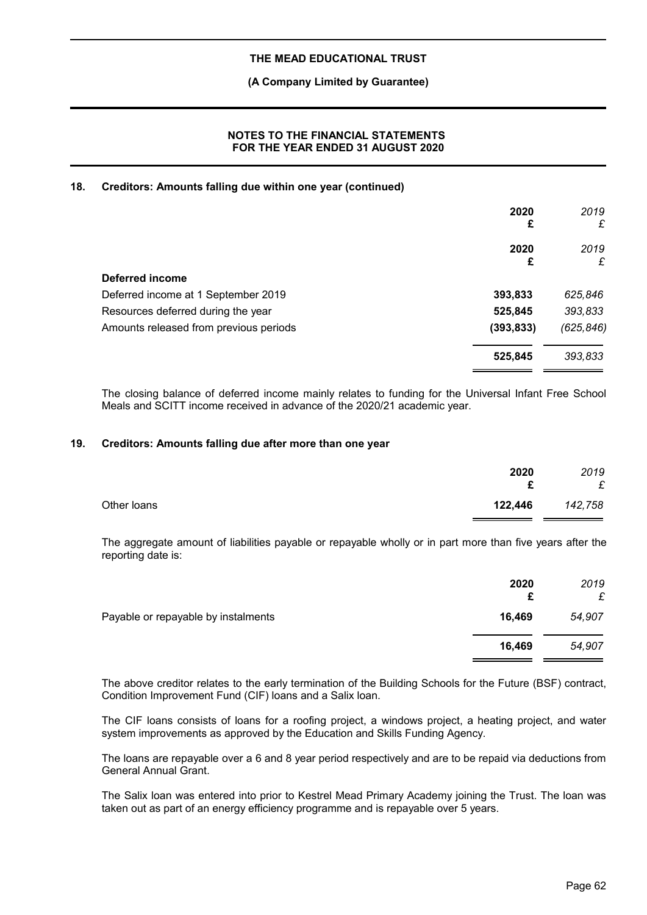### **(A Company Limited by Guarantee)**

### **NOTES TO THE FINANCIAL STATEMENTS FOR THE YEAR ENDED 31 AUGUST 2020**

## **18. Creditors: Amounts falling due within one year (continued)**

|                                        | 2020<br>£  | 2019<br>£  |
|----------------------------------------|------------|------------|
|                                        | 2020<br>£  | 2019<br>£  |
| Deferred income                        |            |            |
| Deferred income at 1 September 2019    | 393,833    | 625,846    |
| Resources deferred during the year     | 525,845    | 393,833    |
| Amounts released from previous periods | (393, 833) | (625, 846) |
|                                        | 525,845    | 393,833    |

The closing balance of deferred income mainly relates to funding for the Universal Infant Free School Meals and SCITT income received in advance of the 2020/21 academic year.

### **19. Creditors: Amounts falling due after more than one year**

|             | 2020<br>c | 2019<br>£ |
|-------------|-----------|-----------|
| Other loans | 122,446   | 142,758   |

The aggregate amount of liabilities payable or repayable wholly or in part more than five years after the reporting date is:

|                                     | 2020<br>£ | 2019<br>£ |
|-------------------------------------|-----------|-----------|
| Payable or repayable by instalments | 16,469    | 54,907    |
|                                     | 16,469    | 54,907    |

The above creditor relates to the early termination of the Building Schools for the Future (BSF) contract, Condition Improvement Fund (CIF) loans and a Salix loan.

The CIF loans consists of loans for a roofing project, a windows project, a heating project, and water system improvements as approved by the Education and Skills Funding Agency.

The loans are repayable over a 6 and 8 year period respectively and are to be repaid via deductions from General Annual Grant.

The Salix loan was entered into prior to Kestrel Mead Primary Academy joining the Trust. The loan was taken out as part of an energy efficiency programme and is repayable over 5 years.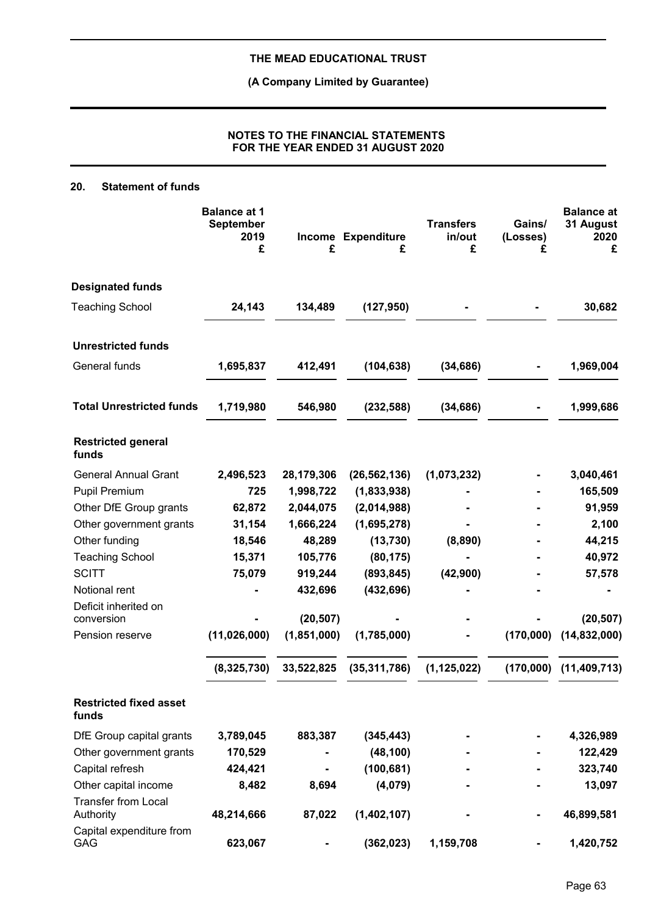**(A Company Limited by Guarantee)**

## **NOTES TO THE FINANCIAL STATEMENTS FOR THE YEAR ENDED 31 AUGUST 2020**

## **20. Statement of funds**

|                                         | <b>Balance at 1</b><br><b>September</b><br>2019<br>£ | £           | Income Expenditure<br>£ | <b>Transfers</b><br>in/out<br>£ | Gains/<br>(Losses)<br>£ | <b>Balance at</b><br>31 August<br>2020<br>£ |
|-----------------------------------------|------------------------------------------------------|-------------|-------------------------|---------------------------------|-------------------------|---------------------------------------------|
| <b>Designated funds</b>                 |                                                      |             |                         |                                 |                         |                                             |
| <b>Teaching School</b>                  | 24,143                                               | 134,489     | (127, 950)              |                                 |                         | 30,682                                      |
| <b>Unrestricted funds</b>               |                                                      |             |                         |                                 |                         |                                             |
| General funds                           | 1,695,837                                            | 412,491     | (104, 638)              | (34, 686)                       |                         | 1,969,004                                   |
| <b>Total Unrestricted funds</b>         | 1,719,980                                            | 546,980     | (232, 588)              | (34, 686)                       |                         | 1,999,686                                   |
| <b>Restricted general</b><br>funds      |                                                      |             |                         |                                 |                         |                                             |
| <b>General Annual Grant</b>             | 2,496,523                                            | 28,179,306  | (26, 562, 136)          | (1,073,232)                     |                         | 3,040,461                                   |
| <b>Pupil Premium</b>                    | 725                                                  | 1,998,722   | (1,833,938)             |                                 |                         | 165,509                                     |
| Other DfE Group grants                  | 62,872                                               | 2,044,075   | (2,014,988)             |                                 |                         | 91,959                                      |
| Other government grants                 | 31,154                                               | 1,666,224   | (1,695,278)             |                                 |                         | 2,100                                       |
| Other funding                           | 18,546                                               | 48,289      | (13, 730)               | (8,890)                         |                         | 44,215                                      |
| <b>Teaching School</b>                  | 15,371                                               | 105,776     | (80, 175)               |                                 |                         | 40,972                                      |
| <b>SCITT</b>                            | 75,079                                               | 919,244     | (893, 845)              | (42,900)                        |                         | 57,578                                      |
| Notional rent                           |                                                      | 432,696     | (432, 696)              |                                 |                         |                                             |
| Deficit inherited on                    |                                                      |             |                         |                                 |                         |                                             |
| conversion                              |                                                      | (20, 507)   |                         |                                 |                         | (20, 507)                                   |
| Pension reserve                         | (11,026,000)                                         | (1,851,000) | (1,785,000)             |                                 | (170,000)               | (14, 832, 000)                              |
|                                         | (8,325,730)                                          | 33,522,825  | (35, 311, 786)          | (1, 125, 022)                   | (170,000)               | (11, 409, 713)                              |
| <b>Restricted fixed asset</b><br>funds  |                                                      |             |                         |                                 |                         |                                             |
| DfE Group capital grants                | 3,789,045                                            | 883,387     | (345, 443)              |                                 |                         | 4,326,989                                   |
| Other government grants                 | 170,529                                              |             | (48, 100)               |                                 |                         | 122,429                                     |
| Capital refresh                         | 424,421                                              |             | (100, 681)              |                                 |                         | 323,740                                     |
| Other capital income                    | 8,482                                                | 8,694       | (4,079)                 |                                 |                         | 13,097                                      |
| <b>Transfer from Local</b><br>Authority | 48,214,666                                           | 87,022      | (1,402,107)             |                                 |                         | 46,899,581                                  |
| Capital expenditure from<br><b>GAG</b>  | 623,067                                              |             | (362, 023)              | 1,159,708                       |                         | 1,420,752                                   |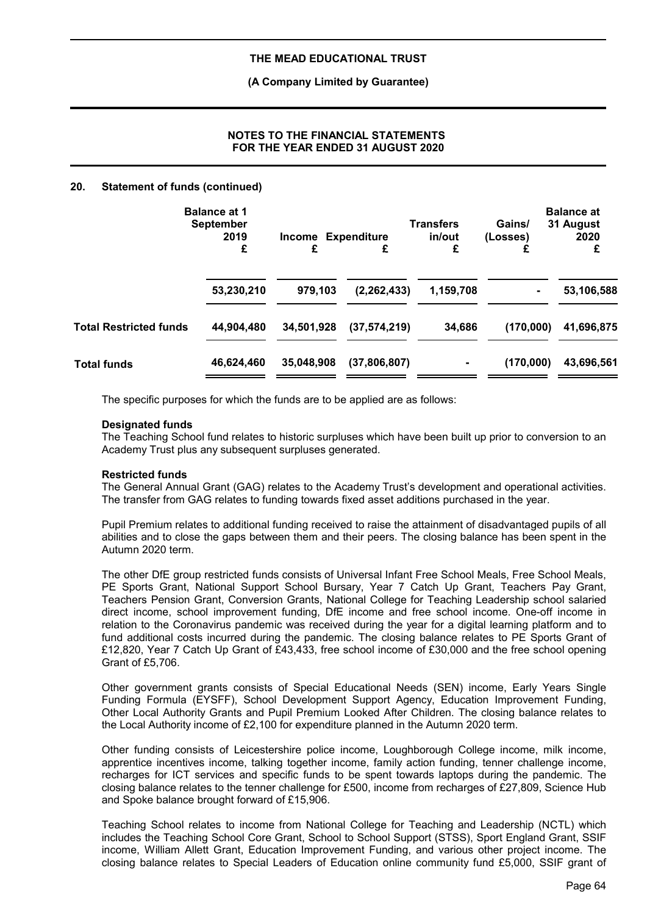### **(A Company Limited by Guarantee)**

## **NOTES TO THE FINANCIAL STATEMENTS FOR THE YEAR ENDED 31 AUGUST 2020**

### **20. Statement of funds (continued)**

|                               | <b>Balance at 1</b><br><b>September</b><br>2019<br>£ | Income Expenditure<br>£ | £              | <b>Transfers</b><br>in/out<br>£ | Gains/<br>(Losses) | <b>Balance at</b><br>31 August<br>2020<br>£ |
|-------------------------------|------------------------------------------------------|-------------------------|----------------|---------------------------------|--------------------|---------------------------------------------|
|                               | 53,230,210                                           | 979,103                 | (2, 262, 433)  | 1,159,708                       |                    | 53,106,588                                  |
| <b>Total Restricted funds</b> | 44,904,480                                           | 34,501,928              | (37, 574, 219) | 34,686                          | (170,000)          | 41,696,875                                  |
| <b>Total funds</b>            | 46,624,460                                           | 35,048,908              | (37,806,807)   |                                 | (170,000)          | 43,696,561                                  |

The specific purposes for which the funds are to be applied are as follows:

### **Designated funds**

The Teaching School fund relates to historic surpluses which have been built up prior to conversion to an Academy Trust plus any subsequent surpluses generated.

### **Restricted funds**

The General Annual Grant (GAG) relates to the Academy Trust's development and operational activities. The transfer from GAG relates to funding towards fixed asset additions purchased in the year.

Pupil Premium relates to additional funding received to raise the attainment of disadvantaged pupils of all abilities and to close the gaps between them and their peers. The closing balance has been spent in the Autumn 2020 term.

The other DfE group restricted funds consists of Universal Infant Free School Meals, Free School Meals, PE Sports Grant, National Support School Bursary, Year 7 Catch Up Grant, Teachers Pay Grant, Teachers Pension Grant, Conversion Grants, National College for Teaching Leadership school salaried direct income, school improvement funding, DfE income and free school income. One-off income in relation to the Coronavirus pandemic was received during the year for a digital learning platform and to fund additional costs incurred during the pandemic. The closing balance relates to PE Sports Grant of £12,820, Year 7 Catch Up Grant of £43,433, free school income of £30,000 and the free school opening Grant of £5,706.

Other government grants consists of Special Educational Needs (SEN) income, Early Years Single Funding Formula (EYSFF), School Development Support Agency, Education Improvement Funding, Other Local Authority Grants and Pupil Premium Looked After Children. The closing balance relates to the Local Authority income of £2,100 for expenditure planned in the Autumn 2020 term.

Other funding consists of Leicestershire police income, Loughborough College income, milk income, apprentice incentives income, talking together income, family action funding, tenner challenge income, recharges for ICT services and specific funds to be spent towards laptops during the pandemic. The closing balance relates to the tenner challenge for £500, income from recharges of £27,809, Science Hub and Spoke balance brought forward of £15,906.

Teaching School relates to income from National College for Teaching and Leadership (NCTL) which includes the Teaching School Core Grant, School to School Support (STSS), Sport England Grant, SSIF income, William Allett Grant, Education Improvement Funding, and various other project income. The closing balance relates to Special Leaders of Education online community fund £5,000, SSIF grant of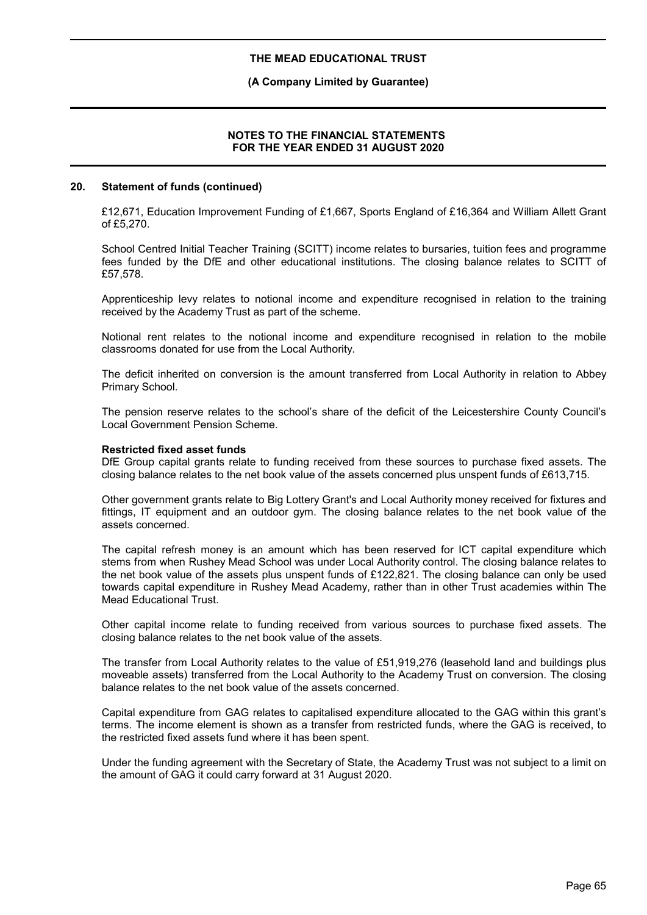### **(A Company Limited by Guarantee)**

### **NOTES TO THE FINANCIAL STATEMENTS FOR THE YEAR ENDED 31 AUGUST 2020**

### **20. Statement of funds (continued)**

£12,671, Education Improvement Funding of £1,667, Sports England of £16,364 and William Allett Grant of £5,270.

School Centred Initial Teacher Training (SCITT) income relates to bursaries, tuition fees and programme fees funded by the DfE and other educational institutions. The closing balance relates to SCITT of £57,578.

Apprenticeship levy relates to notional income and expenditure recognised in relation to the training received by the Academy Trust as part of the scheme.

Notional rent relates to the notional income and expenditure recognised in relation to the mobile classrooms donated for use from the Local Authority.

The deficit inherited on conversion is the amount transferred from Local Authority in relation to Abbey Primary School.

The pension reserve relates to the school's share of the deficit of the Leicestershire County Council's Local Government Pension Scheme.

#### **Restricted fixed asset funds**

DfE Group capital grants relate to funding received from these sources to purchase fixed assets. The closing balance relates to the net book value of the assets concerned plus unspent funds of £613,715.

Other government grants relate to Big Lottery Grant's and Local Authority money received for fixtures and fittings, IT equipment and an outdoor gym. The closing balance relates to the net book value of the assets concerned.

The capital refresh money is an amount which has been reserved for ICT capital expenditure which stems from when Rushey Mead School was under Local Authority control. The closing balance relates to the net book value of the assets plus unspent funds of £122,821. The closing balance can only be used towards capital expenditure in Rushey Mead Academy, rather than in other Trust academies within The Mead Educational Trust.

Other capital income relate to funding received from various sources to purchase fixed assets. The closing balance relates to the net book value of the assets.

The transfer from Local Authority relates to the value of £51,919,276 (leasehold land and buildings plus moveable assets) transferred from the Local Authority to the Academy Trust on conversion. The closing balance relates to the net book value of the assets concerned.

Capital expenditure from GAG relates to capitalised expenditure allocated to the GAG within this grant's terms. The income element is shown as a transfer from restricted funds, where the GAG is received, to the restricted fixed assets fund where it has been spent.

Under the funding agreement with the Secretary of State, the Academy Trust was not subject to a limit on the amount of GAG it could carry forward at 31 August 2020.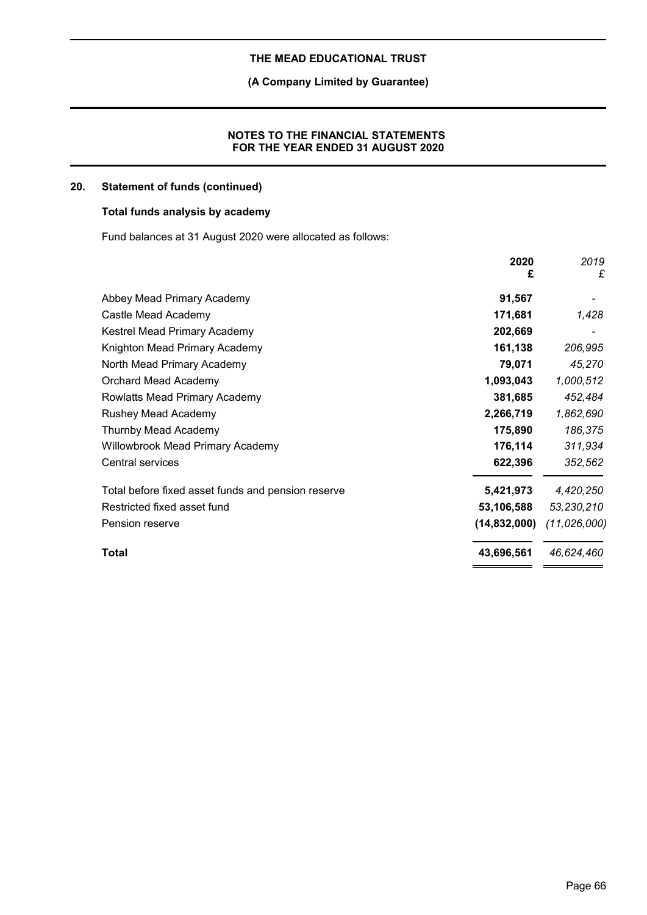# **(A Company Limited by Guarantee)**

### **NOTES TO THE FINANCIAL STATEMENTS FOR THE YEAR ENDED 31 AUGUST 2020**

# **20. Statement of funds (continued)**

# **Total funds analysis by academy**

Fund balances at 31 August 2020 were allocated as follows:

|                                                                 | 2020<br>£ | 2019<br>£      |
|-----------------------------------------------------------------|-----------|----------------|
| Abbey Mead Primary Academy                                      | 91,567    |                |
| Castle Mead Academy                                             | 171,681   | 1,428          |
| Kestrel Mead Primary Academy                                    | 202,669   |                |
| Knighton Mead Primary Academy                                   | 161,138   | 206,995        |
| North Mead Primary Academy                                      | 79,071    | 45,270         |
| 1,093,043<br>Orchard Mead Academy                               |           | 1,000,512      |
| Rowlatts Mead Primary Academy                                   | 381,685   | 452,484        |
| Rushey Mead Academy<br>2,266,719                                |           | 1,862,690      |
| Thurnby Mead Academy                                            | 175,890   | 186,375        |
| <b>Willowbrook Mead Primary Academy</b>                         | 176,114   | 311,934        |
| Central services                                                | 622,396   | 352,562        |
| Total before fixed asset funds and pension reserve<br>5,421,973 |           | 4,420,250      |
| Restricted fixed asset fund<br>53,106,588                       |           | 53,230,210     |
| (14, 832, 000)<br>Pension reserve                               |           | (11, 026, 000) |
| 43,696,561<br><b>Total</b>                                      |           | 46,624,460     |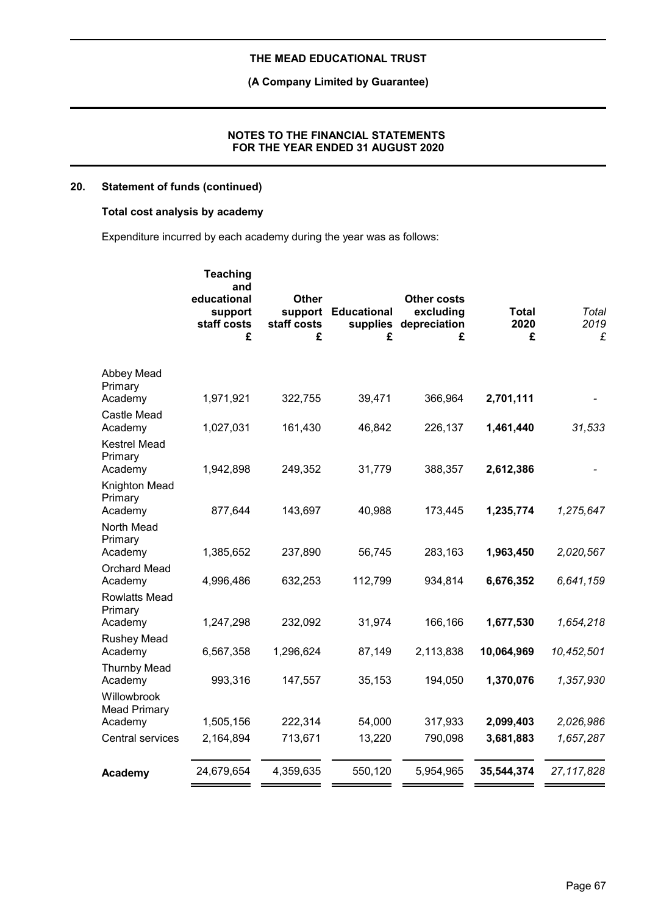# **(A Company Limited by Guarantee)**

### **NOTES TO THE FINANCIAL STATEMENTS FOR THE YEAR ENDED 31 AUGUST 2020**

# **20. Statement of funds (continued)**

# **Total cost analysis by academy**

Expenditure incurred by each academy during the year was as follows:

|                                           | <b>Teaching</b><br>and<br>educational<br>support<br>staff costs<br>£ | <b>Other</b><br>support<br>staff costs<br>£ | <b>Educational</b><br>£ | <b>Other costs</b><br>excluding<br>supplies depreciation<br>£ | <b>Total</b><br>2020<br>£ | Total<br>2019<br>£ |
|-------------------------------------------|----------------------------------------------------------------------|---------------------------------------------|-------------------------|---------------------------------------------------------------|---------------------------|--------------------|
| Abbey Mead<br>Primary                     |                                                                      |                                             |                         |                                                               |                           |                    |
| Academy                                   | 1,971,921                                                            | 322,755                                     | 39,471                  | 366,964                                                       | 2,701,111                 |                    |
| Castle Mead<br>Academy                    | 1,027,031                                                            | 161,430                                     | 46,842                  | 226,137                                                       | 1,461,440                 | 31,533             |
| <b>Kestrel Mead</b><br>Primary<br>Academy | 1,942,898                                                            | 249,352                                     | 31,779                  | 388,357                                                       | 2,612,386                 |                    |
| Knighton Mead<br>Primary<br>Academy       | 877,644                                                              | 143,697                                     | 40,988                  | 173,445                                                       | 1,235,774                 | 1,275,647          |
| North Mead<br>Primary                     |                                                                      |                                             |                         |                                                               |                           |                    |
| Academy                                   | 1,385,652                                                            | 237,890                                     | 56,745                  | 283,163                                                       | 1,963,450                 | 2,020,567          |
| <b>Orchard Mead</b><br>Academy            | 4,996,486                                                            | 632,253                                     | 112,799                 | 934,814                                                       | 6,676,352                 | 6,641,159          |
| <b>Rowlatts Mead</b><br>Primary           |                                                                      |                                             |                         |                                                               |                           |                    |
| Academy                                   | 1,247,298                                                            | 232,092                                     | 31,974                  | 166,166                                                       | 1,677,530                 | 1,654,218          |
| <b>Rushey Mead</b><br>Academy             | 6,567,358                                                            | 1,296,624                                   | 87,149                  | 2,113,838                                                     | 10,064,969                | 10,452,501         |
| <b>Thurnby Mead</b><br>Academy            | 993,316                                                              | 147,557                                     | 35,153                  | 194,050                                                       | 1,370,076                 | 1,357,930          |
| Willowbrook<br><b>Mead Primary</b>        |                                                                      |                                             |                         |                                                               |                           |                    |
| Academy                                   | 1,505,156                                                            | 222,314                                     | 54,000                  | 317,933                                                       | 2,099,403                 | 2,026,986          |
| Central services                          | 2,164,894                                                            | 713,671                                     | 13,220                  | 790,098                                                       | 3,681,883                 | 1,657,287          |
| Academy                                   | 24,679,654                                                           | 4,359,635                                   | 550,120                 | 5,954,965                                                     | 35,544,374                | 27, 117, 828       |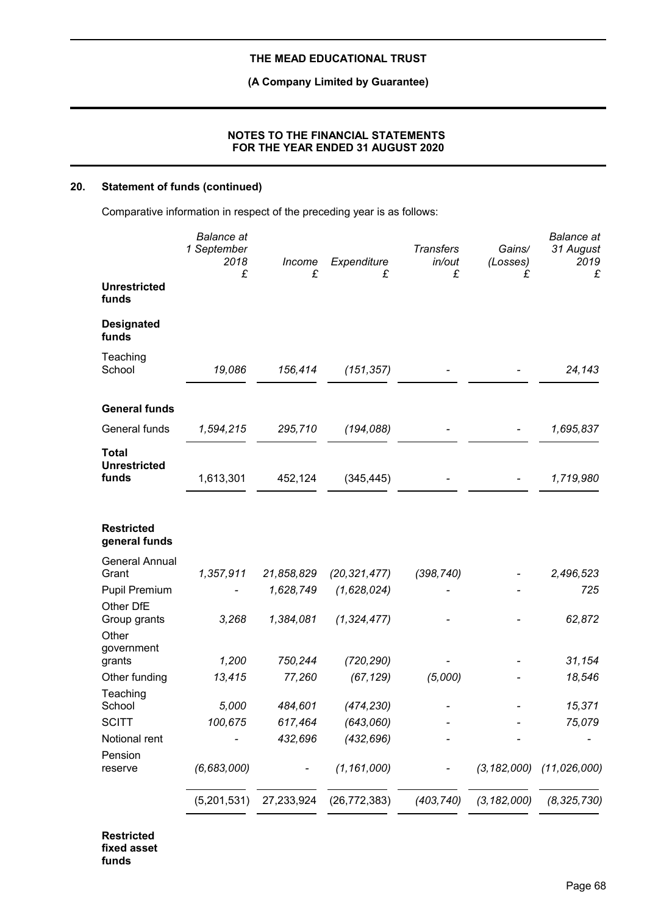**(A Company Limited by Guarantee)**

### **NOTES TO THE FINANCIAL STATEMENTS FOR THE YEAR ENDED 31 AUGUST 2020**

# **20. Statement of funds (continued)**

Comparative information in respect of the preceding year is as follows:

| <b>Unrestricted</b><br>funds<br><b>Designated</b><br>funds<br>Teaching<br>School<br>19,086<br>156,414<br>(151, 357)<br><b>General funds</b><br>General funds<br>295,710<br>(194, 088)<br>1,594,215<br><b>Total</b><br><b>Unrestricted</b><br>funds<br>1,613,301<br>452,124<br>(345, 445)<br><b>Restricted</b><br>general funds<br><b>General Annual</b><br>Grant<br>1,357,911<br>21,858,829<br>(20, 321, 477)<br>(398, 740)<br><b>Pupil Premium</b><br>1,628,749<br>(1,628,024)<br>Other DfE<br>1,384,081<br>3,268<br>(1, 324, 477)<br>Group grants<br>Other<br>government<br>1,200<br>750,244<br>(720, 290)<br>grants<br>13,415<br>Other funding<br>77,260<br>(67, 129)<br>(5,000)<br>Teaching<br>School<br>5,000<br>484,601<br>(474, 230)<br>100,675<br>(643,060)<br><b>SCITT</b><br>617,464<br>Notional rent<br>432,696<br>(432, 696)<br>Pension<br>(6, 683, 000)<br>(1, 161, 000)<br>(3, 182, 000)<br>reserve<br>$\overline{\phantom{0}}$<br>27,233,924<br>(403, 740)<br>(3, 182, 000)<br>(5,201,531)<br>(26, 772, 383) | <b>Balance</b> at<br>1 September<br>2018<br>£ | Income<br>£ | Expenditure<br>£ | <b>Transfers</b><br>in/out<br>£ | Gains/<br>(Losses)<br>£ | <b>Balance</b> at<br>31 August<br>2019<br>£ |
|-----------------------------------------------------------------------------------------------------------------------------------------------------------------------------------------------------------------------------------------------------------------------------------------------------------------------------------------------------------------------------------------------------------------------------------------------------------------------------------------------------------------------------------------------------------------------------------------------------------------------------------------------------------------------------------------------------------------------------------------------------------------------------------------------------------------------------------------------------------------------------------------------------------------------------------------------------------------------------------------------------------------------------|-----------------------------------------------|-------------|------------------|---------------------------------|-------------------------|---------------------------------------------|
|                                                                                                                                                                                                                                                                                                                                                                                                                                                                                                                                                                                                                                                                                                                                                                                                                                                                                                                                                                                                                             |                                               |             |                  |                                 |                         |                                             |
|                                                                                                                                                                                                                                                                                                                                                                                                                                                                                                                                                                                                                                                                                                                                                                                                                                                                                                                                                                                                                             |                                               |             |                  |                                 |                         |                                             |
|                                                                                                                                                                                                                                                                                                                                                                                                                                                                                                                                                                                                                                                                                                                                                                                                                                                                                                                                                                                                                             |                                               |             |                  |                                 |                         | 24,143                                      |
|                                                                                                                                                                                                                                                                                                                                                                                                                                                                                                                                                                                                                                                                                                                                                                                                                                                                                                                                                                                                                             |                                               |             |                  |                                 |                         |                                             |
|                                                                                                                                                                                                                                                                                                                                                                                                                                                                                                                                                                                                                                                                                                                                                                                                                                                                                                                                                                                                                             |                                               |             |                  |                                 |                         | 1,695,837                                   |
|                                                                                                                                                                                                                                                                                                                                                                                                                                                                                                                                                                                                                                                                                                                                                                                                                                                                                                                                                                                                                             |                                               |             |                  |                                 |                         | 1,719,980                                   |
|                                                                                                                                                                                                                                                                                                                                                                                                                                                                                                                                                                                                                                                                                                                                                                                                                                                                                                                                                                                                                             |                                               |             |                  |                                 |                         |                                             |
|                                                                                                                                                                                                                                                                                                                                                                                                                                                                                                                                                                                                                                                                                                                                                                                                                                                                                                                                                                                                                             |                                               |             |                  |                                 |                         | 2,496,523                                   |
|                                                                                                                                                                                                                                                                                                                                                                                                                                                                                                                                                                                                                                                                                                                                                                                                                                                                                                                                                                                                                             |                                               |             |                  |                                 |                         | 725                                         |
|                                                                                                                                                                                                                                                                                                                                                                                                                                                                                                                                                                                                                                                                                                                                                                                                                                                                                                                                                                                                                             |                                               |             |                  |                                 |                         | 62,872                                      |
|                                                                                                                                                                                                                                                                                                                                                                                                                                                                                                                                                                                                                                                                                                                                                                                                                                                                                                                                                                                                                             |                                               |             |                  |                                 |                         | 31,154                                      |
|                                                                                                                                                                                                                                                                                                                                                                                                                                                                                                                                                                                                                                                                                                                                                                                                                                                                                                                                                                                                                             |                                               |             |                  |                                 |                         | 18,546                                      |
|                                                                                                                                                                                                                                                                                                                                                                                                                                                                                                                                                                                                                                                                                                                                                                                                                                                                                                                                                                                                                             |                                               |             |                  |                                 |                         | 15,371                                      |
|                                                                                                                                                                                                                                                                                                                                                                                                                                                                                                                                                                                                                                                                                                                                                                                                                                                                                                                                                                                                                             |                                               |             |                  |                                 |                         | 75,079                                      |
|                                                                                                                                                                                                                                                                                                                                                                                                                                                                                                                                                                                                                                                                                                                                                                                                                                                                                                                                                                                                                             |                                               |             |                  |                                 |                         |                                             |
|                                                                                                                                                                                                                                                                                                                                                                                                                                                                                                                                                                                                                                                                                                                                                                                                                                                                                                                                                                                                                             |                                               |             |                  |                                 |                         | (11, 026, 000)                              |
|                                                                                                                                                                                                                                                                                                                                                                                                                                                                                                                                                                                                                                                                                                                                                                                                                                                                                                                                                                                                                             |                                               |             |                  |                                 |                         | (8, 325, 730)                               |

**Restricted fixed asset funds**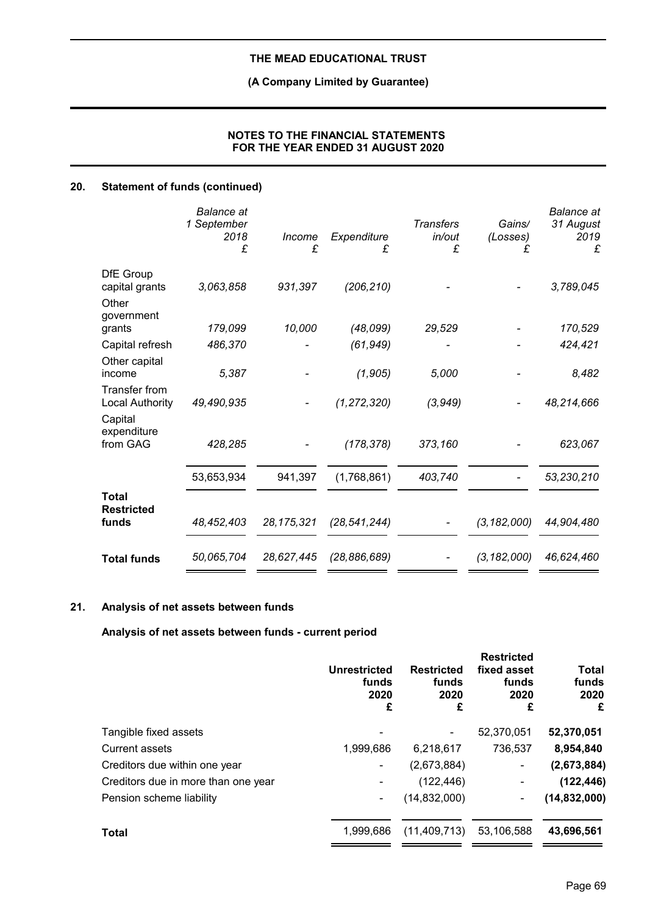# **(A Company Limited by Guarantee)**

## **NOTES TO THE FINANCIAL STATEMENTS FOR THE YEAR ENDED 31 AUGUST 2020**

# **20. Statement of funds (continued)**

|                                            | <b>Balance</b> at<br>1 September<br>2018<br>£ | Income<br>£  | Expenditure<br>£ | <b>Transfers</b><br>in/out<br>£ | Gains/<br>(Losses)<br>£ | <b>Balance</b> at<br>31 August<br>2019<br>£ |
|--------------------------------------------|-----------------------------------------------|--------------|------------------|---------------------------------|-------------------------|---------------------------------------------|
| DfE Group<br>capital grants                | 3,063,858                                     | 931,397      | (206, 210)       |                                 |                         | 3,789,045                                   |
| Other<br>government                        |                                               |              |                  |                                 |                         |                                             |
| grants                                     | 179,099                                       | 10,000       | (48,099)         | 29,529                          |                         | 170,529                                     |
| Capital refresh                            | 486,370                                       |              | (61, 949)        |                                 |                         | 424,421                                     |
| Other capital<br>income                    | 5,387                                         |              | (1, 905)         | 5,000                           |                         | 8,482                                       |
| Transfer from<br>Local Authority           | 49,490,935                                    |              | (1, 272, 320)    | (3,949)                         |                         | 48,214,666                                  |
| Capital<br>expenditure<br>from GAG         | 428,285                                       |              | (178, 378)       | 373,160                         |                         | 623,067                                     |
|                                            | 53,653,934                                    | 941,397      | (1,768,861)      | 403,740                         |                         | 53,230,210                                  |
| <b>Total</b><br><b>Restricted</b><br>funds | 48,452,403                                    | 28, 175, 321 | (28, 541, 244)   |                                 | (3, 182, 000)           | 44,904,480                                  |
| <b>Total funds</b>                         | 50,065,704                                    | 28,627,445   | (28, 886, 689)   |                                 | (3, 182, 000)           | 46,624,460                                  |

# **21. Analysis of net assets between funds**

**Analysis of net assets between funds - current period**

| <b>Unrestricted</b><br>funds<br>2020<br>£ | <b>Restricted</b><br>funds<br>2020<br>£ | <b>Restricted</b><br>fixed asset<br>funds<br>2020<br>£ | <b>Total</b><br>funds<br>2020<br>£ |
|-------------------------------------------|-----------------------------------------|--------------------------------------------------------|------------------------------------|
|                                           |                                         | 52,370,051                                             | 52,370,051                         |
| 1,999,686                                 | 6,218,617                               | 736,537                                                | 8,954,840                          |
|                                           | (2,673,884)                             | $\overline{a}$                                         | (2,673,884)                        |
|                                           | (122, 446)                              | ۰                                                      | (122, 446)                         |
| ۰                                         | (14, 832, 000)                          | ۰                                                      | (14, 832, 000)                     |
| 1.999.686                                 | (11, 409, 713)                          | 53,106,588                                             | 43,696,561                         |
|                                           |                                         |                                                        |                                    |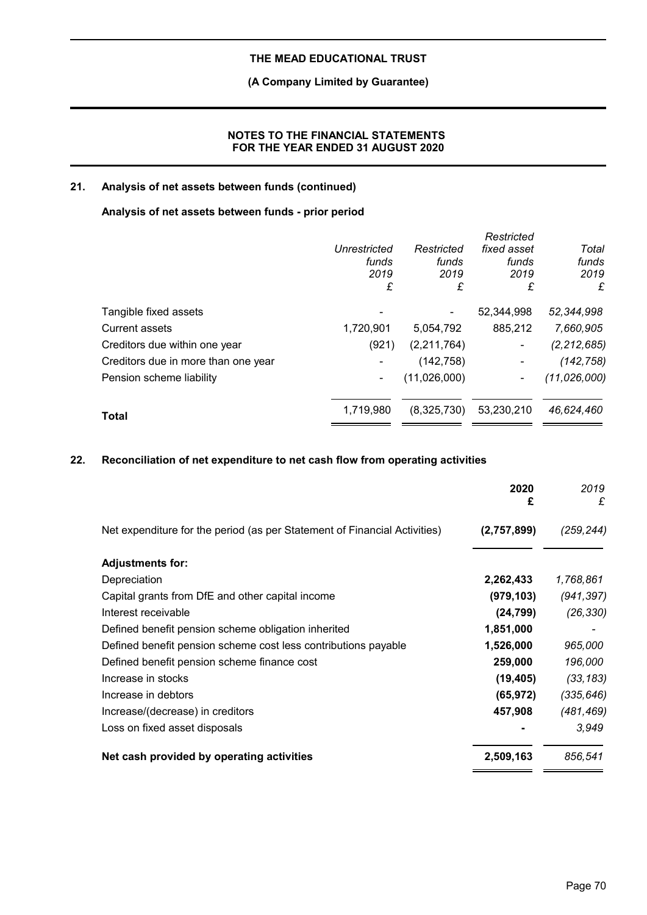# **(A Company Limited by Guarantee)**

## **NOTES TO THE FINANCIAL STATEMENTS FOR THE YEAR ENDED 31 AUGUST 2020**

# **21. Analysis of net assets between funds (continued)**

### **Analysis of net assets between funds - prior period**

|                                     | Unrestricted<br>funds<br>2019<br>£ | Restricted<br>funds<br>2019<br>£ | Restricted<br>fixed asset<br>funds<br>2019<br>£ | Total<br>funds<br>2019<br>£ |
|-------------------------------------|------------------------------------|----------------------------------|-------------------------------------------------|-----------------------------|
| Tangible fixed assets               |                                    |                                  | 52,344,998                                      | 52,344,998                  |
| Current assets                      | 1,720,901                          | 5,054,792                        | 885,212                                         | 7,660,905                   |
| Creditors due within one year       | (921)                              | (2,211,764)                      | ٠                                               | (2, 212, 685)               |
| Creditors due in more than one year |                                    | (142, 758)                       | ۰                                               | (142, 758)                  |
| Pension scheme liability            | ۰                                  | (11,026,000)                     | ۰                                               | (11, 026, 000)              |
| <b>Total</b>                        | 1,719,980                          | (8,325,730)                      | 53,230,210                                      | 46,624,460                  |
|                                     |                                    |                                  |                                                 |                             |

# **22. Reconciliation of net expenditure to net cash flow from operating activities**

|                                                                           | 2020<br>£   | 2019<br>£  |
|---------------------------------------------------------------------------|-------------|------------|
| Net expenditure for the period (as per Statement of Financial Activities) | (2,757,899) | (259, 244) |
| <b>Adjustments for:</b>                                                   |             |            |
| Depreciation                                                              | 2,262,433   | 1,768,861  |
| Capital grants from DfE and other capital income                          | (979, 103)  | (941, 397) |
| Interest receivable                                                       | (24, 799)   | (26, 330)  |
| Defined benefit pension scheme obligation inherited                       | 1,851,000   |            |
| Defined benefit pension scheme cost less contributions payable            | 1,526,000   | 965,000    |
| Defined benefit pension scheme finance cost                               | 259,000     | 196,000    |
| Increase in stocks                                                        | (19, 405)   | (33, 183)  |
| Increase in debtors                                                       | (65, 972)   | (335, 646) |
| Increase/(decrease) in creditors                                          | 457,908     | (481,469)  |
| Loss on fixed asset disposals                                             |             | 3,949      |
| Net cash provided by operating activities                                 | 2,509,163   | 856,541    |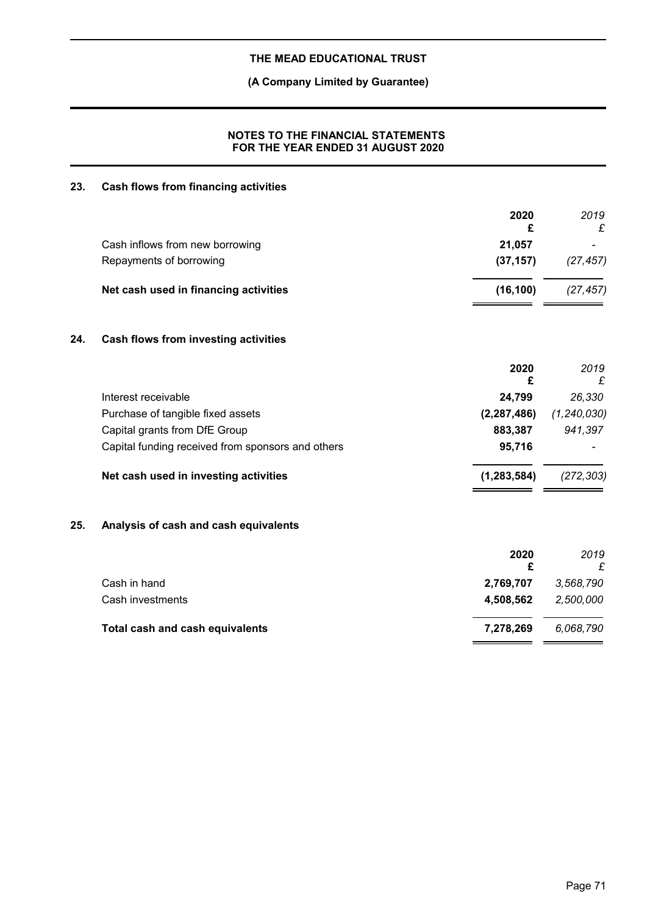# **(A Company Limited by Guarantee)**

# **NOTES TO THE FINANCIAL STATEMENTS FOR THE YEAR ENDED 31 AUGUST 2020**

# **23. Cash flows from financing activities**

| Cash inflows from new borrowing<br>21,057<br>Repayments of borrowing<br>(37, 157)<br>Net cash used in financing activities<br>(16, 100)<br>24.<br>Cash flows from investing activities<br>2020<br>£<br>Interest receivable<br>24,799<br>Purchase of tangible fixed assets<br>(2, 287, 486)<br>883,387<br>Capital grants from DfE Group<br>Capital funding received from sponsors and others<br>95,716<br>Net cash used in investing activities<br>(1, 283, 584)<br>25.<br>Analysis of cash and cash equivalents<br>2020<br>£<br>Cash in hand<br>2,769,707<br>Cash investments<br>4,508,562<br>Total cash and cash equivalents<br>7,278,269 |  | 2020<br>£ | 2019<br>£     |
|--------------------------------------------------------------------------------------------------------------------------------------------------------------------------------------------------------------------------------------------------------------------------------------------------------------------------------------------------------------------------------------------------------------------------------------------------------------------------------------------------------------------------------------------------------------------------------------------------------------------------------------------|--|-----------|---------------|
|                                                                                                                                                                                                                                                                                                                                                                                                                                                                                                                                                                                                                                            |  |           |               |
|                                                                                                                                                                                                                                                                                                                                                                                                                                                                                                                                                                                                                                            |  |           | (27, 457)     |
|                                                                                                                                                                                                                                                                                                                                                                                                                                                                                                                                                                                                                                            |  |           | (27, 457)     |
|                                                                                                                                                                                                                                                                                                                                                                                                                                                                                                                                                                                                                                            |  |           |               |
|                                                                                                                                                                                                                                                                                                                                                                                                                                                                                                                                                                                                                                            |  |           | 2019<br>£     |
|                                                                                                                                                                                                                                                                                                                                                                                                                                                                                                                                                                                                                                            |  |           | 26,330        |
|                                                                                                                                                                                                                                                                                                                                                                                                                                                                                                                                                                                                                                            |  |           | (1, 240, 030) |
|                                                                                                                                                                                                                                                                                                                                                                                                                                                                                                                                                                                                                                            |  |           | 941,397       |
|                                                                                                                                                                                                                                                                                                                                                                                                                                                                                                                                                                                                                                            |  |           |               |
|                                                                                                                                                                                                                                                                                                                                                                                                                                                                                                                                                                                                                                            |  |           | (272, 303)    |
|                                                                                                                                                                                                                                                                                                                                                                                                                                                                                                                                                                                                                                            |  |           |               |
|                                                                                                                                                                                                                                                                                                                                                                                                                                                                                                                                                                                                                                            |  |           | 2019<br>£     |
|                                                                                                                                                                                                                                                                                                                                                                                                                                                                                                                                                                                                                                            |  |           | 3,568,790     |
|                                                                                                                                                                                                                                                                                                                                                                                                                                                                                                                                                                                                                                            |  |           | 2,500,000     |
|                                                                                                                                                                                                                                                                                                                                                                                                                                                                                                                                                                                                                                            |  |           | 6,068,790     |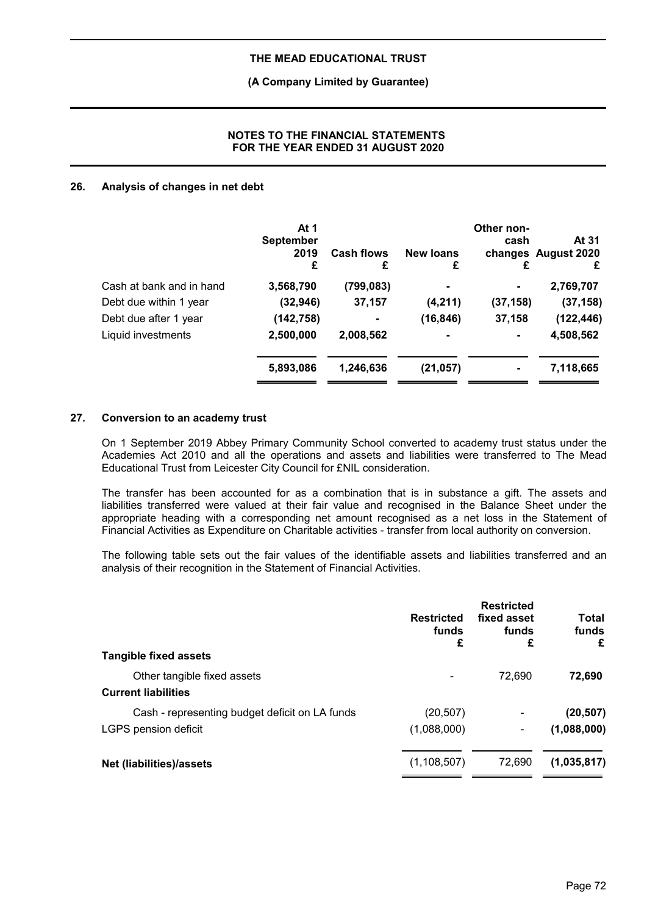# **(A Company Limited by Guarantee)**

# **NOTES TO THE FINANCIAL STATEMENTS FOR THE YEAR ENDED 31 AUGUST 2020**

## **26. Analysis of changes in net debt**

|                          | At 1<br><b>September</b><br>2019<br>£ | <b>Cash flows</b><br>£ | <b>New loans</b><br>£ | Other non-<br>cash<br>£ | At 31<br>changes August 2020<br>£ |
|--------------------------|---------------------------------------|------------------------|-----------------------|-------------------------|-----------------------------------|
| Cash at bank and in hand | 3,568,790                             | (799, 083)             |                       | ۰                       | 2,769,707                         |
| Debt due within 1 year   | (32, 946)                             | 37,157                 | (4, 211)              | (37, 158)               | (37, 158)                         |
| Debt due after 1 year    | (142, 758)                            | $\blacksquare$         | (16, 846)             | 37,158                  | (122, 446)                        |
| Liquid investments       | 2,500,000                             | 2,008,562              |                       | ۰                       | 4,508,562                         |
|                          | 5,893,086                             | 1,246,636              | (21, 057)             |                         | 7,118,665                         |

### **27. Conversion to an academy trust**

On 1 September 2019 Abbey Primary Community School converted to academy trust status under the Academies Act 2010 and all the operations and assets and liabilities were transferred to The Mead Educational Trust from Leicester City Council for £NIL consideration.

The transfer has been accounted for as a combination that is in substance a gift. The assets and liabilities transferred were valued at their fair value and recognised in the Balance Sheet under the appropriate heading with a corresponding net amount recognised as a net loss in the Statement of Financial Activities as Expenditure on Charitable activities - transfer from local authority on conversion.

The following table sets out the fair values of the identifiable assets and liabilities transferred and an analysis of their recognition in the Statement of Financial Activities.

| <b>Tangible fixed assets</b>                                           | <b>Restricted</b><br>funds<br>£ | <b>Restricted</b><br>fixed asset<br>funds<br>£ | Total<br>funds<br>£      |
|------------------------------------------------------------------------|---------------------------------|------------------------------------------------|--------------------------|
| Other tangible fixed assets<br><b>Current liabilities</b>              |                                 | 72.690                                         | 72,690                   |
| Cash - representing budget deficit on LA funds<br>LGPS pension deficit | (20, 507)<br>(1,088,000)        | -<br>٠                                         | (20, 507)<br>(1,088,000) |
| Net (liabilities)/assets                                               | (1, 108, 507)                   | 72,690                                         | (1,035,817)              |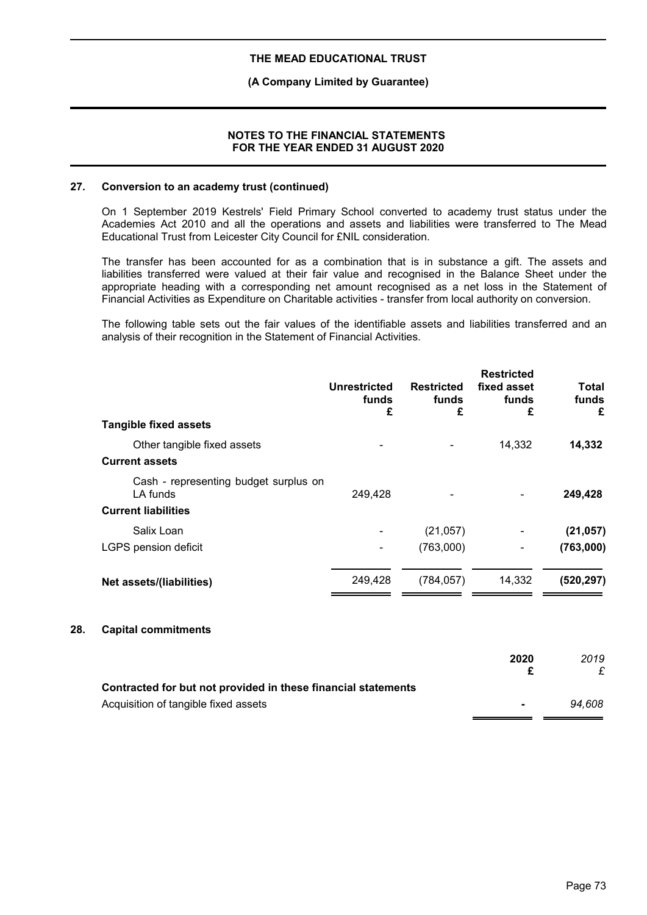## **(A Company Limited by Guarantee)**

## **NOTES TO THE FINANCIAL STATEMENTS FOR THE YEAR ENDED 31 AUGUST 2020**

## **27. Conversion to an academy trust (continued)**

On 1 September 2019 Kestrels' Field Primary School converted to academy trust status under the Academies Act 2010 and all the operations and assets and liabilities were transferred to The Mead Educational Trust from Leicester City Council for £NIL consideration.

The transfer has been accounted for as a combination that is in substance a gift. The assets and liabilities transferred were valued at their fair value and recognised in the Balance Sheet under the appropriate heading with a corresponding net amount recognised as a net loss in the Statement of Financial Activities as Expenditure on Charitable activities - transfer from local authority on conversion.

The following table sets out the fair values of the identifiable assets and liabilities transferred and an analysis of their recognition in the Statement of Financial Activities.

| <b>Tangible fixed assets</b>                         | Unrestricted<br>funds<br>£ | <b>Restricted</b><br>funds<br>£ | <b>Restricted</b><br>fixed asset<br>funds<br>£ | Total<br>funds<br>£ |
|------------------------------------------------------|----------------------------|---------------------------------|------------------------------------------------|---------------------|
|                                                      |                            |                                 |                                                |                     |
| Other tangible fixed assets<br><b>Current assets</b> |                            |                                 | 14,332                                         | 14,332              |
| Cash - representing budget surplus on<br>LA funds    | 249,428                    |                                 |                                                | 249,428             |
| <b>Current liabilities</b>                           |                            |                                 |                                                |                     |
| Salix Loan                                           |                            | (21, 057)                       |                                                | (21, 057)           |
| LGPS pension deficit                                 |                            | (763,000)                       |                                                | (763,000)           |
| Net assets/(liabilities)                             | 249,428                    | (784, 057)                      | 14,332                                         | (520, 297)          |
|                                                      |                            |                                 |                                                |                     |

### **28. Capital commitments**

|                                                               | 2020           | 2019   |
|---------------------------------------------------------------|----------------|--------|
| Contracted for but not provided in these financial statements |                |        |
| Acquisition of tangible fixed assets                          | $\blacksquare$ | 94.608 |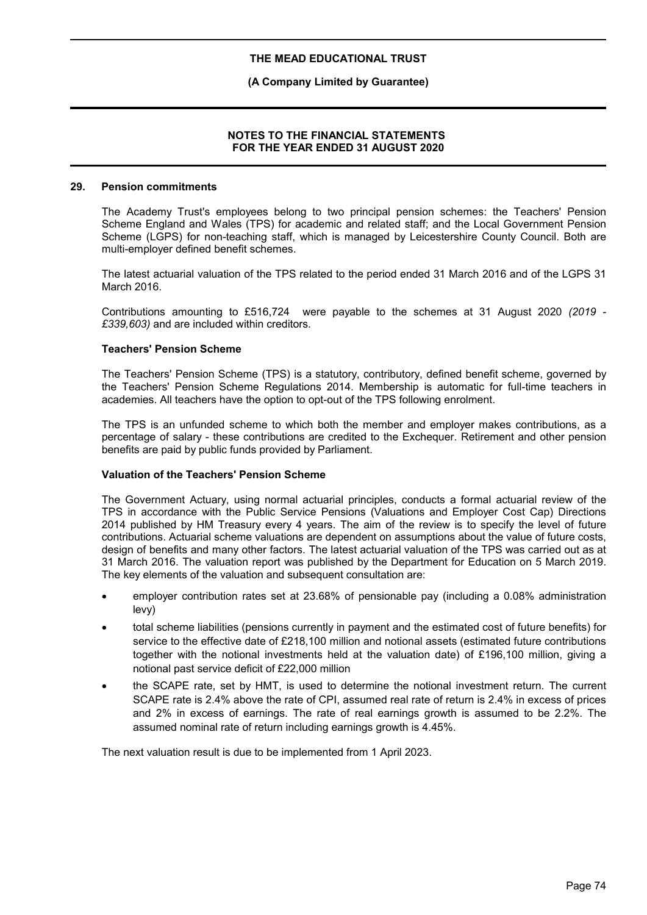# **(A Company Limited by Guarantee)**

## **NOTES TO THE FINANCIAL STATEMENTS FOR THE YEAR ENDED 31 AUGUST 2020**

### **29. Pension commitments**

The Academy Trust's employees belong to two principal pension schemes: the Teachers' Pension Scheme England and Wales (TPS) for academic and related staff; and the Local Government Pension Scheme (LGPS) for non-teaching staff, which is managed by Leicestershire County Council. Both are multi-employer defined benefit schemes.

The latest actuarial valuation of the TPS related to the period ended 31 March 2016 and of the LGPS 31 March 2016.

Contributions amounting to £516,724 were payable to the schemes at 31 August 2020 *(2019 - £339,603)* and are included within creditors.

### **Teachers' Pension Scheme**

The Teachers' Pension Scheme (TPS) is a statutory, contributory, defined benefit scheme, governed by the Teachers' Pension Scheme Regulations 2014. Membership is automatic for full-time teachers in academies. All teachers have the option to opt-out of the TPS following enrolment.

The TPS is an unfunded scheme to which both the member and employer makes contributions, as a percentage of salary - these contributions are credited to the Exchequer. Retirement and other pension benefits are paid by public funds provided by Parliament.

### **Valuation of the Teachers' Pension Scheme**

The Government Actuary, using normal actuarial principles, conducts a formal actuarial review of the TPS in accordance with the Public Service Pensions (Valuations and Employer Cost Cap) Directions 2014 published by HM Treasury every 4 years. The aim of the review is to specify the level of future contributions. Actuarial scheme valuations are dependent on assumptions about the value of future costs, design of benefits and many other factors. The latest actuarial valuation of the TPS was carried out as at 31 March 2016. The valuation report was published by the Department for Education on 5 March 2019. The key elements of the valuation and subsequent consultation are:

- employer contribution rates set at 23.68% of pensionable pay (including a 0.08% administration levy)
- total scheme liabilities (pensions currently in payment and the estimated cost of future benefits) for service to the effective date of £218,100 million and notional assets (estimated future contributions together with the notional investments held at the valuation date) of £196,100 million, giving a notional past service deficit of £22,000 million
- the SCAPE rate, set by HMT, is used to determine the notional investment return. The current SCAPE rate is 2.4% above the rate of CPI, assumed real rate of return is 2.4% in excess of prices and 2% in excess of earnings. The rate of real earnings growth is assumed to be 2.2%. The assumed nominal rate of return including earnings growth is 4.45%.

The next valuation result is due to be implemented from 1 April 2023.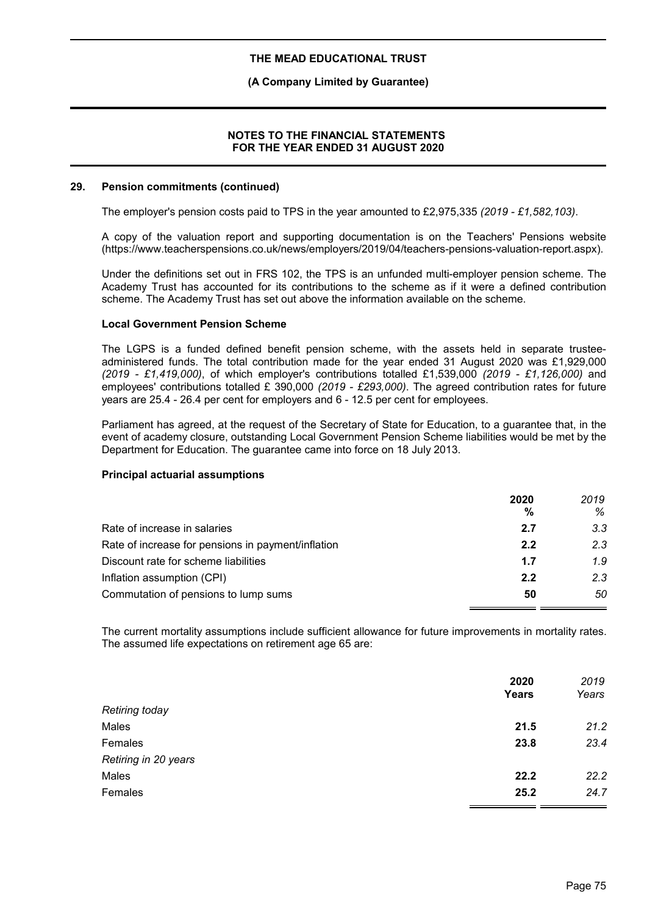## **(A Company Limited by Guarantee)**

## **NOTES TO THE FINANCIAL STATEMENTS FOR THE YEAR ENDED 31 AUGUST 2020**

#### **29. Pension commitments (continued)**

The employer's pension costs paid to TPS in the year amounted to £2,975,335 *(2019 - £1,582,103)*.

A copy of the valuation report and supporting documentation is on the Teachers' Pensions website (https://www.teacherspensions.co.uk/news/employers/2019/04/teachers-pensions-valuation-report.aspx).

Under the definitions set out in FRS 102, the TPS is an unfunded multi-employer pension scheme. The Academy Trust has accounted for its contributions to the scheme as if it were a defined contribution scheme. The Academy Trust has set out above the information available on the scheme.

### **Local Government Pension Scheme**

The LGPS is a funded defined benefit pension scheme, with the assets held in separate trusteeadministered funds. The total contribution made for the year ended 31 August 2020 was £1,929,000 *(2019 - £1,419,000)*, of which employer's contributions totalled £1,539,000 *(2019 - £1,126,000)* and employees' contributions totalled £ 390,000 *(2019 - £293,000)*. The agreed contribution rates for future years are 25.4 - 26.4 per cent for employers and 6 - 12.5 per cent for employees.

Parliament has agreed, at the request of the Secretary of State for Education, to a guarantee that, in the event of academy closure, outstanding Local Government Pension Scheme liabilities would be met by the Department for Education. The guarantee came into force on 18 July 2013.

### **Principal actuarial assumptions**

|                                                    | 2020<br>% | 2019<br>℅ |
|----------------------------------------------------|-----------|-----------|
| Rate of increase in salaries                       | 2.7       | 3.3       |
| Rate of increase for pensions in payment/inflation | 2.2       | 2.3       |
| Discount rate for scheme liabilities               | 1.7       | 1.9       |
| Inflation assumption (CPI)                         | 2.2       | 2.3       |
| Commutation of pensions to lump sums               | 50        | 50        |

The current mortality assumptions include sufficient allowance for future improvements in mortality rates. The assumed life expectations on retirement age 65 are:

|                      | 2020<br>Years | 2019<br>Years |
|----------------------|---------------|---------------|
| Retiring today       |               |               |
| Males                | 21.5          | 21.2          |
| Females              | 23.8          | 23.4          |
| Retiring in 20 years |               |               |
| Males                | 22.2          | 22.2          |
| Females              | 25.2          | 24.7          |
|                      |               |               |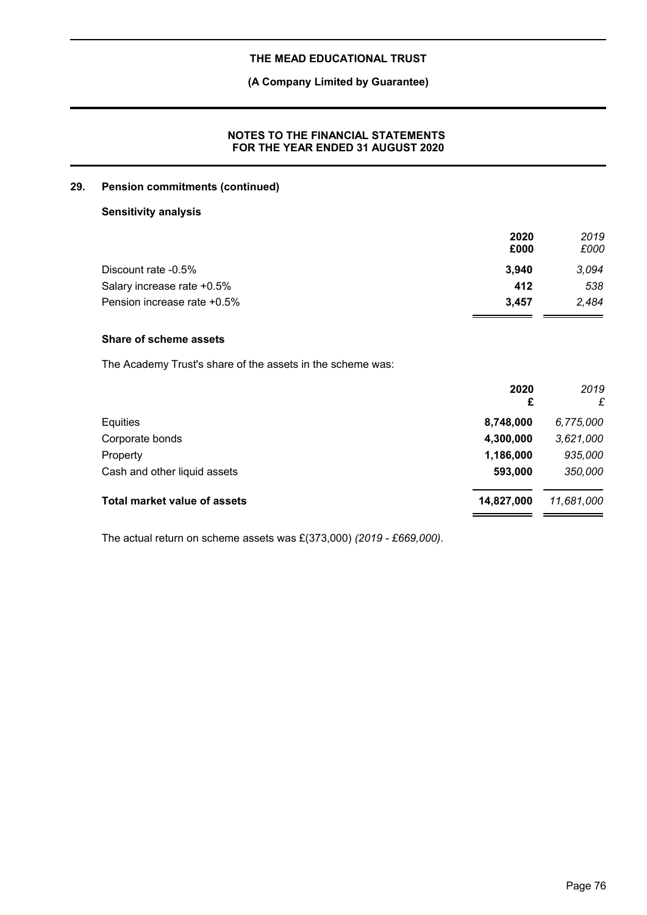# **(A Company Limited by Guarantee)**

# **NOTES TO THE FINANCIAL STATEMENTS FOR THE YEAR ENDED 31 AUGUST 2020**

# **29. Pension commitments (continued)**

# **Sensitivity analysis**

|                             | 2020  | 2019  |
|-----------------------------|-------|-------|
|                             | £000  | £000  |
| Discount rate -0.5%         | 3.940 | 3.094 |
| Salary increase rate +0.5%  | 412   | 538   |
| Pension increase rate +0.5% | 3.457 | 2,484 |

# **Share of scheme assets**

The Academy Trust's share of the assets in the scheme was:

| 2020<br>£  | 2019<br>£  |
|------------|------------|
| 8,748,000  | 6,775,000  |
| 4,300,000  | 3,621,000  |
| 1,186,000  | 935,000    |
| 593,000    | 350,000    |
| 14,827,000 | 11,681,000 |
|            |            |

The actual return on scheme assets was £(373,000) *(2019 - £669,000)*.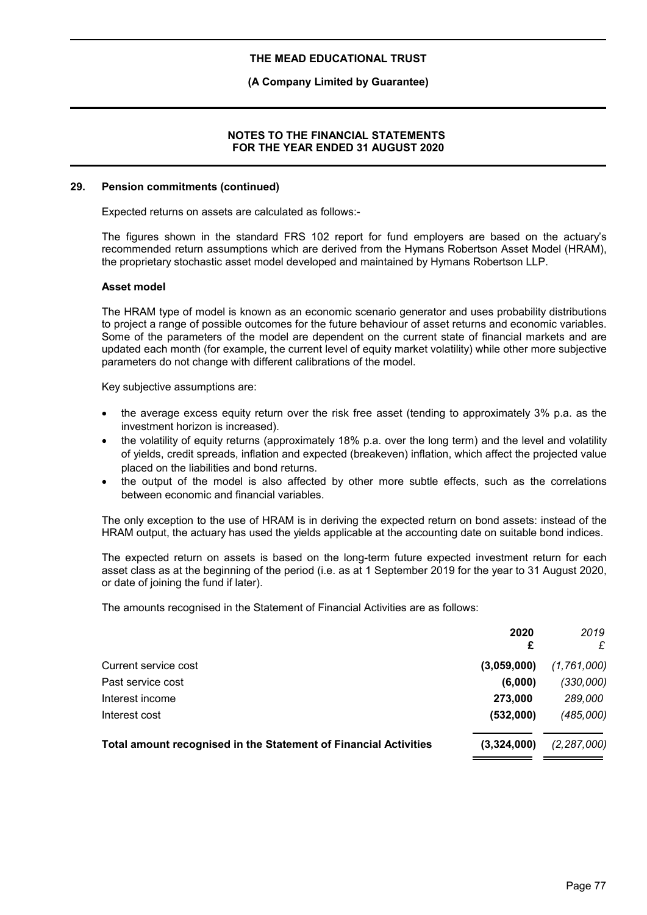## **(A Company Limited by Guarantee)**

## **NOTES TO THE FINANCIAL STATEMENTS FOR THE YEAR ENDED 31 AUGUST 2020**

#### **29. Pension commitments (continued)**

Expected returns on assets are calculated as follows:-

The figures shown in the standard FRS 102 report for fund employers are based on the actuary's recommended return assumptions which are derived from the Hymans Robertson Asset Model (HRAM), the proprietary stochastic asset model developed and maintained by Hymans Robertson LLP.

#### **Asset model**

The HRAM type of model is known as an economic scenario generator and uses probability distributions to project a range of possible outcomes for the future behaviour of asset returns and economic variables. Some of the parameters of the model are dependent on the current state of financial markets and are updated each month (for example, the current level of equity market volatility) while other more subjective parameters do not change with different calibrations of the model.

Key subjective assumptions are:

- the average excess equity return over the risk free asset (tending to approximately 3% p.a. as the investment horizon is increased).
- the volatility of equity returns (approximately 18% p.a. over the long term) and the level and volatility of yields, credit spreads, inflation and expected (breakeven) inflation, which affect the projected value placed on the liabilities and bond returns.
- the output of the model is also affected by other more subtle effects, such as the correlations between economic and financial variables.

The only exception to the use of HRAM is in deriving the expected return on bond assets: instead of the HRAM output, the actuary has used the yields applicable at the accounting date on suitable bond indices.

The expected return on assets is based on the long-term future expected investment return for each asset class as at the beginning of the period (i.e. as at 1 September 2019 for the year to 31 August 2020, or date of joining the fund if later).

The amounts recognised in the Statement of Financial Activities are as follows:

|                                                                  | 2020        | 2019<br>£     |
|------------------------------------------------------------------|-------------|---------------|
| Current service cost                                             | (3.059,000) | (1,761,000)   |
| Past service cost                                                | (6,000)     | (330,000)     |
| Interest income                                                  | 273,000     | 289,000       |
| Interest cost                                                    | (532,000)   | (485,000)     |
| Total amount recognised in the Statement of Financial Activities | (3,324,000) | (2, 287, 000) |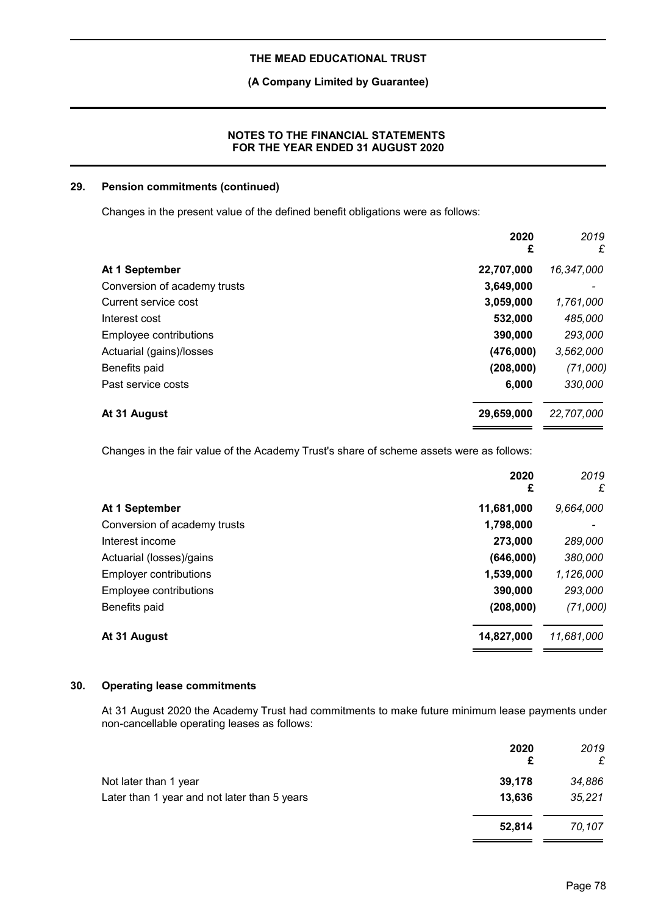**(A Company Limited by Guarantee)**

# **NOTES TO THE FINANCIAL STATEMENTS FOR THE YEAR ENDED 31 AUGUST 2020**

# **29. Pension commitments (continued)**

Changes in the present value of the defined benefit obligations were as follows:

|                              | 2020<br>£  | 2019<br>£  |
|------------------------------|------------|------------|
| At 1 September               | 22,707,000 | 16,347,000 |
| Conversion of academy trusts | 3,649,000  |            |
| Current service cost         | 3,059,000  | 1,761,000  |
| Interest cost                | 532,000    | 485,000    |
| Employee contributions       | 390,000    | 293,000    |
| Actuarial (gains)/losses     | (476,000)  | 3,562,000  |
| Benefits paid                | (208,000)  | (71,000)   |
| Past service costs           | 6,000      | 330,000    |
| At 31 August                 | 29,659,000 | 22,707,000 |

Changes in the fair value of the Academy Trust's share of scheme assets were as follows:

|                               | 2020<br>£  | 2019<br>£  |
|-------------------------------|------------|------------|
| At 1 September                | 11,681,000 | 9,664,000  |
| Conversion of academy trusts  | 1,798,000  |            |
| Interest income               | 273,000    | 289,000    |
| Actuarial (losses)/gains      | (646,000)  | 380,000    |
| <b>Employer contributions</b> | 1,539,000  | 1,126,000  |
| Employee contributions        | 390,000    | 293,000    |
| Benefits paid                 | (208,000)  | (71,000)   |
| At 31 August                  | 14,827,000 | 11,681,000 |

# **30. Operating lease commitments**

At 31 August 2020 the Academy Trust had commitments to make future minimum lease payments under non-cancellable operating leases as follows:

|                                              | 2020<br>£ | 2019<br>£ |
|----------------------------------------------|-----------|-----------|
| Not later than 1 year                        | 39,178    | 34,886    |
| Later than 1 year and not later than 5 years | 13.636    | 35,221    |
|                                              | 52.814    | 70,107    |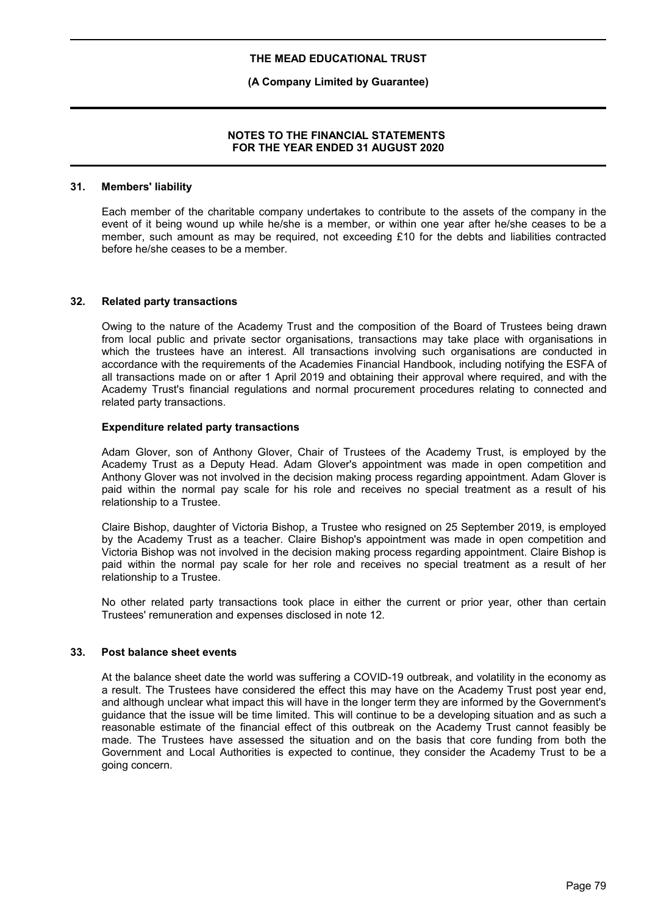# **(A Company Limited by Guarantee)**

# **NOTES TO THE FINANCIAL STATEMENTS FOR THE YEAR ENDED 31 AUGUST 2020**

### **31. Members' liability**

Each member of the charitable company undertakes to contribute to the assets of the company in the event of it being wound up while he/she is a member, or within one year after he/she ceases to be a member, such amount as may be required, not exceeding £10 for the debts and liabilities contracted before he/she ceases to be a member.

#### **32. Related party transactions**

Owing to the nature of the Academy Trust and the composition of the Board of Trustees being drawn from local public and private sector organisations, transactions may take place with organisations in which the trustees have an interest. All transactions involving such organisations are conducted in accordance with the requirements of the Academies Financial Handbook, including notifying the ESFA of all transactions made on or after 1 April 2019 and obtaining their approval where required, and with the Academy Trust's financial regulations and normal procurement procedures relating to connected and related party transactions.

#### **Expenditure related party transactions**

Adam Glover, son of Anthony Glover, Chair of Trustees of the Academy Trust, is employed by the Academy Trust as a Deputy Head. Adam Glover's appointment was made in open competition and Anthony Glover was not involved in the decision making process regarding appointment. Adam Glover is paid within the normal pay scale for his role and receives no special treatment as a result of his relationship to a Trustee.

Claire Bishop, daughter of Victoria Bishop, a Trustee who resigned on 25 September 2019, is employed by the Academy Trust as a teacher. Claire Bishop's appointment was made in open competition and Victoria Bishop was not involved in the decision making process regarding appointment. Claire Bishop is paid within the normal pay scale for her role and receives no special treatment as a result of her relationship to a Trustee.

No other related party transactions took place in either the current or prior year, other than certain Trustees' remuneration and expenses disclosed in note 12.

#### **33. Post balance sheet events**

At the balance sheet date the world was suffering a COVID-19 outbreak, and volatility in the economy as a result. The Trustees have considered the effect this may have on the Academy Trust post year end, and although unclear what impact this will have in the longer term they are informed by the Government's guidance that the issue will be time limited. This will continue to be a developing situation and as such a reasonable estimate of the financial effect of this outbreak on the Academy Trust cannot feasibly be made. The Trustees have assessed the situation and on the basis that core funding from both the Government and Local Authorities is expected to continue, they consider the Academy Trust to be a going concern.